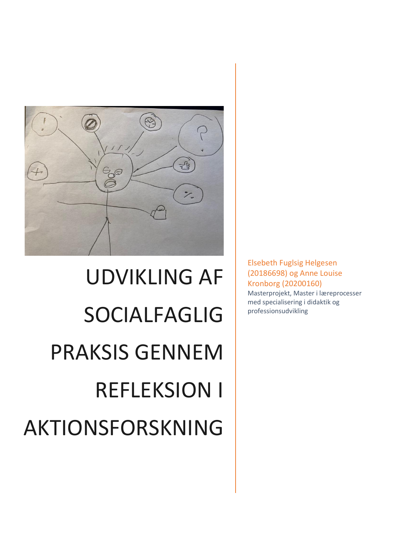

# UDVIKLING AF SOCIALFAGLIG PRAKSIS GENNEM REFLEKSION I AKTIONSFORSKNING

Elsebeth Fuglsig Helgesen (20186698) og Anne Louise Kronborg (20200160) Masterprojekt, Master i læreprocesser med specialisering i didaktik og professionsudvikling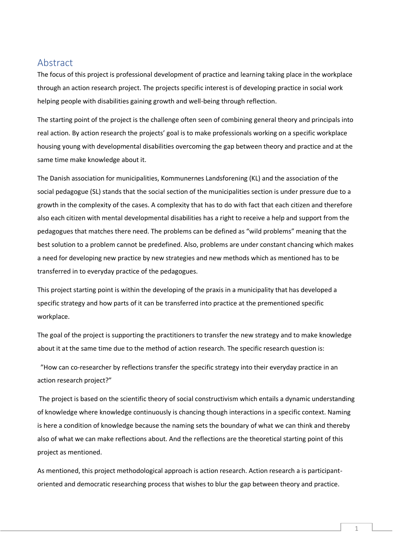# <span id="page-1-0"></span>Abstract

The focus of this project is professional development of practice and learning taking place in the workplace through an action research project. The projects specific interest is of developing practice in social work helping people with disabilities gaining growth and well-being through reflection.

The starting point of the project is the challenge often seen of combining general theory and principals into real action. By action research the projects' goal is to make professionals working on a specific workplace housing young with developmental disabilities overcoming the gap between theory and practice and at the same time make knowledge about it.

The Danish association for municipalities, Kommunernes Landsforening (KL) and the association of the social pedagogue (SL) stands that the social section of the municipalities section is under pressure due to a growth in the complexity of the cases. A complexity that has to do with fact that each citizen and therefore also each citizen with mental developmental disabilities has a right to receive a help and support from the pedagogues that matches there need. The problems can be defined as "wild problems" meaning that the best solution to a problem cannot be predefined. Also, problems are under constant chancing which makes a need for developing new practice by new strategies and new methods which as mentioned has to be transferred in to everyday practice of the pedagogues.

This project starting point is within the developing of the praxis in a municipality that has developed a specific strategy and how parts of it can be transferred into practice at the prementioned specific workplace.

The goal of the project is supporting the practitioners to transfer the new strategy and to make knowledge about it at the same time due to the method of action research. The specific research question is:

 "How can co-researcher by reflections transfer the specific strategy into their everyday practice in an action research project?"

The project is based on the scientific theory of social constructivism which entails a dynamic understanding of knowledge where knowledge continuously is chancing though interactions in a specific context. Naming is here a condition of knowledge because the naming sets the boundary of what we can think and thereby also of what we can make reflections about. And the reflections are the theoretical starting point of this project as mentioned.

As mentioned, this project methodological approach is action research. Action research a is participantoriented and democratic researching process that wishes to blur the gap between theory and practice.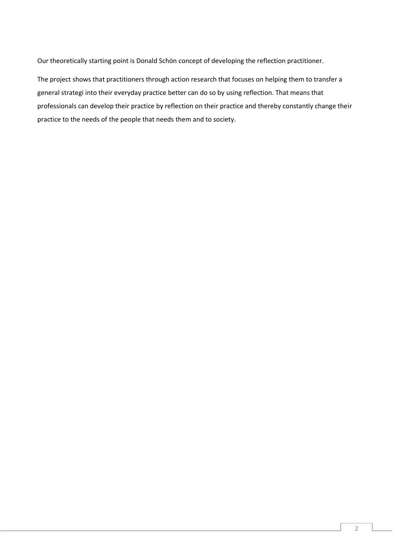Our theoretically starting point is Donald Schön concept of developing the reflection practitioner.

The project shows that practitioners through action research that focuses on helping them to transfer a general strategi into their everyday practice better can do so by using reflection. That means that professionals can develop their practice by reflection on their practice and thereby constantly change their practice to the needs of the people that needs them and to society.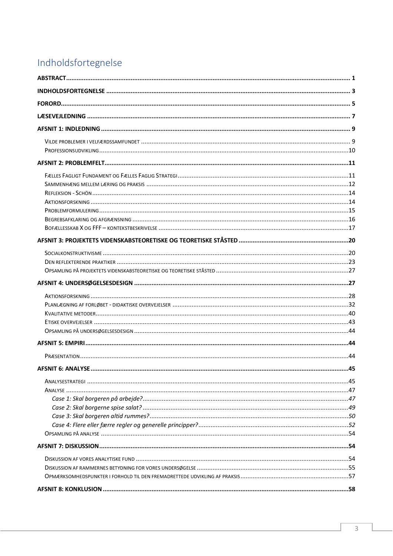# <span id="page-3-0"></span>Indholdsfortegnelse

| <b>AFSNIT 6: ANALYSE</b> | 45 |
|--------------------------|----|
|                          |    |
|                          |    |
|                          |    |
|                          |    |
|                          |    |
|                          |    |
|                          |    |
|                          |    |
|                          |    |
|                          |    |
|                          |    |
|                          |    |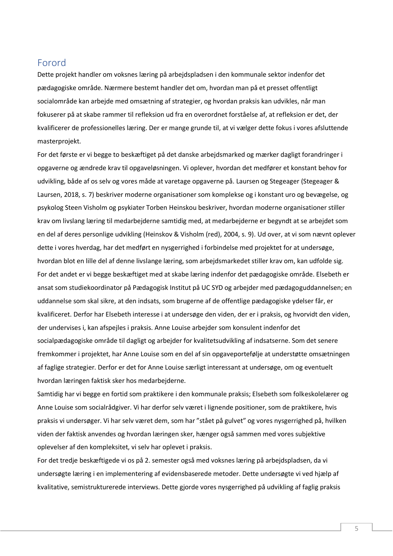# <span id="page-5-0"></span>Forord

Dette projekt handler om voksnes læring på arbejdspladsen i den kommunale sektor indenfor det pædagogiske område. Nærmere bestemt handler det om, hvordan man på et presset offentligt socialområde kan arbejde med omsætning af strategier, og hvordan praksis kan udvikles, når man fokuserer på at skabe rammer til refleksion ud fra en overordnet forståelse af, at refleksion er det, der kvalificerer de professionelles læring. Der er mange grunde til, at vi vælger dette fokus i vores afsluttende masterprojekt.

For det første er vi begge to beskæftiget på det danske arbejdsmarked og mærker dagligt forandringer i opgaverne og ændrede krav til opgaveløsningen. Vi oplever, hvordan det medfører et konstant behov for udvikling, både af os selv og vores måde at varetage opgaverne på. Laursen og Stegeager (Stegeager & Laursen, 2018, s. 7) beskriver moderne organisationer som komplekse og i konstant uro og bevægelse, og psykolog Steen Visholm og psykiater Torben Heinskou beskriver, hvordan moderne organisationer stiller krav om livslang læring til medarbejderne samtidig med, at medarbejderne er begyndt at se arbejdet som en del af deres personlige udvikling (Heinskov & Visholm (red), 2004, s. 9). Ud over, at vi som nævnt oplever dette i vores hverdag, har det medført en nysgerrighed i forbindelse med projektet for at undersøge, hvordan blot en lille del af denne livslange læring, som arbejdsmarkedet stiller krav om, kan udfolde sig. For det andet er vi begge beskæftiget med at skabe læring indenfor det pædagogiske område. Elsebeth er ansat som studiekoordinator på Pædagogisk Institut på UC SYD og arbejder med pædagoguddannelsen; en uddannelse som skal sikre, at den indsats, som brugerne af de offentlige pædagogiske ydelser får, er kvalificeret. Derfor har Elsebeth interesse i at undersøge den viden, der er i praksis, og hvorvidt den viden, der undervises i, kan afspejles i praksis. Anne Louise arbejder som konsulent indenfor det socialpædagogiske område til dagligt og arbejder for kvalitetsudvikling af indsatserne. Som det senere fremkommer i projektet, har Anne Louise som en del af sin opgaveportefølje at understøtte omsætningen af faglige strategier. Derfor er det for Anne Louise særligt interessant at undersøge, om og eventuelt hvordan læringen faktisk sker hos medarbejderne.

Samtidig har vi begge en fortid som praktikere i den kommunale praksis; Elsebeth som folkeskolelærer og Anne Louise som socialrådgiver. Vi har derfor selv været i lignende positioner, som de praktikere, hvis praksis vi undersøger. Vi har selv været dem, som har "stået på gulvet" og vores nysgerrighed på, hvilken viden der faktisk anvendes og hvordan læringen sker, hænger også sammen med vores subjektive oplevelser af den kompleksitet, vi selv har oplevet i praksis.

For det tredje beskæftigede vi os på 2. semester også med voksnes læring på arbejdspladsen, da vi undersøgte læring i en implementering af evidensbaserede metoder. Dette undersøgte vi ved hjælp af kvalitative, semistrukturerede interviews. Dette gjorde vores nysgerrighed på udvikling af faglig praksis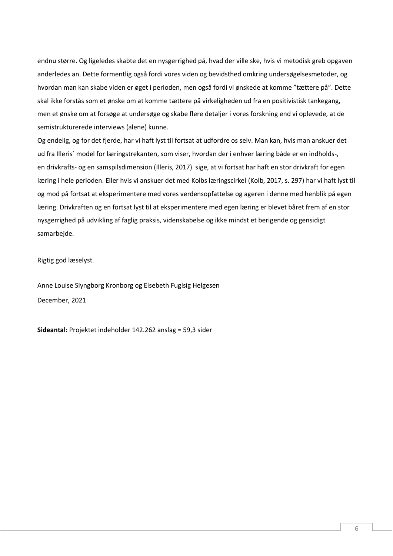endnu større. Og ligeledes skabte det en nysgerrighed på, hvad der ville ske, hvis vi metodisk greb opgaven anderledes an. Dette formentlig også fordi vores viden og bevidsthed omkring undersøgelsesmetoder, og hvordan man kan skabe viden er øget i perioden, men også fordi vi ønskede at komme "tættere på". Dette skal ikke forstås som et ønske om at komme tættere på virkeligheden ud fra en positivistisk tankegang, men et ønske om at forsøge at undersøge og skabe flere detaljer i vores forskning end vi oplevede, at de semistrukturerede interviews (alene) kunne.

Og endelig, og for det fjerde, har vi haft lyst til fortsat at udfordre os selv. Man kan, hvis man anskuer det ud fra Illeris´ model for læringstrekanten, som viser, hvordan der i enhver læring både er en indholds-, en drivkrafts- og en samspilsdimension (Illeris, 2017) sige, at vi fortsat har haft en stor drivkraft for egen læring i hele perioden. Eller hvis vi anskuer det med Kolbs læringscirkel (Kolb, 2017, s. 297) har vi haft lyst til og mod på fortsat at eksperimentere med vores verdensopfattelse og ageren i denne med henblik på egen læring. Drivkraften og en fortsat lyst til at eksperimentere med egen læring er blevet båret frem af en stor nysgerrighed på udvikling af faglig praksis, videnskabelse og ikke mindst et berigende og gensidigt samarbejde.

Rigtig god læselyst.

Anne Louise Slyngborg Kronborg og Elsebeth Fuglsig Helgesen December, 2021

**Sideantal:** Projektet indeholder 142.262 anslag = 59,3 sider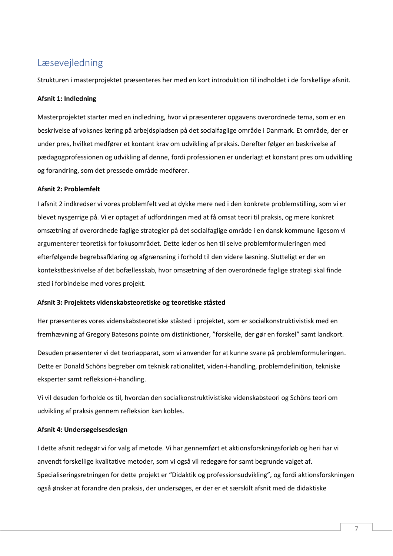# <span id="page-7-0"></span>Læsevejledning

Strukturen i masterprojektet præsenteres her med en kort introduktion til indholdet i de forskellige afsnit.

# **Afsnit 1: Indledning**

Masterprojektet starter med en indledning, hvor vi præsenterer opgavens overordnede tema, som er en beskrivelse af voksnes læring på arbejdspladsen på det socialfaglige område i Danmark. Et område, der er under pres, hvilket medfører et kontant krav om udvikling af praksis. Derefter følger en beskrivelse af pædagogprofessionen og udvikling af denne, fordi professionen er underlagt et konstant pres om udvikling og forandring, som det pressede område medfører.

# **Afsnit 2: Problemfelt**

I afsnit 2 indkredser vi vores problemfelt ved at dykke mere ned i den konkrete problemstilling, som vi er blevet nysgerrige på. Vi er optaget af udfordringen med at få omsat teori til praksis, og mere konkret omsætning af overordnede faglige strategier på det socialfaglige område i en dansk kommune ligesom vi argumenterer teoretisk for fokusområdet. Dette leder os hen til selve problemformuleringen med efterfølgende begrebsafklaring og afgrænsning i forhold til den videre læsning. Slutteligt er der en kontekstbeskrivelse af det bofællesskab, hvor omsætning af den overordnede faglige strategi skal finde sted i forbindelse med vores projekt.

# **Afsnit 3: Projektets videnskabsteoretiske og teoretiske ståsted**

Her præsenteres vores videnskabsteoretiske ståsted i projektet, som er socialkonstruktivistisk med en fremhævning af Gregory Batesons pointe om distinktioner, "forskelle, der gør en forskel" samt landkort.

Desuden præsenterer vi det teoriapparat, som vi anvender for at kunne svare på problemformuleringen. Dette er Donald Schöns begreber om teknisk rationalitet, viden-i-handling, problemdefinition, tekniske eksperter samt refleksion-i-handling.

Vi vil desuden forholde os til, hvordan den socialkonstruktivistiske videnskabsteori og Schöns teori om udvikling af praksis gennem refleksion kan kobles.

# **Afsnit 4: Undersøgelsesdesign**

I dette afsnit redegør vi for valg af metode. Vi har gennemført et aktionsforskningsforløb og heri har vi anvendt forskellige kvalitative metoder, som vi også vil redegøre for samt begrunde valget af. Specialiseringsretningen for dette projekt er "Didaktik og professionsudvikling", og fordi aktionsforskningen også ønsker at forandre den praksis, der undersøges, er der er et særskilt afsnit med de didaktiske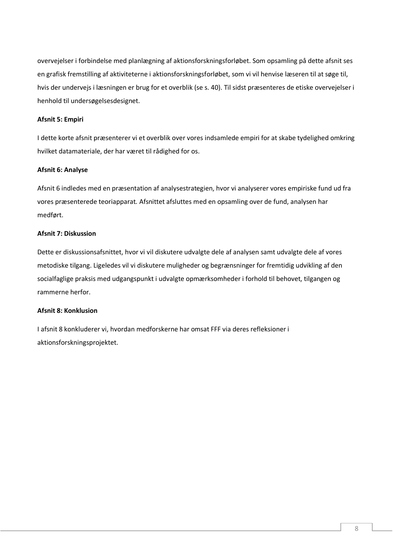overvejelser i forbindelse med planlægning af aktionsforskningsforløbet. Som opsamling på dette afsnit ses en grafisk fremstilling af aktiviteterne i aktionsforskningsforløbet, som vi vil henvise læseren til at søge til, hvis der undervejs i læsningen er brug for et overblik (se s. 40). Til sidst præsenteres de etiske overvejelser i henhold til undersøgelsesdesignet.

# **Afsnit 5: Empiri**

I dette korte afsnit præsenterer vi et overblik over vores indsamlede empiri for at skabe tydelighed omkring hvilket datamateriale, der har været til rådighed for os.

# **Afsnit 6: Analyse**

Afsnit 6 indledes med en præsentation af analysestrategien, hvor vi analyserer vores empiriske fund ud fra vores præsenterede teoriapparat*.* Afsnittet afsluttes med en opsamling over de fund, analysen har medført.

# **Afsnit 7: Diskussion**

Dette er diskussionsafsnittet, hvor vi vil diskutere udvalgte dele af analysen samt udvalgte dele af vores metodiske tilgang. Ligeledes vil vi diskutere muligheder og begrænsninger for fremtidig udvikling af den socialfaglige praksis med udgangspunkt i udvalgte opmærksomheder i forhold til behovet, tilgangen og rammerne herfor.

# **Afsnit 8: Konklusion**

I afsnit 8 konkluderer vi, hvordan medforskerne har omsat FFF via deres refleksioner i aktionsforskningsprojektet.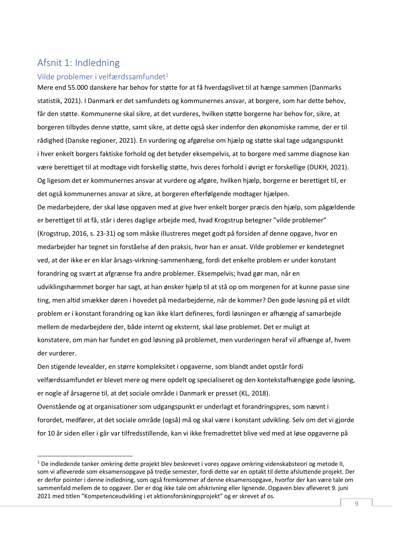# <span id="page-9-0"></span>Afsnit 1: Indledning

# <span id="page-9-1"></span>Vilde problemer i velfærdssamfundet<sup>1</sup>

Mere end 55.000 danskere har behov for støtte for at få hverdagslivet til at hænge sammen (Danmarks statistik, 2021). I Danmark er det samfundets og kommunernes ansvar, at borgere, som har dette behov, får den støtte. Kommunerne skal sikre, at det vurderes, hvilken støtte borgerne har behov for, sikre, at borgeren tilbydes denne støtte, samt sikre, at dette også sker indenfor den økonomiske ramme, der er til rådighed (Danske regioner, 2021). En vurdering og afgørelse om hjælp og støtte skal tage udgangspunkt i hver enkelt borgers faktiske forhold og det betyder eksempelvis, at to borgere med samme diagnose kan være berettiget til at modtage vidt forskellig støtte, hvis deres forhold i øvrigt er forskellige (DUKH, 2021). Og ligesom det er kommunernes ansvar at vurdere og afgøre, hvilken hjælp, borgerne er berettiget til, er det også kommunernes ansvar at sikre, at borgeren efterfølgende modtager hjælpen.

De medarbejdere, der skal løse opgaven med at give hver enkelt borger præcis den hjælp, som pågældende er berettiget til at få, står i deres daglige arbejde med, hvad Krogstrup betegner "vilde problemer" (Krogstrup, 2016, s. 23-31) og som måske illustreres meget godt på forsiden af denne opgave, hvor en medarbejder har tegnet sin forståelse af den praksis, hvor han er ansat. Vilde problemer er kendetegnet ved, at der ikke er en klar årsags-virkning-sammenhæng, fordi det enkelte problem er under konstant forandring og svært at afgrænse fra andre problemer. Eksempelvis; hvad gør man, når en udviklingshæmmet borger har sagt, at han ønsker hjælp til at stå op om morgenen for at kunne passe sine ting, men altid smækker døren i hovedet på medarbejderne, når de kommer? Den gode løsning på et vildt problem er i konstant forandring og kan ikke klart defineres, fordi løsningen er afhængig af samarbejde mellem de medarbejdere der, både internt og eksternt, skal løse problemet. Det er muligt at konstatere, om man har fundet en god løsning på problemet, men vurderingen heraf vil afhænge af, hvem der vurderer.

Den stigende levealder, en større kompleksitet i opgaverne, som blandt andet opstår fordi velfærdssamfundet er blevet mere og mere opdelt og specialiseret og den kontekstafhængige gode løsning, er nogle af årsagerne til, at det sociale område i Danmark er presset (KL, 2018).

Ovenstående og at organisationer som udgangspunkt er underlagt et forandringspres, som nævnt i forordet, medfører, at det sociale område (også) må og skal være i konstant udvikling. Selv om det vi gjorde for 10 år siden eller i går var tilfredsstillende, kan vi ikke fremadrettet blive ved med at løse opgaverne på

<sup>&</sup>lt;sup>1</sup> De indledende tanker omkring dette projekt blev beskrevet i vores opgave omkring videnskabsteori og metode II, som vi afleverede som eksamensopgave på tredje semester, fordi dette var en optakt til dette afsluttende projekt. Der er derfor pointer i denne indledning, som også fremkommer af denne eksamensopgave, hvorfor der kan være tale om sammenfald mellem de to opgaver. Der er dog ikke tale om afskrivning eller lignende. Opgaven blev afleveret 9. juni 2021 med titlen "Kompetenceudvikling i et aktionsforskningsprojekt" og er skrevet af os.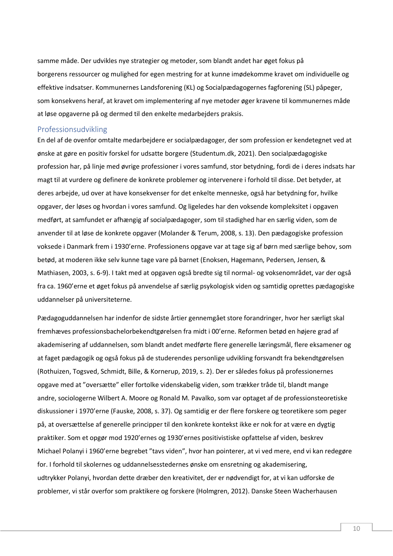samme måde. Der udvikles nye strategier og metoder, som blandt andet har øget fokus på borgerens ressourcer og mulighed for egen mestring for at kunne imødekomme kravet om individuelle og effektive indsatser. Kommunernes Landsforening (KL) og Socialpædagogernes fagforening (SL) påpeger, som konsekvens heraf, at kravet om implementering af nye metoder øger kravene til kommunernes måde at løse opgaverne på og dermed til den enkelte medarbejders praksis.

# <span id="page-10-0"></span>Professionsudvikling

En del af de ovenfor omtalte medarbejdere er socialpædagoger, der som profession er kendetegnet ved at ønske at gøre en positiv forskel for udsatte borgere (Studentum.dk, 2021). Den socialpædagogiske profession har, på linje med øvrige professioner i vores samfund, stor betydning, fordi de i deres indsats har magt til at vurdere og definere de konkrete problemer og intervenere i forhold til disse. Det betyder, at deres arbejde, ud over at have konsekvenser for det enkelte menneske, også har betydning for, hvilke opgaver, der løses og hvordan i vores samfund. Og ligeledes har den voksende kompleksitet i opgaven medført, at samfundet er afhængig af socialpædagoger, som til stadighed har en særlig viden, som de anvender til at løse de konkrete opgaver (Molander & Terum, 2008, s. 13). Den pædagogiske profession voksede i Danmark frem i 1930'erne. Professionens opgave var at tage sig af børn med særlige behov, som betød, at moderen ikke selv kunne tage vare på barnet (Enoksen, Hagemann, Pedersen, Jensen, & Mathiasen, 2003, s. 6-9). I takt med at opgaven også bredte sig til normal- og voksenområdet, var der også fra ca. 1960'erne et øget fokus på anvendelse af særlig psykologisk viden og samtidig oprettes pædagogiske uddannelser på universiteterne.

Pædagoguddannelsen har indenfor de sidste årtier gennemgået store forandringer, hvor her særligt skal fremhæves professionsbachelorbekendtgørelsen fra midt i 00'erne. Reformen betød en højere grad af akademisering af uddannelsen, som blandt andet medførte flere generelle læringsmål, flere eksamener og at faget pædagogik og også fokus på de studerendes personlige udvikling forsvandt fra bekendtgørelsen (Rothuizen, Togsved, Schmidt, Bille, & Kornerup, 2019, s. 2). Der er således fokus på professionernes opgave med at "oversætte" eller fortolke videnskabelig viden, som trækker tråde til, blandt mange andre, sociologerne Wilbert A. Moore og Ronald M. Pavalko, som var optaget af de professionsteoretiske diskussioner i 1970'erne (Fauske, 2008, s. 37). Og samtidig er der flere forskere og teoretikere som peger på, at oversættelse af generelle principper til den konkrete kontekst ikke er nok for at være en dygtig praktiker. Som et opgør mod 1920'ernes og 1930'ernes positivistiske opfattelse af viden, beskrev Michael Polanyi i 1960'erne begrebet "tavs viden", hvor han pointerer, at vi ved mere, end vi kan redegøre for. I forhold til skolernes og uddannelsesstedernes ønske om ensretning og akademisering, udtrykker Polanyi, hvordan dette dræber den kreativitet, der er nødvendigt for, at vi kan udforske de problemer, vi står overfor som praktikere og forskere (Holmgren, 2012). Danske Steen Wacherhausen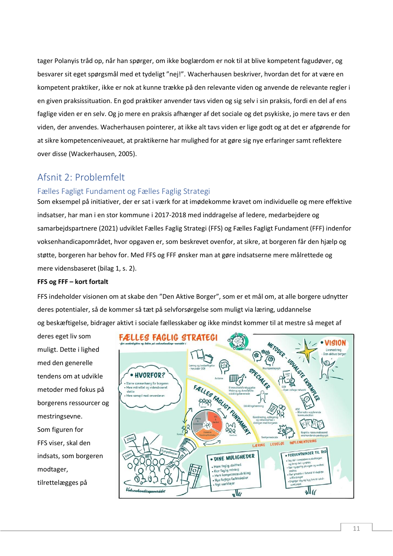tager Polanyis tråd op, når han spørger, om ikke boglærdom er nok til at blive kompetent fagudøver, og besvarer sit eget spørgsmål med et tydeligt "nej!". Wacherhausen beskriver, hvordan det for at være en kompetent praktiker, ikke er nok at kunne trække på den relevante viden og anvende de relevante regler i en given praksissituation. En god praktiker anvender tavs viden og sig selv i sin praksis, fordi en del af ens faglige viden er en selv. Og jo mere en praksis afhænger af det sociale og det psykiske, jo mere tavs er den viden, der anvendes. Wacherhausen pointerer, at ikke alt tavs viden er lige godt og at det er afgørende for at sikre kompetenceniveauet, at praktikerne har mulighed for at gøre sig nye erfaringer samt reflektere over disse (Wackerhausen, 2005).

# <span id="page-11-0"></span>Afsnit 2: Problemfelt

# <span id="page-11-1"></span>Fælles Fagligt Fundament og Fælles Faglig Strategi

Som eksempel på initiativer, der er sat i værk for at imødekomme kravet om individuelle og mere effektive indsatser, har man i en stor kommune i 2017-2018 med inddragelse af ledere, medarbejdere og samarbejdspartnere (2021) udviklet Fælles Faglig Strategi (FFS) og Fælles Fagligt Fundament (FFF) indenfor voksenhandicapområdet, hvor opgaven er, som beskrevet ovenfor, at sikre, at borgeren får den hjælp og støtte, borgeren har behov for. Med FFS og FFF ønsker man at gøre indsatserne mere målrettede og mere vidensbaseret (bilag 1, s. 2).

# **FFS og FFF – kort fortalt**

FFS indeholder visionen om at skabe den "Den Aktive Borger", som er et mål om, at alle borgere udnytter deres potentialer, så de kommer så tæt på selvforsørgelse som muligt via læring, uddannelse og beskæftigelse, bidrager aktivt i sociale fællesskaber og ikke mindst kommer til at mestre så meget af

deres eget liv som muligt. Dette i lighed med den generelle tendens om at udvikle metoder med fokus på borgerens ressourcer og mestringsevne. Som figuren for FFS viser, skal den indsats, som borgeren modtager, tilrettelægges på

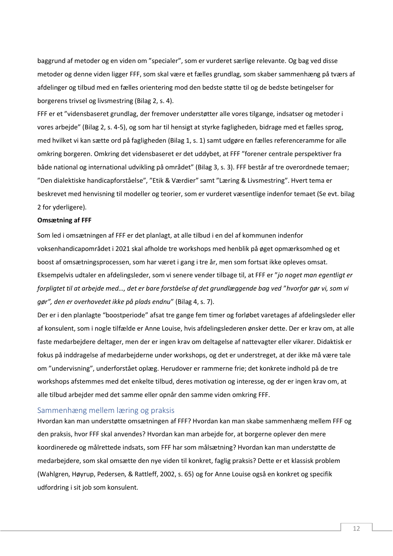baggrund af metoder og en viden om "specialer", som er vurderet særlige relevante. Og bag ved disse metoder og denne viden ligger FFF, som skal være et fælles grundlag, som skaber sammenhæng på tværs af afdelinger og tilbud med en fælles orientering mod den bedste støtte til og de bedste betingelser for borgerens trivsel og livsmestring (Bilag 2, s. 4).

FFF er et "vidensbaseret grundlag, der fremover understøtter alle vores tilgange, indsatser og metoder i vores arbejde" (Bilag 2, s. 4-5), og som har til hensigt at styrke fagligheden, bidrage med et fælles sprog, med hvilket vi kan sætte ord på fagligheden (Bilag 1, s. 1) samt udgøre en fælles referenceramme for alle omkring borgeren. Omkring det vidensbaseret er det uddybet, at FFF "forener centrale perspektiver fra både national og international udvikling på området" (Bilag 3, s. 3). FFF består af tre overordnede temaer; "Den dialektiske handicapforståelse", "Etik & Værdier" samt "Læring & Livsmestring". Hvert tema er beskrevet med henvisning til modeller og teorier, som er vurderet væsentlige indenfor temaet (Se evt. bilag 2 for yderligere).

#### **Omsætning af FFF**

Som led i omsætningen af FFF er det planlagt, at alle tilbud i en del af kommunen indenfor voksenhandicapområdet i 2021 skal afholde tre workshops med henblik på øget opmærksomhed og et boost af omsætningsprocessen, som har været i gang i tre år, men som fortsat ikke opleves omsat. Eksempelvis udtaler en afdelingsleder, som vi senere vender tilbage til, at FFF er "*jo noget man egentligt er forpligtet til at arbejde med…, det er bare forståelse af det grundlæggende bag ved* "*hvorfor gør vi, som vi gør", den er overhovedet ikke på plads endnu*" (Bilag 4, s. 7).

Der er i den planlagte "boostperiode" afsat tre gange fem timer og forløbet varetages af afdelingsleder eller af konsulent, som i nogle tilfælde er Anne Louise, hvis afdelingslederen ønsker dette. Der er krav om, at alle faste medarbejdere deltager, men der er ingen krav om deltagelse af nattevagter eller vikarer. Didaktisk er fokus på inddragelse af medarbejderne under workshops, og det er understreget, at der ikke må være tale om "undervisning", underforstået oplæg. Herudover er rammerne frie; det konkrete indhold på de tre workshops afstemmes med det enkelte tilbud, deres motivation og interesse, og der er ingen krav om, at alle tilbud arbejder med det samme eller opnår den samme viden omkring FFF.

## <span id="page-12-0"></span>Sammenhæng mellem læring og praksis

Hvordan kan man understøtte omsætningen af FFF? Hvordan kan man skabe sammenhæng mellem FFF og den praksis, hvor FFF skal anvendes? Hvordan kan man arbejde for, at borgerne oplever den mere koordinerede og målrettede indsats, som FFF har som målsætning? Hvordan kan man understøtte de medarbejdere, som skal omsætte den nye viden til konkret, faglig praksis? Dette er et klassisk problem (Wahlgren, Høyrup, Pedersen, & Rattleff, 2002, s. 65) og for Anne Louise også en konkret og specifik udfordring i sit job som konsulent.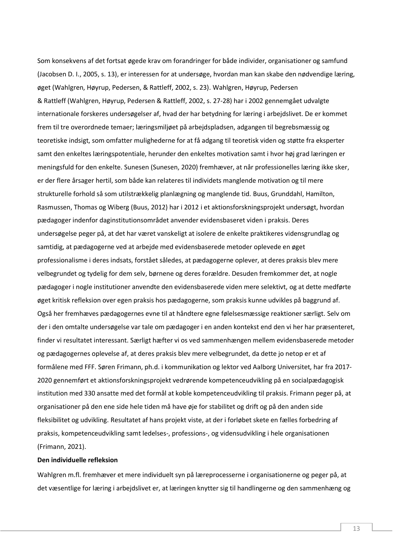Som konsekvens af det fortsat øgede krav om forandringer for både individer, organisationer og samfund (Jacobsen D. I., 2005, s. 13), er interessen for at undersøge, hvordan man kan skabe den nødvendige læring, øget (Wahlgren, Høyrup, Pedersen, & Rattleff, 2002, s. 23). Wahlgren, Høyrup, Pedersen & Rattleff (Wahlgren, Høyrup, Pedersen & Rattleff, 2002, s. 27-28) har i 2002 gennemgået udvalgte internationale forskeres undersøgelser af, hvad der har betydning for læring i arbejdslivet. De er kommet frem til tre overordnede temaer; læringsmiljøet på arbejdspladsen, adgangen til begrebsmæssig og teoretiske indsigt, som omfatter mulighederne for at få adgang til teoretisk viden og støtte fra eksperter samt den enkeltes læringspotentiale, herunder den enkeltes motivation samt i hvor høj grad læringen er meningsfuld for den enkelte. Sunesen (Sunesen, 2020) fremhæver, at når professionelles læring ikke sker, er der flere årsager hertil, som både kan relateres til individets manglende motivation og til mere strukturelle forhold så som utilstrækkelig planlægning og manglende tid. Buus, Grunddahl, Hamilton, Rasmussen, Thomas og Wiberg (Buus, 2012) har i 2012 i et aktionsforskningsprojekt undersøgt, hvordan pædagoger indenfor daginstitutionsområdet anvender evidensbaseret viden i praksis. Deres undersøgelse peger på, at det har været vanskeligt at isolere de enkelte praktikeres vidensgrundlag og samtidig, at pædagogerne ved at arbejde med evidensbaserede metoder oplevede en øget professionalisme i deres indsats, forstået således, at pædagogerne oplever, at deres praksis blev mere velbegrundet og tydelig for dem selv, børnene og deres forældre. Desuden fremkommer det, at nogle pædagoger i nogle institutioner anvendte den evidensbaserede viden mere selektivt, og at dette medførte øget kritisk refleksion over egen praksis hos pædagogerne, som praksis kunne udvikles på baggrund af. Også her fremhæves pædagogernes evne til at håndtere egne følelsesmæssige reaktioner særligt. Selv om der i den omtalte undersøgelse var tale om pædagoger i en anden kontekst end den vi her har præsenteret, finder vi resultatet interessant. Særligt hæfter vi os ved sammenhængen mellem evidensbaserede metoder og pædagogernes oplevelse af, at deres praksis blev mere velbegrundet, da dette jo netop er et af formålene med FFF. Søren Frimann, ph.d. i kommunikation og lektor ved Aalborg Universitet, har fra 2017- 2020 gennemført et aktionsforskningsprojekt vedrørende kompetenceudvikling på en socialpædagogisk institution med 330 ansatte med det formål at koble kompetenceudvikling til praksis. Frimann peger på, at organisationer på den ene side hele tiden må have øje for stabilitet og drift og på den anden side fleksibilitet og udvikling. Resultatet af hans projekt viste, at der i forløbet skete en fælles forbedring af praksis, kompetenceudvikling samt ledelses-, professions-, og vidensudvikling i hele organisationen (Frimann, 2021).

# **Den individuelle refleksion**

Wahlgren m.fl. fremhæver et mere individuelt syn på læreprocesserne i organisationerne og peger på, at det væsentlige for læring i arbejdslivet er, at læringen knytter sig til handlingerne og den sammenhæng og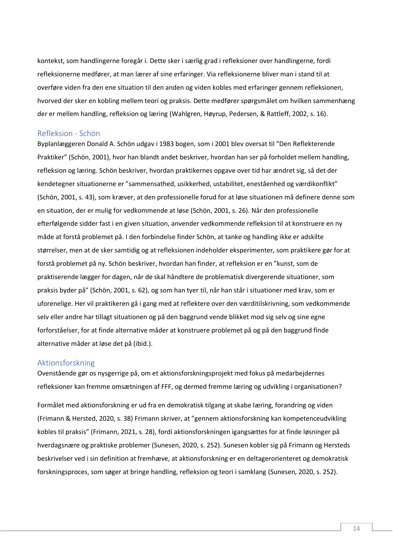kontekst, som handlingerne foregår i. Dette sker i særlig grad i refleksioner over handlingerne, fordi refleksionerne medfører, at man lærer af sine erfaringer. Via refleksionerne bliver man i stand til at overføre viden fra den ene situation til den anden og viden kobles med erfaringer gennem refleksionen, hvorved der sker en kobling mellem teori og praksis. Dette medfører spørgsmålet om hvilken sammenhæng der er mellem handling, refleksion og læring (Wahlgren, Høyrup, Pedersen, & Rattleff, 2002, s. 16).

#### <span id="page-14-0"></span>Refleksion - Schön

Byplanlæggeren Donald A. Schön udgav i 1983 bogen, som i 2001 blev oversat til "Den Reflekterende Praktiker" (Schön, 2001), hvor han blandt andet beskriver, hvordan han ser på forholdet mellem handling, refleksion og læring. Schön beskriver, hvordan praktikernes opgave over tid har ændret sig, så det der kendetegner situationerne er "sammensathed, usikkerhed, ustabilitet, eneståenhed og værdikonflikt" (Schön, 2001, s. 43), som kræver, at den professionelle forud for at løse situationen må definere denne som en situation, der er mulig for vedkommende at løse (Schön, 2001, s. 26). Når den professionelle efterfølgende sidder fast i en given situation, anvender vedkommende refleksion til at konstruere en ny måde at forstå problemet på. I den forbindelse finder Schön, at tanke og handling ikke er adskilte størrelser, men at de sker samtidig og at refleksionen indeholder eksperimenter, som praktikere gør for at forstå problemet på ny. Schön beskriver, hvordan han finder, at refleksion er en "kunst, som de praktiserende lægger for dagen, når de skal håndtere de problematisk divergerende situationer, som praksis byder på" (Schön, 2001, s. 62), og som han tyer til, når han står i situationer med krav, som er uforenelige. Her vil praktikeren gå i gang med at reflektere over den værditilskrivning, som vedkommende selv eller andre har tillagt situationen og på den baggrund vende blikket mod sig selv og sine egne forforståelser, for at finde alternative måder at konstruere problemet på og på den baggrund finde alternative måder at løse det på (ibid.).

#### <span id="page-14-1"></span>Aktionsforskning

Ovenstående gør os nysgerrige på, om et aktionsforskningsprojekt med fokus på medarbejdernes refleksioner kan fremme omsætningen af FFF, og dermed fremme læring og udvikling i organisationen?

Formålet med aktionsforskning er ud fra en demokratisk tilgang at skabe læring, forandring og viden (Frimann & Hersted, 2020, s. 38) Frimann skriver, at "gennem aktionsforskning kan kompetenceudvikling kobles til praksis" (Frimann, 2021, s. 28), fordi aktionsforskningen igangsættes for at finde løsninger på hverdagsnære og praktiske problemer (Sunesen, 2020, s. 252). Sunesen kobler sig på Frimann og Hersteds beskrivelser ved i sin definition at fremhæve, at aktionsforskning er en deltagerorienteret og demokratisk forskningsproces, som søger at bringe handling, refleksion og teori i samklang (Sunesen, 2020, s. 252).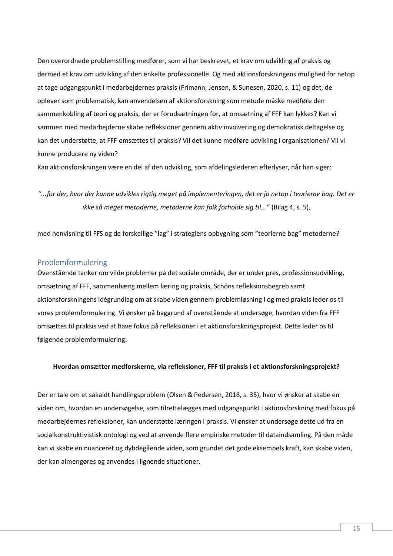Den overordnede problemstilling medfører, som vi har beskrevet, et krav om udvikling af praksis og dermed et krav om udvikling af den enkelte professionelle. Og med aktionsforskningens mulighed for netop at tage udgangspunkt i medarbejdernes praksis (Frimann, Jensen, & Sunesen, 2020, s. 11) og det, de oplever som problematisk, kan anvendelsen af aktionsforskning som metode måske medføre den sammenkobling af teori og praksis, der er forudsætningen for, at omsætning af FFF kan lykkes? Kan vi sammen med medarbejderne skabe refleksioner gennem aktiv involvering og demokratisk deltagelse og kan det understøtte, at FFF omsættes til praksis? Vil det kunne medføre udvikling i organisationen? Vil vi kunne producere ny viden?

Kan aktionsforskningen være en del af den udvikling, som afdelingslederen efterlyser, når han siger:

*"...for der, hvor der kunne udvikles rigtig meget på implementeringen, det er jo netop i teorierne bag. Det er ikke så meget metoderne, metoderne kan folk forholde sig til...*" (Bilag 4, s. 5),

med henvisning til FFS og de forskellige "lag" i strategiens opbygning som "teorierne bag" metoderne?

# <span id="page-15-0"></span>Problemformulering

Ovenstående tanker om vilde problemer på det sociale område, der er under pres, professionsudvikling, omsætning af FFF, sammenhæng mellem læring og praksis, Schöns refleksionsbegreb samt aktionsforskningens idégrundlag om at skabe viden gennem problemløsning i og med praksis leder os til vores problemformulering. Vi ønsker på baggrund af ovenstående at undersøge, hvordan viden fra FFF omsættes til praksis ved at have fokus på refleksioner i et aktionsforskningsprojekt. Dette leder os til følgende problemformulering:

#### **Hvordan omsætter medforskerne, via refleksioner, FFF til praksis i et aktionsforskningsprojekt?**

Der er tale om et såkaldt handlingsproblem (Olsen & Pedersen, 2018, s. 35), hvor vi ønsker at skabe en viden om, hvordan en undersøgelse, som tilrettelægges med udgangspunkt i aktionsforskning med fokus på medarbejdernes refleksioner, kan understøtte læringen i praksis. Vi ønsker at undersøge dette ud fra en socialkonstruktivistisk ontologi og ved at anvende flere empiriske metoder til dataindsamling. På den måde kan vi skabe en nuanceret og dybdegående viden, som grundet det gode eksempels kraft, kan skabe viden, der kan almengøres og anvendes i lignende situationer.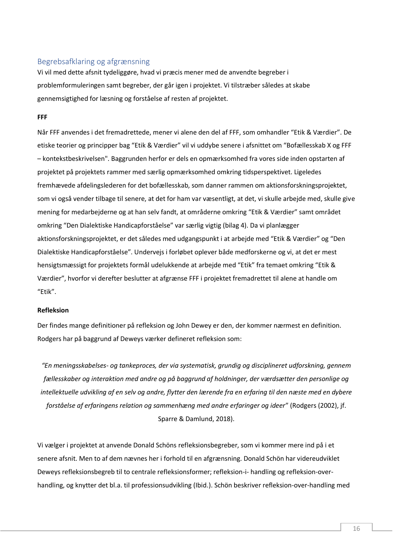# <span id="page-16-0"></span>Begrebsafklaring og afgrænsning

Vi vil med dette afsnit tydeliggøre, hvad vi præcis mener med de anvendte begreber i problemformuleringen samt begreber, der går igen i projektet. Vi tilstræber således at skabe gennemsigtighed for læsning og forståelse af resten af projektet.

## **FFF**

Når FFF anvendes i det fremadrettede, mener vi alene den del af FFF, som omhandler "Etik & Værdier". De etiske teorier og principper bag "Etik & Værdier" vil vi uddybe senere i afsnittet om "Bofællesskab X og FFF – kontekstbeskrivelsen". Baggrunden herfor er dels en opmærksomhed fra vores side inden opstarten af projektet på projektets rammer med særlig opmærksomhed omkring tidsperspektivet. Ligeledes fremhævede afdelingslederen for det bofællesskab, som danner rammen om aktionsforskningsprojektet, som vi også vender tilbage til senere, at det for ham var væsentligt, at det, vi skulle arbejde med, skulle give mening for medarbejderne og at han selv fandt, at områderne omkring "Etik & Værdier" samt området omkring "Den Dialektiske Handicapforståelse" var særlig vigtig (bilag 4). Da vi planlægger aktionsforskningsprojektet, er det således med udgangspunkt i at arbejde med "Etik & Værdier" og "Den Dialektiske Handicapforståelse". Undervejs i forløbet oplever både medforskerne og vi, at det er mest hensigtsmæssigt for projektets formål udelukkende at arbejde med "Etik" fra temaet omkring "Etik & Værdier", hvorfor vi derefter beslutter at afgrænse FFF i projektet fremadrettet til alene at handle om "Etik".

#### **Refleksion**

Der findes mange definitioner på refleksion og John Dewey er den, der kommer nærmest en definition. Rodgers har på baggrund af Deweys værker defineret refleksion som:

*"En meningsskabelses- og tankeproces, der via systematisk, grundig og disciplineret udforskning, gennem fællesskaber og interaktion med andre og på baggrund af holdninger, der værdsætter den personlige og intellektuelle udvikling af en selv og andre, flytter den lærende fra en erfaring til den næste med en dybere forståelse af erfaringens relation og sammenhæng med andre erfaringer og ideer*" (Rodgers (2002), jf. Sparre & Damlund, 2018).

Vi vælger i projektet at anvende Donald Schöns refleksionsbegreber, som vi kommer mere ind på i et senere afsnit. Men to af dem nævnes her i forhold til en afgrænsning. Donald Schön har videreudviklet Deweys refleksionsbegreb til to centrale refleksionsformer; refleksion-i- handling og refleksion-overhandling, og knytter det bl.a. til professionsudvikling (Ibid.). Schön beskriver refleksion-over-handling med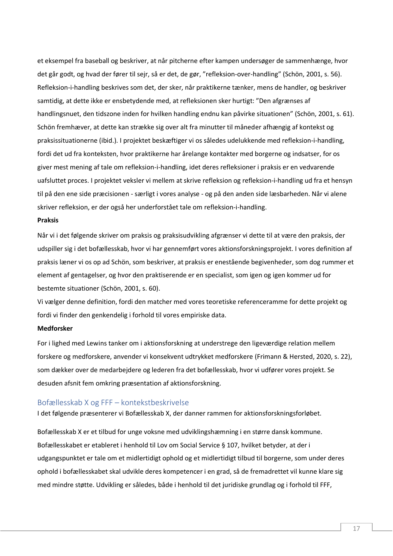et eksempel fra baseball og beskriver, at når pitcherne efter kampen undersøger de sammenhænge, hvor det går godt, og hvad der fører til sejr, så er det, de gør, "refleksion-over-handling" (Schön, 2001, s. 56). Refleksion-i-handling beskrives som det, der sker, når praktikerne tænker, mens de handler, og beskriver samtidig, at dette ikke er ensbetydende med, at refleksionen sker hurtigt: "Den afgrænses af handlingsnuet, den tidszone inden for hvilken handling endnu kan påvirke situationen" (Schön, 2001, s. 61). Schön fremhæver, at dette kan strække sig over alt fra minutter til måneder afhængig af kontekst og praksissituationerne (ibid.). I projektet beskæftiger vi os således udelukkende med refleksion-i-handling, fordi det ud fra konteksten, hvor praktikerne har årelange kontakter med borgerne og indsatser, for os giver mest mening af tale om refleksion-i-handling, idet deres refleksioner i praksis er en vedvarende uafsluttet proces. I projektet veksler vi mellem at skrive refleksion og refleksion-i-handling ud fra et hensyn til på den ene side præcisionen - særligt i vores analyse - og på den anden side læsbarheden. Når vi alene skriver refleksion, er der også her underforstået tale om refleksion-i-handling.

## **Praksis**

Når vi i det følgende skriver om praksis og praksisudvikling afgrænser vi dette til at være den praksis, der udspiller sig i det bofællesskab, hvor vi har gennemført vores aktionsforskningsprojekt. I vores definition af praksis læner vi os op ad Schön, som beskriver, at praksis er enestående begivenheder, som dog rummer et element af gentagelser, og hvor den praktiserende er en specialist, som igen og igen kommer ud for bestemte situationer (Schön, 2001, s. 60).

Vi vælger denne definition, fordi den matcher med vores teoretiske referenceramme for dette projekt og fordi vi finder den genkendelig i forhold til vores empiriske data.

# **Medforsker**

For i lighed med Lewins tanker om i aktionsforskning at understrege den ligeværdige relation mellem forskere og medforskere, anvender vi konsekvent udtrykket medforskere (Frimann & Hersted, 2020, s. 22), som dækker over de medarbejdere og lederen fra det bofællesskab, hvor vi udfører vores projekt. Se desuden afsnit fem omkring præsentation af aktionsforskning.

# <span id="page-17-0"></span>Bofællesskab X og FFF – kontekstbeskrivelse

I det følgende præsenterer vi Bofællesskab X, der danner rammen for aktionsforskningsforløbet.

Bofællesskab X er et tilbud for unge voksne med udviklingshæmning i en større dansk kommune. Bofællesskabet er etableret i henhold til Lov om Social Service § 107, hvilket betyder, at der i udgangspunktet er tale om et midlertidigt ophold og et midlertidigt tilbud til borgerne, som under deres ophold i bofællesskabet skal udvikle deres kompetencer i en grad, så de fremadrettet vil kunne klare sig med mindre støtte. Udvikling er således, både i henhold til det juridiske grundlag og i forhold til FFF,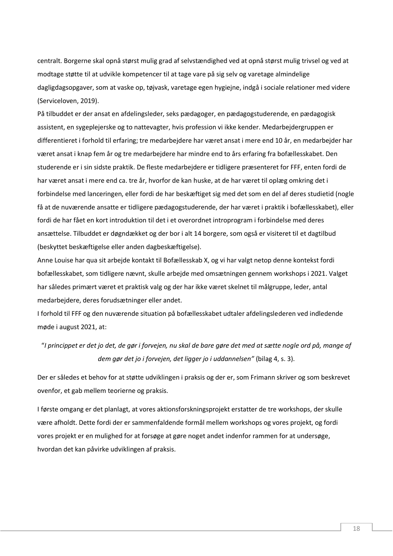centralt. Borgerne skal opnå størst mulig grad af selvstændighed ved at opnå størst mulig trivsel og ved at modtage støtte til at udvikle kompetencer til at tage vare på sig selv og varetage almindelige dagligdagsopgaver, som at vaske op, tøjvask, varetage egen hygiejne, indgå i sociale relationer med videre (Serviceloven, 2019).

På tilbuddet er der ansat en afdelingsleder, seks pædagoger, en pædagogstuderende, en pædagogisk assistent, en sygeplejerske og to nattevagter, hvis profession vi ikke kender. Medarbejdergruppen er differentieret i forhold til erfaring; tre medarbejdere har været ansat i mere end 10 år, en medarbejder har været ansat i knap fem år og tre medarbejdere har mindre end to års erfaring fra bofællesskabet. Den studerende er i sin sidste praktik. De fleste medarbejdere er tidligere præsenteret for FFF, enten fordi de har været ansat i mere end ca. tre år, hvorfor de kan huske, at de har været til oplæg omkring det i forbindelse med lanceringen, eller fordi de har beskæftiget sig med det som en del af deres studietid (nogle få at de nuværende ansatte er tidligere pædagogstuderende, der har været i praktik i bofællesskabet), eller fordi de har fået en kort introduktion til det i et overordnet introprogram i forbindelse med deres ansættelse. Tilbuddet er døgndækket og der bor i alt 14 borgere, som også er visiteret til et dagtilbud (beskyttet beskæftigelse eller anden dagbeskæftigelse).

Anne Louise har qua sit arbejde kontakt til Bofællesskab X, og vi har valgt netop denne kontekst fordi bofællesskabet, som tidligere nævnt, skulle arbejde med omsætningen gennem workshops i 2021. Valget har således primært været et praktisk valg og der har ikke været skelnet til målgruppe, leder, antal medarbejdere, deres forudsætninger eller andet.

I forhold til FFF og den nuværende situation på bofællesskabet udtaler afdelingslederen ved indledende møde i august 2021, at:

"*I princippet er det jo det, de gør i forvejen, nu skal de bare gøre det med at sætte nogle ord på, mange af dem gør det jo i forvejen, det ligger jo i uddannelsen"* (bilag 4, s. 3).

Der er således et behov for at støtte udviklingen i praksis og der er, som Frimann skriver og som beskrevet ovenfor, et gab mellem teorierne og praksis.

I første omgang er det planlagt, at vores aktionsforskningsprojekt erstatter de tre workshops, der skulle være afholdt. Dette fordi der er sammenfaldende formål mellem workshops og vores projekt, og fordi vores projekt er en mulighed for at forsøge at gøre noget andet indenfor rammen for at undersøge, hvordan det kan påvirke udviklingen af praksis.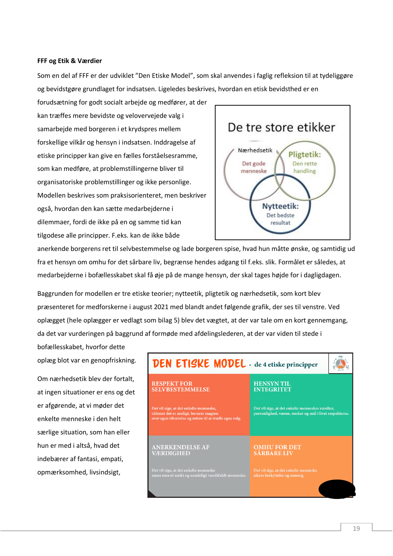#### **FFF og Etik & Værdier**

Som en del af FFF er der udviklet "Den Etiske Model", som skal anvendes i faglig refleksion til at tydeliggøre og bevidstgøre grundlaget for indsatsen. Ligeledes beskrives, hvordan en etisk bevidsthed er en

forudsætning for godt socialt arbejde og medfører, at der kan træffes mere bevidste og velovervejede valg i samarbejde med borgeren i et krydspres mellem forskellige vilkår og hensyn i indsatsen. Inddragelse af etiske principper kan give en fælles forståelsesramme, som kan medføre, at problemstillingerne bliver til organisatoriske problemstillinger og ikke personlige. Modellen beskrives som praksisorienteret, men beskriver også, hvordan den kan sætte medarbejderne i dilemmaer, fordi de ikke på en og samme tid kan tilgodese alle principper. F.eks. kan de ikke både



anerkende borgerens ret til selvbestemmelse og lade borgeren spise, hvad hun måtte ønske, og samtidig ud fra et hensyn om omhu for det sårbare liv, begrænse hendes adgang til f.eks. slik. Formålet er således, at medarbejderne i bofællesskabet skal få øje på de mange hensyn, der skal tages højde for i dagligdagen.

Baggrunden for modellen er tre etiske teorier; nytteetik, pligtetik og nærhedsetik, som kort blev præsenteret for medforskerne i august 2021 med blandt andet følgende grafik, der ses til venstre. Ved oplægget (hele oplægger er vedlagt som bilag 5) blev det vægtet, at der var tale om en kort gennemgang, da det var vurderingen på baggrund af formøde med afdelingslederen, at der var viden til stede i

bofællesskabet, hvorfor dette oplæg blot var en genopfriskning.

Om nærhedsetik blev der fortalt, at ingen situationer er ens og det er afgørende, at vi møder det enkelte menneske i den helt særlige situation, som han eller hun er med i altså, hvad det indebærer af fantasi, empati, opmærksomhed, livsindsigt,

| <b>DEN ETISKE MODEL</b> - de 4 etiske principper                                                                                           |                                                                                                            |  |
|--------------------------------------------------------------------------------------------------------------------------------------------|------------------------------------------------------------------------------------------------------------|--|
| <b>RESPEKT FOR</b><br><b>SELVBESTEMMELSE</b>                                                                                               | <b>HENSYN TIL</b><br><b>INTEGRITET</b>                                                                     |  |
| Det vil sige, at det enkelte menneske,<br>såfremt det er muligt, bevarer magten<br>over egen tilværelse og retten til at træffe egne valg. | Det vil sige, at det enkelte menneskes værdier,<br>personlighed, væren, ønsker og mål i livet respekteres. |  |
| <b>ANERKENDELSE AF</b><br><b>VÆRDIGHED</b>                                                                                                 | <b>OMHU FOR DET</b><br><b>SÅRBARE LIV</b>                                                                  |  |
| Det vil sige, at det enkelte menneske<br>anses som et unikt og uendeligt værdifuldt menneske.                                              | Det vil sige, at det enkelte menneske<br>sikres beskyttelse og omsorg.                                     |  |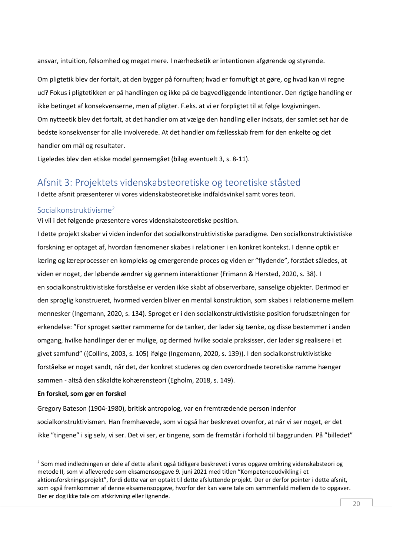ansvar, intuition, følsomhed og meget mere. I nærhedsetik er intentionen afgørende og styrende.

Om pligtetik blev der fortalt, at den bygger på fornuften; hvad er fornuftigt at gøre, og hvad kan vi regne ud? Fokus i pligtetikken er på handlingen og ikke på de bagvedliggende intentioner. Den rigtige handling er ikke betinget af konsekvenserne, men af pligter. F.eks. at vi er forpligtet til at følge lovgivningen. Om nytteetik blev det fortalt, at det handler om at vælge den handling eller indsats, der samlet set har de bedste konsekvenser for alle involverede. At det handler om fællesskab frem for den enkelte og det handler om mål og resultater.

Ligeledes blev den etiske model gennemgået (bilag eventuelt 3, s. 8-11).

# <span id="page-20-0"></span>Afsnit 3: Projektets videnskabsteoretiske og teoretiske ståsted

I dette afsnit præsenterer vi vores videnskabsteoretiske indfaldsvinkel samt vores teori.

# <span id="page-20-1"></span>Socialkonstruktivisme<sup>2</sup>

Vi vil i det følgende præsentere vores videnskabsteoretiske position.

I dette projekt skaber vi viden indenfor det socialkonstruktivistiske paradigme. Den socialkonstruktivistiske forskning er optaget af, hvordan fænomener skabes i relationer i en konkret kontekst. I denne optik er læring og læreprocesser en kompleks og emergerende proces og viden er "flydende", forstået således, at viden er noget, der løbende ændrer sig gennem interaktioner (Frimann & Hersted, 2020, s. 38). I en socialkonstruktivistiske forståelse er verden ikke skabt af observerbare, sanselige objekter. Derimod er den sproglig konstrueret, hvormed verden bliver en mental konstruktion, som skabes i relationerne mellem mennesker (Ingemann, 2020, s. 134). Sproget er i den socialkonstruktivistiske position forudsætningen for erkendelse: "For sproget sætter rammerne for de tanker, der lader sig tænke, og disse bestemmer i anden omgang, hvilke handlinger der er mulige, og dermed hvilke sociale praksisser, der lader sig realisere i et givet samfund" ((Collins, 2003, s. 105) ifølge (Ingemann, 2020, s. 139)). I den socialkonstruktivistiske forståelse er noget sandt, når det, der konkret studeres og den overordnede teoretiske ramme hænger sammen - altså den såkaldte kohærensteori (Egholm, 2018, s. 149).

#### **En forskel, som gør en forskel**

Gregory Bateson (1904-1980), britisk antropolog, var en fremtrædende person indenfor socialkonstruktivismen. Han fremhævede, som vi også har beskrevet ovenfor, at når vi ser noget, er det ikke "tingene" i sig selv, vi ser. Det vi ser, er tingene, som de fremstår i forhold til baggrunden. På "billedet"

<sup>&</sup>lt;sup>2</sup> Som med indledningen er dele af dette afsnit også tidligere beskrevet i vores opgave omkring videnskabsteori og metode II, som vi afleverede som eksamensopgave 9. juni 2021 med titlen "Kompetenceudvikling i et aktionsforskningsprojekt", fordi dette var en optakt til dette afsluttende projekt. Der er derfor pointer i dette afsnit, som også fremkommer af denne eksamensopgave, hvorfor der kan være tale om sammenfald mellem de to opgaver. Der er dog ikke tale om afskrivning eller lignende.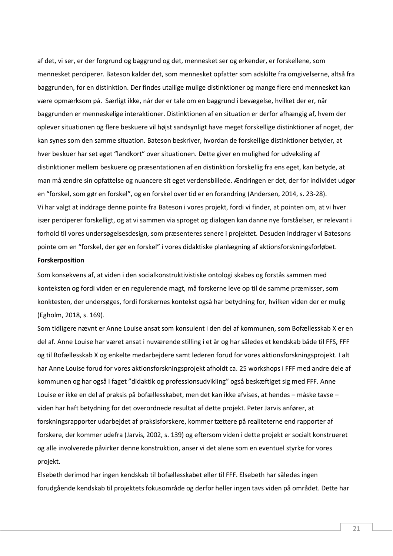af det, vi ser, er der forgrund og baggrund og det, mennesket ser og erkender, er forskellene, som mennesket perciperer. Bateson kalder det, som mennesket opfatter som adskilte fra omgivelserne, altså fra baggrunden, for en distinktion. Der findes utallige mulige distinktioner og mange flere end mennesket kan være opmærksom på. Særligt ikke, når der er tale om en baggrund i bevægelse, hvilket der er, når baggrunden er menneskelige interaktioner. Distinktionen af en situation er derfor afhængig af, hvem der oplever situationen og flere beskuere vil højst sandsynligt have meget forskellige distinktioner af noget, der kan synes som den samme situation. Bateson beskriver, hvordan de forskellige distinktioner betyder, at hver beskuer har set eget "landkort" over situationen. Dette giver en mulighed for udveksling af distinktioner mellem beskuere og præsentationen af en distinktion forskellig fra ens eget, kan betyde, at man må ændre sin opfattelse og nuancere sit eget verdensbillede. Ændringen er det, der for individet udgør en "forskel, som gør en forskel", og en forskel over tid er en forandring (Andersen, 2014, s. 23-28). Vi har valgt at inddrage denne pointe fra Bateson i vores projekt, fordi vi finder, at pointen om, at vi hver især perciperer forskelligt, og at vi sammen via sproget og dialogen kan danne nye forståelser, er relevant i forhold til vores undersøgelsesdesign, som præsenteres senere i projektet. Desuden inddrager vi Batesons pointe om en "forskel, der gør en forskel" i vores didaktiske planlægning af aktionsforskningsforløbet.

## **Forskerposition**

Som konsekvens af, at viden i den socialkonstruktivistiske ontologi skabes og forstås sammen med konteksten og fordi viden er en regulerende magt, må forskerne leve op til de samme præmisser, som konktesten, der undersøges, fordi forskernes kontekst også har betydning for, hvilken viden der er mulig (Egholm, 2018, s. 169).

Som tidligere nævnt er Anne Louise ansat som konsulent i den del af kommunen, som Bofællesskab X er en del af. Anne Louise har været ansat i nuværende stilling i et år og har således et kendskab både til FFS, FFF og til Bofællesskab X og enkelte medarbejdere samt lederen forud for vores aktionsforskningsprojekt. I alt har Anne Louise forud for vores aktionsforskningsprojekt afholdt ca. 25 workshops i FFF med andre dele af kommunen og har også i faget "didaktik og professionsudvikling" også beskæftiget sig med FFF. Anne Louise er ikke en del af praksis på bofællesskabet, men det kan ikke afvises, at hendes – måske tavse – viden har haft betydning for det overordnede resultat af dette projekt. Peter Jarvis anfører, at forskningsrapporter udarbejdet af praksisforskere, kommer tættere på realiteterne end rapporter af forskere, der kommer udefra (Jarvis, 2002, s. 139) og eftersom viden i dette projekt er socialt konstrueret og alle involverede påvirker denne konstruktion, anser vi det alene som en eventuel styrke for vores projekt.

Elsebeth derimod har ingen kendskab til bofællesskabet eller til FFF. Elsebeth har således ingen forudgående kendskab til projektets fokusområde og derfor heller ingen tavs viden på området. Dette har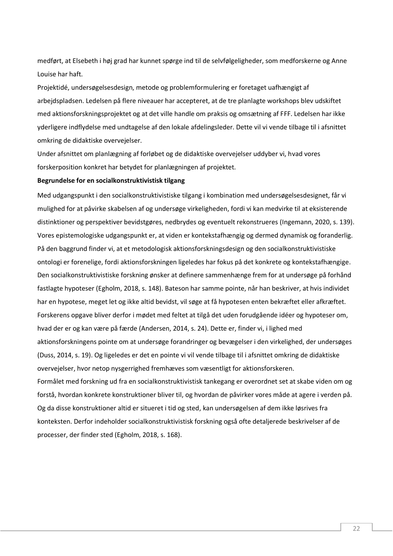medført, at Elsebeth i høj grad har kunnet spørge ind til de selvfølgeligheder, som medforskerne og Anne Louise har haft.

Projektidé, undersøgelsesdesign, metode og problemformulering er foretaget uafhængigt af arbejdspladsen. Ledelsen på flere niveauer har accepteret, at de tre planlagte workshops blev udskiftet med aktionsforskningsprojektet og at det ville handle om praksis og omsætning af FFF. Ledelsen har ikke yderligere indflydelse med undtagelse af den lokale afdelingsleder. Dette vil vi vende tilbage til i afsnittet omkring de didaktiske overvejelser.

Under afsnittet om planlægning af forløbet og de didaktiske overvejelser uddyber vi, hvad vores forskerposition konkret har betydet for planlægningen af projektet.

#### **Begrundelse for en socialkonstruktivistisk tilgang**

Med udgangspunkt i den socialkonstruktivistiske tilgang i kombination med undersøgelsesdesignet, får vi mulighed for at påvirke skabelsen af og undersøge virkeligheden, fordi vi kan medvirke til at eksisterende distinktioner og perspektiver bevidstgøres, nedbrydes og eventuelt rekonstrueres (Ingemann, 2020, s. 139). Vores epistemologiske udgangspunkt er, at viden er kontekstafhængig og dermed dynamisk og foranderlig. På den baggrund finder vi, at et metodologisk aktionsforskningsdesign og den socialkonstruktivistiske ontologi er forenelige, fordi aktionsforskningen ligeledes har fokus på det konkrete og kontekstafhængige. Den socialkonstruktivistiske forskning ønsker at definere sammenhænge frem for at undersøge på forhånd fastlagte hypoteser (Egholm, 2018, s. 148). Bateson har samme pointe, når han beskriver, at hvis individet har en hypotese, meget let og ikke altid bevidst, vil søge at få hypotesen enten bekræftet eller afkræftet. Forskerens opgave bliver derfor i mødet med feltet at tilgå det uden forudgående idéer og hypoteser om, hvad der er og kan være på færde (Andersen, 2014, s. 24). Dette er, finder vi, i lighed med aktionsforskningens pointe om at undersøge forandringer og bevægelser i den virkelighed, der undersøges (Duss, 2014, s. 19). Og ligeledes er det en pointe vi vil vende tilbage til i afsnittet omkring de didaktiske overvejelser, hvor netop nysgerrighed fremhæves som væsentligt for aktionsforskeren. Formålet med forskning ud fra en socialkonstruktivistisk tankegang er overordnet set at skabe viden om og forstå, hvordan konkrete konstruktioner bliver til, og hvordan de påvirker vores måde at agere i verden på. Og da disse konstruktioner altid er situeret i tid og sted, kan undersøgelsen af dem ikke løsrives fra konteksten. Derfor indeholder socialkonstruktivistisk forskning også ofte detaljerede beskrivelser af de processer, der finder sted (Egholm, 2018, s. 168).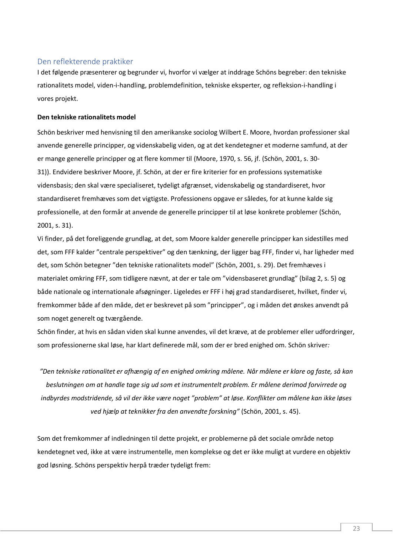# <span id="page-23-0"></span>Den reflekterende praktiker

I det følgende præsenterer og begrunder vi, hvorfor vi vælger at inddrage Schöns begreber: den tekniske rationalitets model, viden-i-handling, problemdefinition, tekniske eksperter, og refleksion-i-handling i vores projekt.

## **Den tekniske rationalitets model**

Schön beskriver med henvisning til den amerikanske sociolog Wilbert E. Moore, hvordan professioner skal anvende generelle principper, og videnskabelig viden, og at det kendetegner et moderne samfund, at der er mange generelle principper og at flere kommer til (Moore, 1970, s. 56, jf. (Schön, 2001, s. 30- 31)). Endvidere beskriver Moore, jf. Schön, at der er fire kriterier for en professions systematiske vidensbasis; den skal være specialiseret, tydeligt afgrænset, videnskabelig og standardiseret, hvor standardiseret fremhæves som det vigtigste. Professionens opgave er således, for at kunne kalde sig professionelle, at den formår at anvende de generelle principper til at løse konkrete problemer (Schön, 2001, s. 31).

Vi finder, på det foreliggende grundlag, at det, som Moore kalder generelle principper kan sidestilles med det, som FFF kalder "centrale perspektiver" og den tænkning, der ligger bag FFF, finder vi, har ligheder med det, som Schön betegner "den tekniske rationalitets model" (Schön, 2001, s. 29). Det fremhæves i materialet omkring FFF, som tidligere nævnt, at der er tale om "vidensbaseret grundlag" (bilag 2, s. 5) og både nationale og internationale afsøgninger. Ligeledes er FFF i høj grad standardiseret, hvilket, finder vi, fremkommer både af den måde, det er beskrevet på som "principper", og i måden det ønskes anvendt på som noget generelt og tværgående.

Schön finder, at hvis en sådan viden skal kunne anvendes, vil det kræve, at de problemer eller udfordringer, som professionerne skal løse, har klart definerede mål, som der er bred enighed om. Schön skriver*:*

*"Den tekniske rationalitet er afhængig af en enighed omkring målene. Når målene er klare og faste, så kan beslutningen om at handle tage sig ud som et instrumentelt problem. Er målene derimod forvirrede og indbyrdes modstridende, så vil der ikke være noget "problem" at løse. Konflikter om målene kan ikke løses ved hjælp at teknikker fra den anvendte forskning"* (Schön, 2001, s. 45).

Som det fremkommer af indledningen til dette projekt, er problemerne på det sociale område netop kendetegnet ved, ikke at være instrumentelle, men komplekse og det er ikke muligt at vurdere en objektiv god løsning. Schöns perspektiv herpå træder tydeligt frem: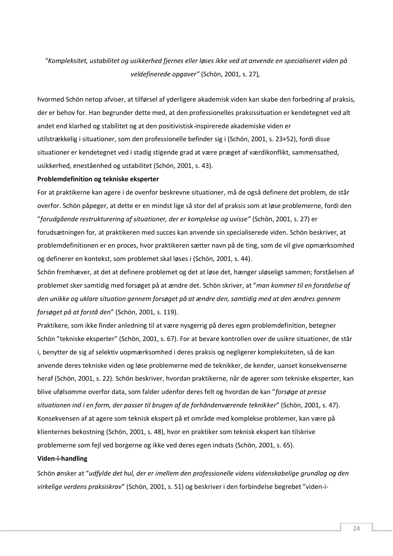# *"Kompleksitet, ustabilitet og usikkerhed fjernes eller løses ikke ved at anvende en specialiseret viden på veldefinerede opgaver"* (Schön, 2001, s. 27)*,*

hvormed Schön netop afviser, at tilførsel af yderligere akademisk viden kan skabe den forbedring af praksis, der er behov for. Han begrunder dette med, at den professionelles praksissituation er kendetegnet ved alt andet end klarhed og stabilitet og at den positivistisk-inspirerede akademiske viden er utilstrækkelig i situationer, som den professionelle befinder sig i (Schön, 2001, s. 23+52), fordi disse situationer er kendetegnet ved i stadig stigende grad at være præget af værdikonflikt, sammensathed, usikkerhed, eneståenhed og ustabilitet (Schön, 2001, s. 43).

## **Problemdefinition og tekniske eksperter**

For at praktikerne kan agere i de ovenfor beskrevne situationer, må de også definere det problem, de står overfor. Schön påpeger, at dette er en mindst lige så stor del af praksis som at løse problemerne, fordi den "*forudgående restrukturering af situationer, der er komplekse og uvisse"* (Schön, 2001, s. 27) er forudsætningen for, at praktikeren med succes kan anvende sin specialiserede viden. Schön beskriver, at problemdefinitionen er en proces, hvor praktikeren sætter navn på de ting, som de vil give opmærksomhed og definerer en kontekst, som problemet skal løses i (Schön, 2001, s. 44).

Schön fremhæver, at det at definere problemet og det at løse det, hænger uløseligt sammen; forståelsen af problemet sker samtidig med forsøget på at ændre det. Schön skriver, at "*man kommer til en forståelse af den unikke og uklare situation gennem forsøget på at ændre den, samtidig med at den ændres gennem forsøget på at forstå den*" (Schön, 2001, s. 119).

Praktikere, som ikke finder anledning til at være nysgerrig på deres egen problemdefinition, betegner Schön "tekniske eksperter" (Schön, 2001, s. 67). For at bevare kontrollen over de usikre situationer, de står i, benytter de sig af selektiv uopmærksomhed i deres praksis og negligerer kompleksiteten, så de kan anvende deres tekniske viden og løse problemerne med de teknikker, de kender, uanset konsekvenserne heraf (Schön, 2001, s. 22). Schön beskriver, hvordan praktikerne, når de agerer som tekniske eksperter, kan blive ufølsomme overfor data, som falder udenfor deres felt og hvordan de kan "*forsøge at presse situationen ind i en form, der passer til brugen af de forhåndenværende teknikker*" (Schön, 2001, s. 47). Konsekvensen af at agere som teknisk ekspert på et område med komplekse problemer, kan være på klienternes bekostning (Schön, 2001, s. 48), hvor en praktiker som teknisk ekspert kan tilskrive problemerne som fejl ved borgerne og ikke ved deres egen indsats (Schön, 2001, s. 65).

#### **Viden-i-handling**

Schön ønsker at "*udfylde det hul, der er imellem den professionelle videns videnskabelige grundlag og den virkelige verdens praksiskrav*" (Schön, 2001, s. 51) og beskriver i den forbindelse begrebet "viden-i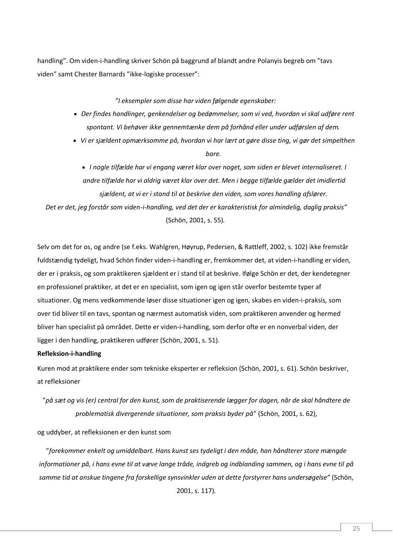handling". Om viden-i-handling skriver Schön på baggrund af blandt andre Polanyis begreb om "tavs viden" samt Chester Barnards "ikke-logiske processer":

*"I eksempler som disse har viden følgende egenskaber:*

- *Der findes handlinger, genkendelser og bedømmelser, som vi ved, hvordan vi skal udføre rent spontant. Vi behøver ikke gennemtænke dem på forhånd eller under udførslen af dem.*
- *Vi er sjældent opmærksomme på, hvordan vi har lært at gøre disse ting, vi gør det simpelthen bare.*

• *I nogle tilfælde har vi engang været klar over noget, som siden er blevet internaliseret. I andre tilfælde har vi aldrig været klar over det. Men i begge tilfælde gælder det imidlertid sjældent, at vi er i stand til at beskrive den viden, som vores handling afslører.*

*Det er det, jeg forstår som viden-i-handling, ved det der er karakteristisk for almindelig, daglig praksis"* (Schön, 2001, s. 55)*.*

Selv om det for os, og andre (se f.eks. Wahlgren, Høyrup, Pedersen, & Rattleff, 2002, s. 102) ikke fremstår fuldstændig tydeligt, hvad Schön finder viden-i-handling er, fremkommer det, at viden-i-handling er viden, der er i praksis, og som praktikeren sjældent er i stand til at beskrive. Ifølge Schön er det, der kendetegner en professionel praktiker, at det er en specialist, som igen og igen står overfor bestemte typer af situationer. Og mens vedkommende løser disse situationer igen og igen, skabes en viden-i-praksis, som over tid bliver til en tavs, spontan og nærmest automatisk viden, som praktikeren anvender og hermed bliver han specialist på området. Dette er viden-i-handling, som derfor ofte er en nonverbal viden, der ligger i den handling, praktikeren udfører (Schön, 2001, s. 51).

# **Refleksion-i-handling**

Kuren mod at praktikere ender som tekniske eksperter er refleksion (Schön, 2001, s. 61). Schön beskriver, at refleksioner

"*på sæt og vis (er) central for den kunst, som de praktiserende lægger for dagen, når de skal håndtere de problematisk divergerende situationer, som praksis byder på*" (Schön, 2001, s. 62),

og uddyber, at refleksionen er den kunst som

"*forekommer enkelt og umiddelbart. Hans kunst ses tydeligt i den måde, han håndterer store mængde informationer på, i hans evne til at væve lange tråde, indgreb og indblanding sammen, og i hans evne til på samme tid at anskue tingene fra forskellige synsvinkler uden at dette forstyrrer hans undersøgelse"* (Schön, 2001, s. 117)*.*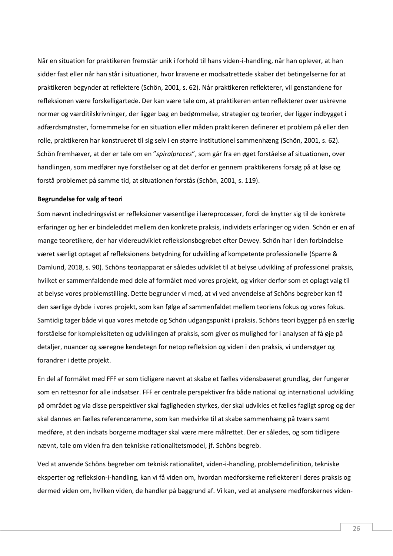Når en situation for praktikeren fremstår unik i forhold til hans viden-i-handling, når han oplever, at han sidder fast eller når han står i situationer, hvor kravene er modsatrettede skaber det betingelserne for at praktikeren begynder at reflektere (Schön, 2001, s. 62). Når praktikeren reflekterer, vil genstandene for refleksionen være forskelligartede. Der kan være tale om, at praktikeren enten reflekterer over uskrevne normer og værditilskrivninger, der ligger bag en bedømmelse, strategier og teorier, der ligger indbygget i adfærdsmønster, fornemmelse for en situation eller måden praktikeren definerer et problem på eller den rolle, praktikeren har konstrueret til sig selv i en større institutionel sammenhæng (Schön, 2001, s. 62). Schön fremhæver, at der er tale om en "*spiralproces*", som går fra en øget forståelse af situationen, over handlingen, som medfører nye forståelser og at det derfor er gennem praktikerens forsøg på at løse og forstå problemet på samme tid, at situationen forstås (Schön, 2001, s. 119).

#### **Begrundelse for valg af teori**

Som nævnt indledningsvist er refleksioner væsentlige i læreprocesser, fordi de knytter sig til de konkrete erfaringer og her er bindeleddet mellem den konkrete praksis, individets erfaringer og viden. Schön er en af mange teoretikere, der har videreudviklet refleksionsbegrebet efter Dewey. Schön har i den forbindelse været særligt optaget af refleksionens betydning for udvikling af kompetente professionelle (Sparre & Damlund, 2018, s. 90). Schöns teoriapparat er således udviklet til at belyse udvikling af professionel praksis, hvilket er sammenfaldende med dele af formålet med vores projekt, og virker derfor som et oplagt valg til at belyse vores problemstilling. Dette begrunder vi med, at vi ved anvendelse af Schöns begreber kan få den særlige dybde i vores projekt, som kan følge af sammenfaldet mellem teoriens fokus og vores fokus. Samtidig tager både vi qua vores metode og Schön udgangspunkt i praksis. Schöns teori bygger på en særlig forståelse for kompleksiteten og udviklingen af praksis, som giver os mulighed for i analysen af få øje på detaljer, nuancer og særegne kendetegn for netop refleksion og viden i den praksis, vi undersøger og forandrer i dette projekt.

En del af formålet med FFF er som tidligere nævnt at skabe et fælles vidensbaseret grundlag, der fungerer som en rettesnor for alle indsatser. FFF er centrale perspektiver fra både national og international udvikling på området og via disse perspektiver skal fagligheden styrkes, der skal udvikles et fælles fagligt sprog og der skal dannes en fælles referenceramme, som kan medvirke til at skabe sammenhæng på tværs samt medføre, at den indsats borgerne modtager skal være mere målrettet. Der er således, og som tidligere nævnt, tale om viden fra den tekniske rationalitetsmodel, jf. Schöns begreb.

Ved at anvende Schöns begreber om teknisk rationalitet, viden-i-handling, problemdefinition, tekniske eksperter og refleksion-i-handling, kan vi få viden om, hvordan medforskerne reflekterer i deres praksis og dermed viden om, hvilken viden, de handler på baggrund af. Vi kan, ved at analysere medforskernes viden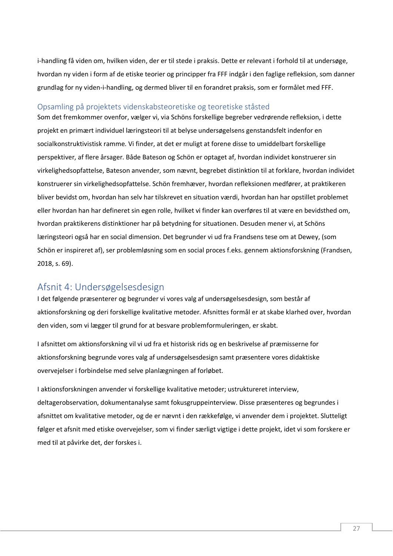i-handling få viden om, hvilken viden, der er til stede i praksis. Dette er relevant i forhold til at undersøge, hvordan ny viden i form af de etiske teorier og principper fra FFF indgår i den faglige refleksion, som danner grundlag for ny viden-i-handling, og dermed bliver til en forandret praksis, som er formålet med FFF.

# <span id="page-27-0"></span>Opsamling på projektets videnskabsteoretiske og teoretiske ståsted

Som det fremkommer ovenfor, vælger vi, via Schöns forskellige begreber vedrørende refleksion, i dette projekt en primært individuel læringsteori til at belyse undersøgelsens genstandsfelt indenfor en socialkonstruktivistisk ramme. Vi finder, at det er muligt at forene disse to umiddelbart forskellige perspektiver, af flere årsager. Både Bateson og Schön er optaget af, hvordan individet konstruerer sin virkelighedsopfattelse, Bateson anvender, som nævnt, begrebet distinktion til at forklare, hvordan individet konstruerer sin virkelighedsopfattelse. Schön fremhæver, hvordan refleksionen medfører, at praktikeren bliver bevidst om, hvordan han selv har tilskrevet en situation værdi, hvordan han har opstillet problemet eller hvordan han har defineret sin egen rolle, hvilket vi finder kan overføres til at være en bevidsthed om, hvordan praktikerens distinktioner har på betydning for situationen. Desuden mener vi, at Schöns læringsteori også har en social dimension. Det begrunder vi ud fra Frandsens tese om at Dewey, (som Schön er inspireret af), ser problemløsning som en social proces f.eks. gennem aktionsforskning (Frandsen, 2018, s. 69).

# <span id="page-27-1"></span>Afsnit 4: Undersøgelsesdesign

I det følgende præsenterer og begrunder vi vores valg af undersøgelsesdesign, som består af aktionsforskning og deri forskellige kvalitative metoder. Afsnittes formål er at skabe klarhed over, hvordan den viden, som vi lægger til grund for at besvare problemformuleringen, er skabt.

I afsnittet om aktionsforskning vil vi ud fra et historisk rids og en beskrivelse af præmisserne for aktionsforskning begrunde vores valg af undersøgelsesdesign samt præsentere vores didaktiske overvejelser i forbindelse med selve planlægningen af forløbet.

I aktionsforskningen anvender vi forskellige kvalitative metoder; ustruktureret interview, deltagerobservation, dokumentanalyse samt fokusgruppeinterview. Disse præsenteres og begrundes i afsnittet om kvalitative metoder, og de er nævnt i den rækkefølge, vi anvender dem i projektet. Slutteligt følger et afsnit med etiske overvejelser, som vi finder særligt vigtige i dette projekt, idet vi som forskere er med til at påvirke det, der forskes i.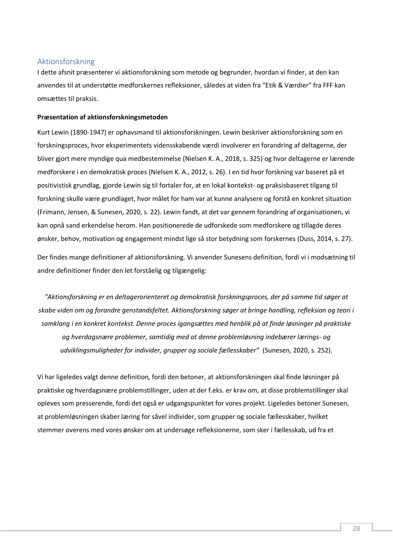# <span id="page-28-0"></span>Aktionsforskning

I dette afsnit præsenterer vi aktionsforskning som metode og begrunder, hvordan vi finder, at den kan anvendes til at understøtte medforskernes refleksioner, således at viden fra "Etik & Værdier" fra FFF kan omsættes til praksis.

## **Præsentation af aktionsforskningsmetoden**

Kurt Lewin (1890-1947) er ophavsmand til aktionsforskningen. Lewin beskriver aktionsforskning som en forskningsproces, hvor eksperimentets vidensskabende værdi involverer en forandring af deltagerne, der bliver gjort mere myndige qua medbestemmelse (Nielsen K. A., 2018, s. 325) og hvor deltagerne er lærende medforskere i en demokratisk proces (Nielsen K. A., 2012, s. 26). I en tid hvor forskning var baseret på et positivistisk grundlag, gjorde Lewin sig til fortaler for, at en lokal kontekst- og praksisbaseret tilgang til forskning skulle være grundlaget, hvor målet for ham var at kunne analysere og forstå en konkret situation (Frimann, Jensen, & Sunesen, 2020, s. 22). Lewin fandt, at det var gennem forandring af organisationen, vi kan opnå sand erkendelse herom. Han positionerede de udforskede som medforskere og tillagde deres ønsker, behov, motivation og engagement mindst lige så stor betydning som forskernes (Duss, 2014, s. 27).

Der findes mange definitioner af aktionsforskning. Vi anvender Sunesens definition, fordi vi i modsætning til andre definitioner finder den let forståelig og tilgængelig:

*"Aktionsforskning er en deltagerorienteret og demokratisk forskningsproces, der på samme tid søger at skabe viden om og forandre genstandsfeltet. Aktionsforskning søger at bringe handling, refleksion og teori i samklang i en konkret kontekst. Denne proces igangsættes med henblik på at finde løsninger på praktiske og hverdagsnære problemer, samtidig med at denne problemløsning indebærer lærings- og udviklingsmuligheder for individer, grupper og sociale fællesskaber"* (Sunesen, 2020, s. 252).

Vi har ligeledes valgt denne definition, fordi den betoner, at aktionsforskningen skal finde løsninger på praktiske og hverdagsnære problemstillinger, uden at der f.eks. er krav om, at disse problemstillinger skal opleves som presserende, fordi det også er udgangspunktet for vores projekt. Ligeledes betoner Sunesen, at problemløsningen skaber læring for såvel individer, som grupper og sociale fællesskaber, hvilket stemmer overens med vores ønsker om at undersøge refleksionerne, som sker i fællesskab, ud fra et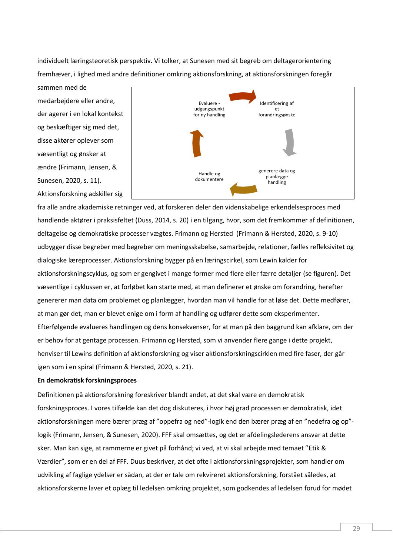individuelt læringsteoretisk perspektiv. Vi tolker, at Sunesen med sit begreb om deltagerorientering fremhæver, i lighed med andre definitioner omkring aktionsforskning, at aktionsforskningen foregår sammen med de

medarbejdere eller andre, der agerer i en lokal kontekst og beskæftiger sig med det, disse aktører oplever som væsentligt og ønsker at ændre (Frimann, Jensen, & Sunesen, 2020, s. 11). Aktionsforskning adskiller sig



fra alle andre akademiske retninger ved, at forskeren deler den videnskabelige erkendelsesproces med handlende aktører i praksisfeltet (Duss, 2014, s. 20) i en tilgang, hvor, som det fremkommer af definitionen, deltagelse og demokratiske processer vægtes. Frimann og Hersted (Frimann & Hersted, 2020, s. 9-10) udbygger disse begreber med begreber om meningsskabelse, samarbejde, relationer, fælles refleksivitet og dialogiske læreprocesser. Aktionsforskning bygger på en læringscirkel, som Lewin kalder for aktionsforskningscyklus, og som er gengivet i mange former med flere eller færre detaljer (se figuren). Det væsentlige i cyklussen er, at forløbet kan starte med, at man definerer et ønske om forandring, herefter genererer man data om problemet og planlægger, hvordan man vil handle for at løse det. Dette medfører, at man gør det, man er blevet enige om i form af handling og udfører dette som eksperimenter. Efterfølgende evalueres handlingen og dens konsekvenser, for at man på den baggrund kan afklare, om der er behov for at gentage processen. Frimann og Hersted, som vi anvender flere gange i dette projekt, henviser til Lewins definition af aktionsforskning og viser aktionsforskningscirklen med fire faser, der går igen som i en spiral (Frimann & Hersted, 2020, s. 21).

# **En demokratisk forskningsproces**

Definitionen på aktionsforskning foreskriver blandt andet, at det skal være en demokratisk forskningsproces. I vores tilfælde kan det dog diskuteres, i hvor høj grad processen er demokratisk, idet aktionsforskningen mere bærer præg af "oppefra og ned"-logik end den bærer præg af en "nedefra og op" logik (Frimann, Jensen, & Sunesen, 2020). FFF skal omsættes, og det er afdelingslederens ansvar at dette sker. Man kan sige, at rammerne er givet på forhånd; vi ved, at vi skal arbejde med temaet "Etik & Værdier", som er en del af FFF. Duus beskriver, at det ofte i aktionsforskningsprojekter, som handler om udvikling af faglige ydelser er sådan, at der er tale om rekvireret aktionsforskning, forstået således, at aktionsforskerne laver et oplæg til ledelsen omkring projektet, som godkendes af ledelsen forud for mødet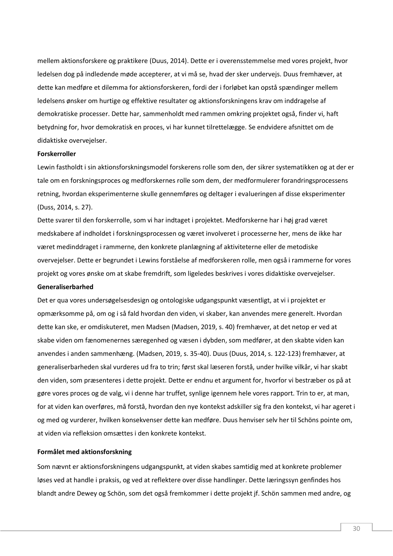mellem aktionsforskere og praktikere (Duus, 2014). Dette er i overensstemmelse med vores projekt, hvor ledelsen dog på indledende møde accepterer, at vi må se, hvad der sker undervejs. Duus fremhæver, at dette kan medføre et dilemma for aktionsforskeren, fordi der i forløbet kan opstå spændinger mellem ledelsens ønsker om hurtige og effektive resultater og aktionsforskningens krav om inddragelse af demokratiske processer. Dette har, sammenholdt med rammen omkring projektet også, finder vi, haft betydning for, hvor demokratisk en proces, vi har kunnet tilrettelægge. Se endvidere afsnittet om de didaktiske overvejelser.

#### **Forskerroller**

Lewin fastholdt i sin aktionsforskningsmodel forskerens rolle som den, der sikrer systematikken og at der er tale om en forskningsproces og medforskernes rolle som dem, der medformulerer forandringsprocessens retning, hvordan eksperimenterne skulle gennemføres og deltager i evalueringen af disse eksperimenter (Duss, 2014, s. 27).

Dette svarer til den forskerrolle, som vi har indtaget i projektet. Medforskerne har i høj grad været medskabere af indholdet i forskningsprocessen og været involveret i processerne her, mens de ikke har været medinddraget i rammerne, den konkrete planlægning af aktiviteterne eller de metodiske overvejelser. Dette er begrundet i Lewins forståelse af medforskeren rolle, men også i rammerne for vores projekt og vores ønske om at skabe fremdrift, som ligeledes beskrives i vores didaktiske overvejelser.

#### **Generaliserbarhed**

Det er qua vores undersøgelsesdesign og ontologiske udgangspunkt væsentligt, at vi i projektet er opmærksomme på, om og i så fald hvordan den viden, vi skaber, kan anvendes mere generelt. Hvordan dette kan ske, er omdiskuteret, men Madsen (Madsen, 2019, s. 40) fremhæver, at det netop er ved at skabe viden om fænomenernes særegenhed og væsen i dybden, som medfører, at den skabte viden kan anvendes i anden sammenhæng. (Madsen, 2019, s. 35-40). Duus (Duus, 2014, s. 122-123) fremhæver, at generaliserbarheden skal vurderes ud fra to trin; først skal læseren forstå, under hvilke vilkår, vi har skabt den viden, som præsenteres i dette projekt. Dette er endnu et argument for, hvorfor vi bestræber os på at gøre vores proces og de valg, vi i denne har truffet, synlige igennem hele vores rapport. Trin to er, at man, for at viden kan overføres, må forstå, hvordan den nye kontekst adskiller sig fra den kontekst, vi har ageret i og med og vurderer, hvilken konsekvenser dette kan medføre. Duus henviser selv her til Schöns pointe om, at viden via refleksion omsættes i den konkrete kontekst.

## **Formålet med aktionsforskning**

Som nævnt er aktionsforskningens udgangspunkt, at viden skabes samtidig med at konkrete problemer løses ved at handle i praksis, og ved at reflektere over disse handlinger. Dette læringssyn genfindes hos blandt andre Dewey og Schön, som det også fremkommer i dette projekt jf. Schön sammen med andre, og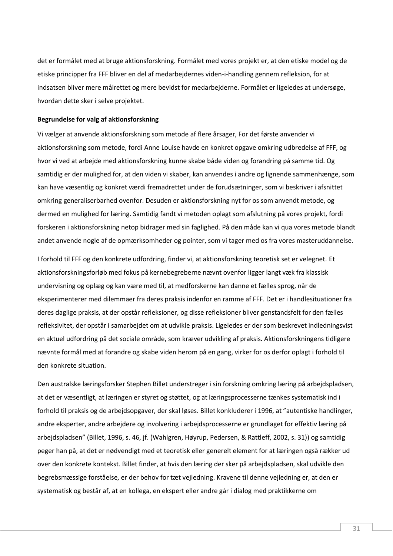det er formålet med at bruge aktionsforskning. Formålet med vores projekt er, at den etiske model og de etiske principper fra FFF bliver en del af medarbejdernes viden-i-handling gennem refleksion, for at indsatsen bliver mere målrettet og mere bevidst for medarbejderne. Formålet er ligeledes at undersøge, hvordan dette sker i selve projektet.

#### **Begrundelse for valg af aktionsforskning**

Vi vælger at anvende aktionsforskning som metode af flere årsager, For det første anvender vi aktionsforskning som metode, fordi Anne Louise havde en konkret opgave omkring udbredelse af FFF, og hvor vi ved at arbejde med aktionsforskning kunne skabe både viden og forandring på samme tid. Og samtidig er der mulighed for, at den viden vi skaber, kan anvendes i andre og lignende sammenhænge, som kan have væsentlig og konkret værdi fremadrettet under de forudsætninger, som vi beskriver i afsnittet omkring generaliserbarhed ovenfor. Desuden er aktionsforskning nyt for os som anvendt metode, og dermed en mulighed for læring. Samtidig fandt vi metoden oplagt som afslutning på vores projekt, fordi forskeren i aktionsforskning netop bidrager med sin faglighed. På den måde kan vi qua vores metode blandt andet anvende nogle af de opmærksomheder og pointer, som vi tager med os fra vores masteruddannelse.

I forhold til FFF og den konkrete udfordring, finder vi, at aktionsforskning teoretisk set er velegnet. Et aktionsforskningsforløb med fokus på kernebegreberne nævnt ovenfor ligger langt væk fra klassisk undervisning og oplæg og kan være med til, at medforskerne kan danne et fælles sprog, når de eksperimenterer med dilemmaer fra deres praksis indenfor en ramme af FFF. Det er i handlesituationer fra deres daglige praksis, at der opstår refleksioner, og disse refleksioner bliver genstandsfelt for den fælles refleksivitet, der opstår i samarbejdet om at udvikle praksis. Ligeledes er der som beskrevet indledningsvist en aktuel udfordring på det sociale område, som kræver udvikling af praksis. Aktionsforskningens tidligere nævnte formål med at forandre og skabe viden herom på en gang, virker for os derfor oplagt i forhold til den konkrete situation.

Den australske læringsforsker Stephen Billet understreger i sin forskning omkring læring på arbejdspladsen, at det er væsentligt, at læringen er styret og støttet, og at læringsprocesserne tænkes systematisk ind i forhold til praksis og de arbejdsopgaver, der skal løses. Billet konkluderer i 1996, at "autentiske handlinger, andre eksperter, andre arbejdere og involvering i arbejdsprocesserne er grundlaget for effektiv læring på arbejdspladsen" (Billet, 1996, s. 46, jf. (Wahlgren, Høyrup, Pedersen, & Rattleff, 2002, s. 31)) og samtidig peger han på, at det er nødvendigt med et teoretisk eller generelt element for at læringen også rækker ud over den konkrete kontekst. Billet finder, at hvis den læring der sker på arbejdspladsen, skal udvikle den begrebsmæssige forståelse, er der behov for tæt vejledning. Kravene til denne vejledning er, at den er systematisk og består af, at en kollega, en ekspert eller andre går i dialog med praktikkerne om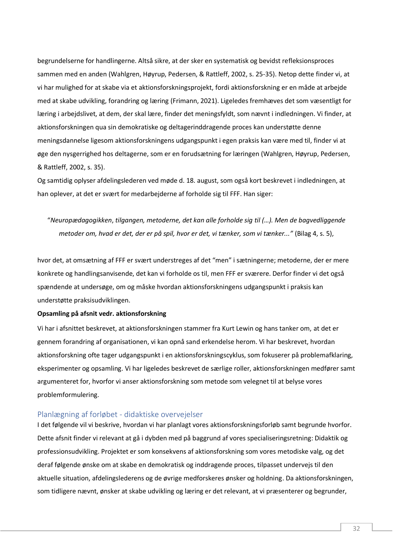begrundelserne for handlingerne. Altså sikre, at der sker en systematisk og bevidst refleksionsproces sammen med en anden (Wahlgren, Høyrup, Pedersen, & Rattleff, 2002, s. 25-35). Netop dette finder vi, at vi har mulighed for at skabe via et aktionsforskningsprojekt, fordi aktionsforskning er en måde at arbejde med at skabe udvikling, forandring og læring (Frimann, 2021). Ligeledes fremhæves det som væsentligt for læring i arbejdslivet, at dem, der skal lære, finder det meningsfyldt, som nævnt i indledningen. Vi finder, at aktionsforskningen qua sin demokratiske og deltagerinddragende proces kan understøtte denne meningsdannelse ligesom aktionsforskningens udgangspunkt i egen praksis kan være med til, finder vi at øge den nysgerrighed hos deltagerne, som er en forudsætning for læringen (Wahlgren, Høyrup, Pedersen, & Rattleff, 2002, s. 35).

Og samtidig oplyser afdelingslederen ved møde d. 18. august, som også kort beskrevet i indledningen, at han oplever, at det er svært for medarbejderne af forholde sig til FFF. Han siger:

"*Neuropædagogikken*, *tilgangen, metoderne, det kan alle forholde sig til (…). Men de bagvedliggende metoder om, hvad er det, der er på spil, hvor er det, vi tænker, som vi tænker..."* (Bilag 4, s. 5),

hvor det, at omsætning af FFF er svært understreges af det "men" i sætningerne; metoderne, der er mere konkrete og handlingsanvisende, det kan vi forholde os til, men FFF er sværere. Derfor finder vi det også spændende at undersøge, om og måske hvordan aktionsforskningens udgangspunkt i praksis kan understøtte praksisudviklingen.

#### **Opsamling på afsnit vedr. aktionsforskning**

Vi har i afsnittet beskrevet, at aktionsforskningen stammer fra Kurt Lewin og hans tanker om, at det er gennem forandring af organisationen, vi kan opnå sand erkendelse herom. Vi har beskrevet, hvordan aktionsforskning ofte tager udgangspunkt i en aktionsforskningscyklus, som fokuserer på problemafklaring, eksperimenter og opsamling. Vi har ligeledes beskrevet de særlige roller, aktionsforskningen medfører samt argumenteret for, hvorfor vi anser aktionsforskning som metode som velegnet til at belyse vores problemformulering.

# <span id="page-32-0"></span>Planlægning af forløbet - didaktiske overvejelser

I det følgende vil vi beskrive, hvordan vi har planlagt vores aktionsforskningsforløb samt begrunde hvorfor. Dette afsnit finder vi relevant at gå i dybden med på baggrund af vores specialiseringsretning: Didaktik og professionsudvikling. Projektet er som konsekvens af aktionsforskning som vores metodiske valg, og det deraf følgende ønske om at skabe en demokratisk og inddragende proces, tilpasset undervejs til den aktuelle situation, afdelingslederens og de øvrige medforskeres ønsker og holdning. Da aktionsforskningen, som tidligere nævnt, ønsker at skabe udvikling og læring er det relevant, at vi præsenterer og begrunder,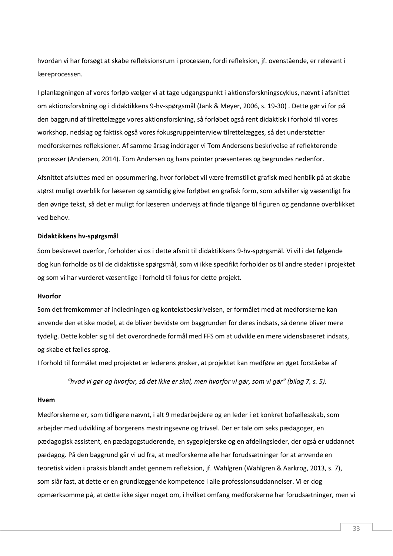hvordan vi har forsøgt at skabe refleksionsrum i processen, fordi refleksion, jf. ovenstående, er relevant i læreprocessen.

I planlægningen af vores forløb vælger vi at tage udgangspunkt i aktionsforskningscyklus, nævnt i afsnittet om aktionsforskning og i didaktikkens 9-hv-spørgsmål (Jank & Meyer, 2006, s. 19-30) . Dette gør vi for på den baggrund af tilrettelægge vores aktionsforskning, så forløbet også rent didaktisk i forhold til vores workshop, nedslag og faktisk også vores fokusgruppeinterview tilrettelægges, så det understøtter medforskernes refleksioner. Af samme årsag inddrager vi Tom Andersens beskrivelse af reflekterende processer (Andersen, 2014). Tom Andersen og hans pointer præsenteres og begrundes nedenfor.

Afsnittet afsluttes med en opsummering, hvor forløbet vil være fremstillet grafisk med henblik på at skabe størst muligt overblik for læseren og samtidig give forløbet en grafisk form, som adskiller sig væsentligt fra den øvrige tekst, så det er muligt for læseren undervejs at finde tilgange til figuren og gendanne overblikket ved behov.

#### **Didaktikkens hv-spørgsmål**

Som beskrevet overfor, forholder vi os i dette afsnit til didaktikkens 9-hv-spørgsmål. Vi vil i det følgende dog kun forholde os til de didaktiske spørgsmål, som vi ikke specifikt forholder os til andre steder i projektet og som vi har vurderet væsentlige i forhold til fokus for dette projekt.

#### **Hvorfor**

Som det fremkommer af indledningen og kontekstbeskrivelsen, er formålet med at medforskerne kan anvende den etiske model, at de bliver bevidste om baggrunden for deres indsats, så denne bliver mere tydelig. Dette kobler sig til det overordnede formål med FFS om at udvikle en mere vidensbaseret indsats, og skabe et fælles sprog.

I forhold til formålet med projektet er lederens ønsker, at projektet kan medføre en øget forståelse af

*"hvad vi gør og hvorfor, så det ikke er skal, men hvorfor vi gør, som vi gør" (bilag 7, s. 5).*

#### **Hvem**

Medforskerne er, som tidligere nævnt, i alt 9 medarbejdere og en leder i et konkret bofællesskab, som arbejder med udvikling af borgerens mestringsevne og trivsel. Der er tale om seks pædagoger, en pædagogisk assistent, en pædagogstuderende, en sygeplejerske og en afdelingsleder, der også er uddannet pædagog. På den baggrund går vi ud fra, at medforskerne alle har forudsætninger for at anvende en teoretisk viden i praksis blandt andet gennem refleksion, jf. Wahlgren (Wahlgren & Aarkrog, 2013, s. 7), som slår fast, at dette er en grundlæggende kompetence i alle professionsuddannelser. Vi er dog opmærksomme på, at dette ikke siger noget om, i hvilket omfang medforskerne har forudsætninger, men vi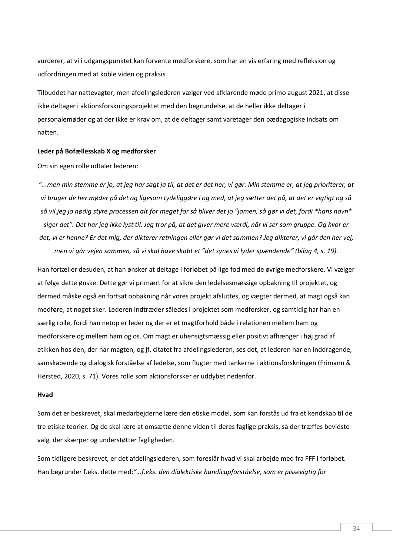vurderer, at vi i udgangspunktet kan forvente medforskere, som har en vis erfaring med refleksion og udfordringen med at koble viden og praksis.

Tilbuddet har nattevagter, men afdelingslederen vælger ved afklarende møde primo august 2021, at disse ikke deltager i aktionsforskningsprojektet med den begrundelse, at de heller ikke deltager i personalemøder og at der ikke er krav om, at de deltager samt varetager den pædagogiske indsats om natten.

# **Leder på Bofællesskab X og medforsker**

Om sin egen rolle udtaler lederen:

*"...men min stemme er jo, at jeg har sagt ja til, at det er det her, vi gør. Min stemme er, at jeg prioriterer, at vi bruger de her møder på det og ligesom tydeliggøre i og med, at jeg sætter det på, at det er vigtigt og så så vil jeg jo nødig styre processen alt for meget for så bliver det jo "jamen, så gør vi det, fordi \*hans navn\* siger det". Det har jeg ikke lyst til. Jeg tror på, at det giver mere værdi, når vi ser som gruppe. Og hvor er det, vi er henne? Er det mig, der dikterer retningen eller gør vi det sammen? Jeg dikterer, vi går den her vej, men vi går vejen sammen, så vi skal have skabt et "det synes vi lyder spændende" (bilag 4, s. 19).*

Han fortæller desuden, at han ønsker at deltage i forløbet på lige fod med de øvrige medforskere. Vi vælger at følge dette ønske. Dette gør vi primært for at sikre den ledelsesmæssige opbakning til projektet, og dermed måske også en fortsat opbakning når vores projekt afsluttes, og vægter dermed, at magt også kan medføre, at noget sker. Lederen indtræder således i projektet som medforsker, og samtidig har han en særlig rolle, fordi han netop er leder og der er et magtforhold både i relationen mellem ham og medforskere og mellem ham og os. Om magt er uhensigtsmæssig eller positivt afhænger i høj grad af etikken hos den, der har magten, og jf. citatet fra afdelingslederen, ses det, at lederen har en inddragende, samskabende og dialogisk forståelse af ledelse, som flugter med tankerne i aktionsforskningen (Frimann & Hersted, 2020, s. 71). Vores rolle som aktionsforsker er uddybet nedenfor.

#### **Hvad**

Som det er beskrevet, skal medarbejderne lære den etiske model, som kan forstås ud fra et kendskab til de tre etiske teorier. Og de skal lære at omsætte denne viden til deres faglige praksis, så der træffes bevidste valg, der skærper og understøtter fagligheden.

Som tidligere beskrevet, er det afdelingslederen, som foreslår hvad vi skal arbejde med fra FFF i forløbet. Han begrunder f.eks. dette med:*"…f.eks. den dialektiske handicapforståelse, som er pissevigtig for*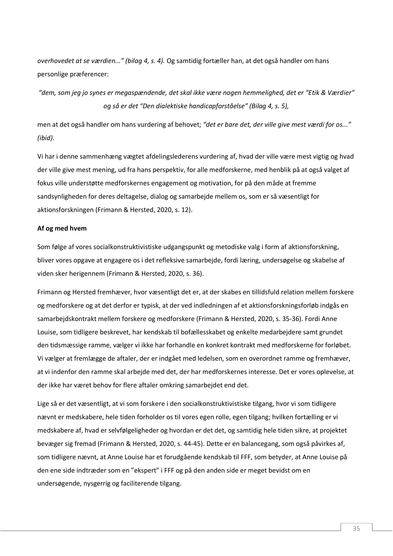*overhovedet at se værdien..." (bilag 4, s. 4).* Og samtidig fortæller han, at det også handler om hans personlige præferencer:

*"dem, som jeg jo synes er megaspændende, det skal ikke være nogen hemmelighed, det er "Etik & Værdier" og så er det "Den dialektiske handicapforståelse" (Bilag 4, s. 5),* 

men at det også handler om hans vurdering af behovet; *"det er bare det, der ville give mest værdi for os..." (ibid).*

Vi har i denne sammenhæng vægtet afdelingslederens vurdering af, hvad der ville være mest vigtig og hvad der ville give mest mening, ud fra hans perspektiv, for alle medforskerne, med henblik på at også valget af fokus ville understøtte medforskernes engagement og motivation, for på den måde at fremme sandsynligheden for deres deltagelse, dialog og samarbejde mellem os, som er så væsentligt for aktionsforskningen (Frimann & Hersted, 2020, s. 12).

## **Af og med hvem**

Som følge af vores socialkonstruktivistiske udgangspunkt og metodiske valg i form af aktionsforskning, bliver vores opgave at engagere os i det refleksive samarbejde, fordi læring, undersøgelse og skabelse af viden sker herigennem (Frimann & Hersted, 2020, s. 36).

Frimann og Hersted fremhæver, hvor væsentligt det er, at der skabes en tillidsfuld relation mellem forskere og medforskere og at det derfor er typisk, at der ved indledningen af et aktionsforskningsforløb indgås en samarbejdskontrakt mellem forskere og medforskere (Frimann & Hersted, 2020, s. 35-36). Fordi Anne Louise, som tidligere beskrevet, har kendskab til bofællesskabet og enkelte medarbejdere samt grundet den tidsmæssige ramme, vælger vi ikke har forhandle en konkret kontrakt med medforskerne for forløbet. Vi vælger at fremlægge de aftaler, der er indgået med ledelsen, som en overordnet ramme og fremhæver, at vi indenfor den ramme skal arbejde med det, der har medforskernes interesse. Det er vores oplevelse, at der ikke har været behov for flere aftaler omkring samarbejdet end det.

Lige så er det væsentligt, at vi som forskere i den socialkonstruktivistiske tilgang, hvor vi som tidligere nævnt er medskabere, hele tiden forholder os til vores egen rolle, egen tilgang; hvilken fortælling er vi medskabere af, hvad er selvfølgeligheder og hvordan er det det, og samtidig hele tiden sikre, at projektet bevæger sig fremad (Frimann & Hersted, 2020, s. 44-45). Dette er en balancegang, som også påvirkes af, som tidligere nævnt, at Anne Louise har et forudgående kendskab til FFF, som betyder, at Anne Louise på den ene side indtræder som en "ekspert" i FFF og på den anden side er meget bevidst om en undersøgende, nysgerrig og faciliterende tilgang.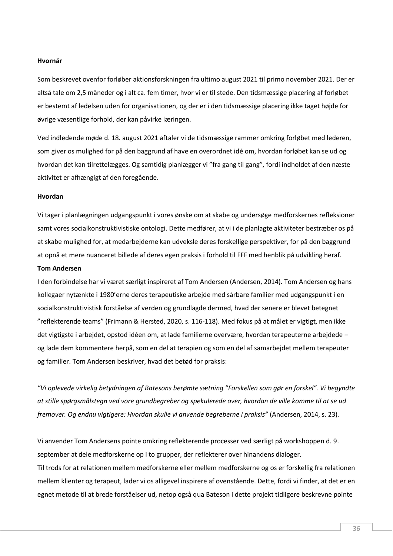#### **Hvornår**

Som beskrevet ovenfor forløber aktionsforskningen fra ultimo august 2021 til primo november 2021. Der er altså tale om 2,5 måneder og i alt ca. fem timer, hvor vi er til stede. Den tidsmæssige placering af forløbet er bestemt af ledelsen uden for organisationen, og der er i den tidsmæssige placering ikke taget højde for øvrige væsentlige forhold, der kan påvirke læringen.

Ved indledende møde d. 18. august 2021 aftaler vi de tidsmæssige rammer omkring forløbet med lederen, som giver os mulighed for på den baggrund af have en overordnet idé om, hvordan forløbet kan se ud og hvordan det kan tilrettelægges. Og samtidig planlægger vi "fra gang til gang", fordi indholdet af den næste aktivitet er afhængigt af den foregående.

#### **Hvordan**

Vi tager i planlægningen udgangspunkt i vores ønske om at skabe og undersøge medforskernes refleksioner samt vores socialkonstruktivistiske ontologi. Dette medfører, at vi i de planlagte aktiviteter bestræber os på at skabe mulighed for, at medarbejderne kan udveksle deres forskellige perspektiver, for på den baggrund at opnå et mere nuanceret billede af deres egen praksis i forhold til FFF med henblik på udvikling heraf.

#### **Tom Andersen**

I den forbindelse har vi været særligt inspireret af Tom Andersen (Andersen, 2014). Tom Andersen og hans kollegaer nytænkte i 1980'erne deres terapeutiske arbejde med sårbare familier med udgangspunkt i en socialkonstruktivistisk forståelse af verden og grundlagde dermed, hvad der senere er blevet betegnet "reflekterende teams" (Frimann & Hersted, 2020, s. 116-118). Med fokus på at målet er vigtigt, men ikke det vigtigste i arbejdet, opstod idéen om, at lade familierne overvære, hvordan terapeuterne arbejdede – og lade dem kommentere herpå, som en del at terapien og som en del af samarbejdet mellem terapeuter og familier. Tom Andersen beskriver, hvad det betød for praksis:

*"Vi oplevede virkelig betydningen af Batesons berømte sætning "Forskellen som gør en forskel". Vi begyndte at stille spørgsmålstegn ved vore grundbegreber og spekulerede over, hvordan de ville komme til at se ud fremover. Og endnu vigtigere: Hvordan skulle vi anvende begreberne i praksis"* (Andersen, 2014, s. 23)*.*

Vi anvender Tom Andersens pointe omkring reflekterende processer ved særligt på workshoppen d. 9. september at dele medforskerne op i to grupper, der reflekterer over hinandens dialoger. Til trods for at relationen mellem medforskerne eller mellem medforskerne og os er forskellig fra relationen mellem klienter og terapeut, lader vi os alligevel inspirere af ovenstående. Dette, fordi vi finder, at det er en egnet metode til at brede forståelser ud, netop også qua Bateson i dette projekt tidligere beskrevne pointe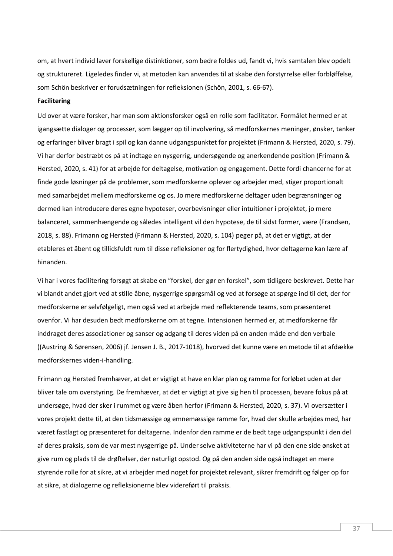om, at hvert individ laver forskellige distinktioner, som bedre foldes ud, fandt vi, hvis samtalen blev opdelt og struktureret. Ligeledes finder vi, at metoden kan anvendes til at skabe den forstyrrelse eller forbløffelse, som Schön beskriver er forudsætningen for refleksionen (Schön, 2001, s. 66-67).

## **Facilitering**

Ud over at være forsker, har man som aktionsforsker også en rolle som facilitator. Formålet hermed er at igangsætte dialoger og processer, som lægger op til involvering, så medforskernes meninger, ønsker, tanker og erfaringer bliver bragt i spil og kan danne udgangspunktet for projektet (Frimann & Hersted, 2020, s. 79). Vi har derfor bestræbt os på at indtage en nysgerrig, undersøgende og anerkendende position (Frimann & Hersted, 2020, s. 41) for at arbejde for deltagelse, motivation og engagement. Dette fordi chancerne for at finde gode løsninger på de problemer, som medforskerne oplever og arbejder med, stiger proportionalt med samarbejdet mellem medforskerne og os. Jo mere medforskerne deltager uden begrænsninger og dermed kan introducere deres egne hypoteser, overbevisninger eller intuitioner i projektet, jo mere balanceret, sammenhængende og således intelligent vil den hypotese, de til sidst former, være (Frandsen, 2018, s. 88). Frimann og Hersted (Frimann & Hersted, 2020, s. 104) peger på, at det er vigtigt, at der etableres et åbent og tillidsfuldt rum til disse refleksioner og for flertydighed, hvor deltagerne kan lære af hinanden.

Vi har i vores facilitering forsøgt at skabe en "forskel, der gør en forskel", som tidligere beskrevet. Dette har vi blandt andet gjort ved at stille åbne, nysgerrige spørgsmål og ved at forsøge at spørge ind til det, der for medforskerne er selvfølgeligt, men også ved at arbejde med reflekterende teams, som præsenteret ovenfor. Vi har desuden bedt medforskerne om at tegne. Intensionen hermed er, at medforskerne får inddraget deres associationer og sanser og adgang til deres viden på en anden måde end den verbale ((Austring & Sørensen, 2006) jf. Jensen J. B., 2017-1018), hvorved det kunne være en metode til at afdække medforskernes viden-i-handling.

Frimann og Hersted fremhæver, at det er vigtigt at have en klar plan og ramme for forløbet uden at der bliver tale om overstyring. De fremhæver, at det er vigtigt at give sig hen til processen, bevare fokus på at undersøge, hvad der sker i rummet og være åben herfor (Frimann & Hersted, 2020, s. 37). Vi oversætter i vores projekt dette til, at den tidsmæssige og emnemæssige ramme for, hvad der skulle arbejdes med, har været fastlagt og præsenteret for deltagerne. Indenfor den ramme er de bedt tage udgangspunkt i den del af deres praksis, som de var mest nysgerrige på. Under selve aktiviteterne har vi på den ene side ønsket at give rum og plads til de drøftelser, der naturligt opstod. Og på den anden side også indtaget en mere styrende rolle for at sikre, at vi arbejder med noget for projektet relevant, sikrer fremdrift og følger op for at sikre, at dialogerne og refleksionerne blev videreført til praksis.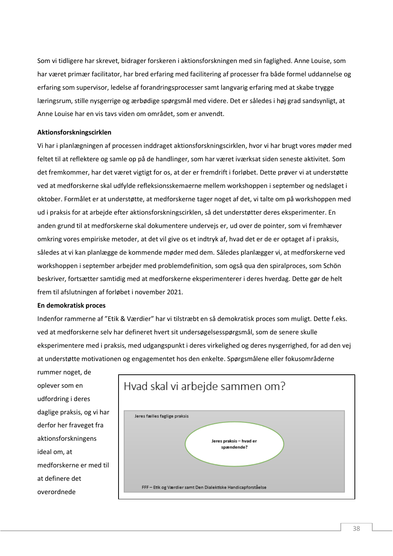Som vi tidligere har skrevet, bidrager forskeren i aktionsforskningen med sin faglighed. Anne Louise, som har været primær facilitator, har bred erfaring med facilitering af processer fra både formel uddannelse og erfaring som supervisor, ledelse af forandringsprocesser samt langvarig erfaring med at skabe trygge læringsrum, stille nysgerrige og ærbødige spørgsmål med videre. Det er således i høj grad sandsynligt, at Anne Louise har en vis tavs viden om området, som er anvendt.

# **Aktionsforskningscirklen**

Vi har i planlægningen af processen inddraget aktionsforskningscirklen, hvor vi har brugt vores møder med feltet til at reflektere og samle op på de handlinger, som har været iværksat siden seneste aktivitet. Som det fremkommer, har det været vigtigt for os, at der er fremdrift i forløbet. Dette prøver vi at understøtte ved at medforskerne skal udfylde refleksionsskemaerne mellem workshoppen i september og nedslaget i oktober. Formålet er at understøtte, at medforskerne tager noget af det, vi talte om på workshoppen med ud i praksis for at arbejde efter aktionsforskningscirklen, så det understøtter deres eksperimenter. En anden grund til at medforskerne skal dokumentere undervejs er, ud over de pointer, som vi fremhæver omkring vores empiriske metoder, at det vil give os et indtryk af, hvad det er de er optaget af i praksis, således at vi kan planlægge de kommende møder med dem. Således planlægger vi, at medforskerne ved workshoppen i september arbejder med problemdefinition, som også qua den spiralproces, som Schön beskriver, fortsætter samtidig med at medforskerne eksperimenterer i deres hverdag. Dette gør de helt frem til afslutningen af forløbet i november 2021.

#### **En demokratisk proces**

Indenfor rammerne af "Etik & Værdier" har vi tilstræbt en så demokratisk proces som muligt. Dette f.eks. ved at medforskerne selv har defineret hvert sit undersøgelsesspørgsmål, som de senere skulle eksperimentere med i praksis, med udgangspunkt i deres virkelighed og deres nysgerrighed, for ad den vej at understøtte motivationen og engagementet hos den enkelte. Spørgsmålene eller fokusområderne

rummer noget, de oplever som en udfordring i deres daglige praksis, og vi har derfor her fraveget fra aktionsforskningens ideal om, at medforskerne er med til at definere det overordnede



38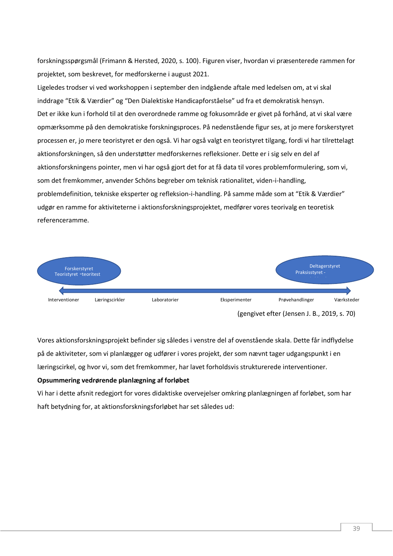forskningsspørgsmål (Frimann & Hersted, 2020, s. 100). Figuren viser, hvordan vi præsenterede rammen for projektet, som beskrevet, for medforskerne i august 2021.

Ligeledes trodser vi ved workshoppen i september den indgående aftale med ledelsen om, at vi skal inddrage "Etik & Værdier" og "Den Dialektiske Handicapforståelse" ud fra et demokratisk hensyn. Det er ikke kun i forhold til at den overordnede ramme og fokusområde er givet på forhånd, at vi skal være opmærksomme på den demokratiske forskningsproces. På nedenstående figur ses, at jo mere forskerstyret processen er, jo mere teoristyret er den også. Vi har også valgt en teoristyret tilgang, fordi vi har tilrettelagt aktionsforskningen, så den understøtter medforskernes refleksioner. Dette er i sig selv en del af aktionsforskningens pointer, men vi har også gjort det for at få data til vores problemformulering, som vi, som det fremkommer, anvender Schöns begreber om teknisk rationalitet, viden-i-handling, problemdefinition, tekniske eksperter og refleksion-i-handling. På samme måde som at "Etik & Værdier" udgør en ramme for aktiviteterne i aktionsforskningsprojektet, medfører vores teorivalg en teoretisk referenceramme.



Vores aktionsforskningsprojekt befinder sig således i venstre del af ovenstående skala. Dette får indflydelse på de aktiviteter, som vi planlægger og udfører i vores projekt, der som nævnt tager udgangspunkt i en læringscirkel, og hvor vi, som det fremkommer, har lavet forholdsvis strukturerede interventioner.

# **Opsummering vedrørende planlægning af forløbet**

Vi har i dette afsnit redegjort for vores didaktiske overvejelser omkring planlægningen af forløbet, som har haft betydning for, at aktionsforskningsforløbet har set således ud: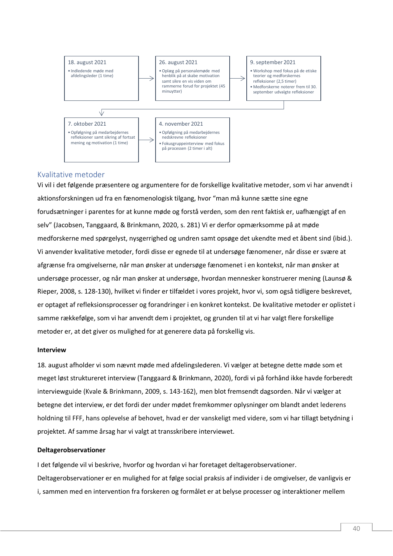

# <span id="page-40-0"></span>Kvalitative metoder

Vi vil i det følgende præsentere og argumentere for de forskellige kvalitative metoder, som vi har anvendt i aktionsforskningen ud fra en fænomenologisk tilgang, hvor "man må kunne sætte sine egne forudsætninger i parentes for at kunne møde og forstå verden, som den rent faktisk er, uafhængigt af en selv" (Jacobsen, Tanggaard, & Brinkmann, 2020, s. 281) Vi er derfor opmærksomme på at møde medforskerne med spørgelyst, nysgerrighed og undren samt opsøge det ukendte med et åbent sind (ibid.). Vi anvender kvalitative metoder, fordi disse er egnede til at undersøge fænomener, når disse er svære at afgrænse fra omgivelserne, når man ønsker at undersøge fænomenet i en kontekst, når man ønsker at undersøge processer, og når man ønsker at undersøge, hvordan mennesker konstruerer mening (Launsø & Rieper, 2008, s. 128-130), hvilket vi finder er tilfældet i vores projekt, hvor vi, som også tidligere beskrevet, er optaget af refleksionsprocesser og forandringer i en konkret kontekst. De kvalitative metoder er oplistet i samme rækkefølge, som vi har anvendt dem i projektet, og grunden til at vi har valgt flere forskellige metoder er, at det giver os mulighed for at generere data på forskellig vis.

#### **Interview**

18. august afholder vi som nævnt møde med afdelingslederen. Vi vælger at betegne dette møde som et meget løst struktureret interview (Tanggaard & Brinkmann, 2020), fordi vi på forhånd ikke havde forberedt interviewguide (Kvale & Brinkmann, 2009, s. 143-162), men blot fremsendt dagsorden. Når vi vælger at betegne det interview, er det fordi der under mødet fremkommer oplysninger om blandt andet lederens holdning til FFF, hans oplevelse af behovet, hvad er der vanskeligt med videre, som vi har tillagt betydning i projektet. Af samme årsag har vi valgt at transskribere interviewet.

#### **Deltagerobservationer**

I det følgende vil vi beskrive, hvorfor og hvordan vi har foretaget deltagerobservationer. Deltagerobservationer er en mulighed for at følge social praksis af individer i de omgivelser, de vanligvis er i, sammen med en intervention fra forskeren og formålet er at belyse processer og interaktioner mellem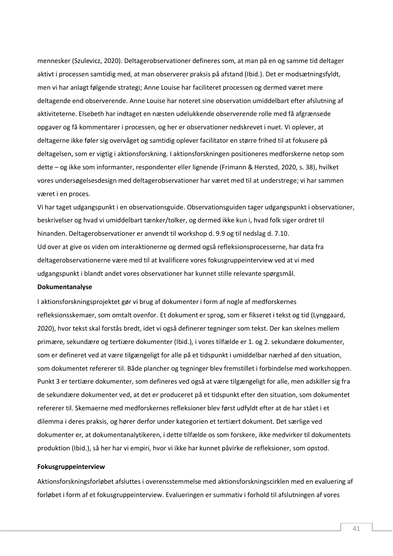mennesker (Szulevicz, 2020). Deltagerobservationer defineres som, at man på en og samme tid deltager aktivt i processen samtidig med, at man observerer praksis på afstand (Ibid.). Det er modsætningsfyldt, men vi har anlagt følgende strategi; Anne Louise har faciliteret processen og dermed været mere deltagende end observerende. Anne Louise har noteret sine observation umiddelbart efter afslutning af aktiviteterne. Elsebeth har indtaget en næsten udelukkende observerende rolle med få afgrænsede opgaver og få kommentarer i processen, og her er observationer nedskrevet i nuet. Vi oplever, at deltagerne ikke føler sig overvåget og samtidig oplever facilitator en større frihed til at fokusere på deltagelsen, som er vigtig i aktionsforskning. I aktionsforskningen positioneres medforskerne netop som dette – og ikke som informanter, respondenter eller lignende (Frimann & Hersted, 2020, s. 38), hvilket vores undersøgelsesdesign med deltagerobservationer har været med til at understrege; vi har sammen været i en proces.

Vi har taget udgangspunkt i en observationsguide. Observationsguiden tager udgangspunkt i observationer, beskrivelser og hvad vi umiddelbart tænker/tolker, og dermed ikke kun i, hvad folk siger ordret til hinanden. Deltagerobservationer er anvendt til workshop d. 9.9 og til nedslag d. 7.10. Ud over at give os viden om interaktionerne og dermed også refleksionsprocesserne, har data fra deltagerobservationerne være med til at kvalificere vores fokusgruppeinterview ved at vi med udgangspunkt i blandt andet vores observationer har kunnet stille relevante spørgsmål.

#### **Dokumentanalyse**

I aktionsforskningsprojektet gør vi brug af dokumenter i form af nogle af medforskernes refleksionsskemaer, som omtalt ovenfor. Et dokument er sprog, som er fikseret i tekst og tid (Lynggaard, 2020), hvor tekst skal forstås bredt, idet vi også definerer tegninger som tekst. Der kan skelnes mellem primære, sekundære og tertiære dokumenter (Ibid.), i vores tilfælde er 1. og 2. sekundære dokumenter, som er defineret ved at være tilgængeligt for alle på et tidspunkt i umiddelbar nærhed af den situation, som dokumentet refererer til. Både plancher og tegninger blev fremstillet i forbindelse med workshoppen. Punkt 3 er tertiære dokumenter, som defineres ved også at være tilgængeligt for alle, men adskiller sig fra de sekundære dokumenter ved, at det er produceret på et tidspunkt efter den situation, som dokumentet refererer til. Skemaerne med medforskernes refleksioner blev først udfyldt efter at de har stået i et dilemma i deres praksis, og hører derfor under kategorien et tertiært dokument. Det særlige ved dokumenter er, at dokumentanalytikeren, i dette tilfælde os som forskere, ikke medvirker til dokumentets produktion (Ibid.), så her har vi empiri, hvor vi ikke har kunnet påvirke de refleksioner, som opstod.

#### **Fokusgruppeinterview**

Aktionsforskningsforløbet afsluttes i overensstemmelse med aktionsforskningscirklen med en evaluering af forløbet i form af et fokusgruppeinterview. Evalueringen er summativ i forhold til afslutningen af vores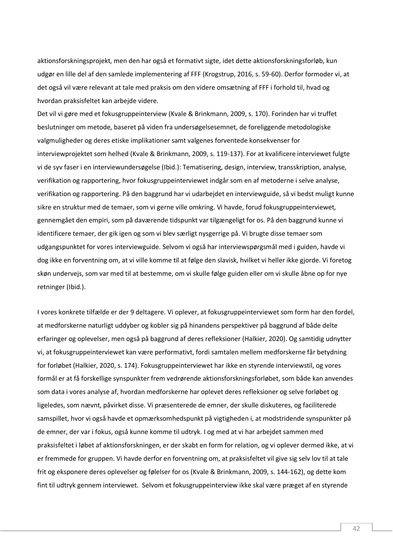aktionsforskningsprojekt, men den har også et formativt sigte, idet dette aktionsforskningsforløb, kun udgør en lille del af den samlede implementering af FFF (Krogstrup, 2016, s. 59-60). Derfor formoder vi, at det også vil være relevant at tale med praksis om den videre omsætning af FFF i forhold til, hvad og hvordan praksisfeltet kan arbejde videre.

Det vil vi gøre med et fokusgruppeinterview (Kvale & Brinkmann, 2009, s. 170). Forinden har vi truffet beslutninger om metode, baseret på viden fra undersøgelsesemnet, de foreliggende metodologiske valgmuligheder og deres etiske implikationer samt valgenes forventede konsekvenser for interviewprojektet som helhed (Kvale & Brinkmann, 2009, s. 119-137). For at kvalificere interviewet fulgte vi de syv faser i en interviewundersøgelse (Ibid.): Tematisering, design, interview, transskription, analyse, verifikation og rapportering, hvor fokusgruppeinterviewet indgår som en af metoderne i selve analyse, verifikation og rapportering. På den baggrund har vi udarbejdet en interviewguide, så vi bedst muligt kunne sikre en struktur med de temaer, som vi gerne ville omkring. Vi havde, forud fokusgruppeinterviewet, gennemgået den empiri, som på daværende tidspunkt var tilgængeligt for os. På den baggrund kunne vi identificere temaer, der gik igen og som vi blev særligt nysgerrige på. Vi brugte disse temaer som udgangspunktet for vores interviewguide. Selvom vi også har interviewspørgsmål med i guiden, havde vi dog ikke en forventning om, at vi ville komme til at følge den slavisk, hvilket vi heller ikke gjorde. Vi foretog skøn undervejs, som var med til at bestemme, om vi skulle følge guiden eller om vi skulle åbne op for nye retninger (Ibid.).

I vores konkrete tilfælde er der 9 deltagere. Vi oplever, at fokusgruppeinterviewet som form har den fordel, at medforskerne naturligt uddyber og kobler sig på hinandens perspektiver på baggrund af både delte erfaringer og oplevelser, men også på baggrund af deres refleksioner (Halkier, 2020). Og samtidig udnytter vi, at fokusgruppeinterviewet kan være performativt, fordi samtalen mellem medforskerne får betydning for forløbet (Halkier, 2020, s. 174). Fokusgruppeinterviewet har ikke en styrende interviewstil, og vores formål er at få forskellige synspunkter frem vedrørende aktionsforskningsforløbet, som både kan anvendes som data i vores analyse af, hvordan medforskerne har oplevet deres refleksioner og selve forløbet og ligeledes, som nævnt, påvirket disse. Vi præsenterede de emner, der skulle diskuteres, og faciliterede samspillet, hvor vi også havde et opmærksomhedspunkt på vigtigheden i, at modstridende synspunkter på de emner, der var i fokus, også kunne komme til udtryk. I og med at vi har arbejdet sammen med praksisfeltet i løbet af aktionsforskningen, er der skabt en form for relation, og vi oplever dermed ikke, at vi er fremmede for gruppen. Vi havde derfor en forventning om, at praksisfeltet vil give sig selv lov til at tale frit og eksponere deres oplevelser og følelser for os (Kvale & Brinkmann, 2009, s. 144-162), og dette kom fint til udtryk gennem interviewet. Selvom et fokusgruppeinterview ikke skal være præget af en styrende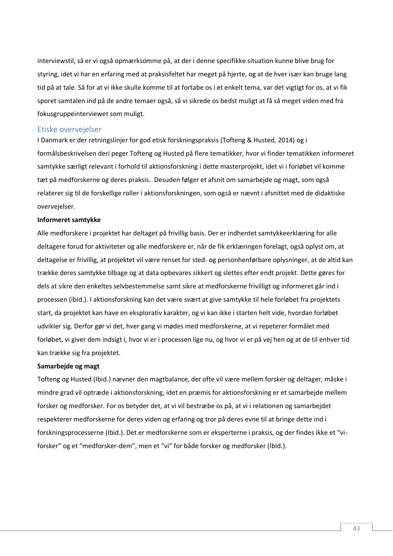interviewstil, så er vi også opmærksomme på, at der i denne specifikke situation kunne blive brug for styring, idet vi har en erfaring med at praksisfeltet har meget på hjerte, og at de hver især kan bruge lang tid på at tale. Så for at vi ikke skulle komme til at fortabe os i et enkelt tema, var det vigtigt for os, at vi fik sporet samtalen ind på de andre temaer også, så vi sikrede os bedst muligt at få så meget viden med fra fokusgruppeinterviewet som muligt.

## <span id="page-43-0"></span>Etiske overvejelser

I Danmark er der retningslinjer for god etisk forskningspraksis (Tofteng & Husted, 2014) og i formålsbeskrivelsen deri peger Tofteng og Husted på flere tematikker, hvor vi finder tematikken informeret samtykke særligt relevant i forhold til aktionsforskning i dette masterprojekt, idet vi i forløbet vil komme tæt på medforskerne og deres praksis. Desuden følger et afsnit om samarbejde og magt, som også relaterer sig til de forskellige roller i aktionsforskningen, som også er nævnt i afsnittet med de didaktiske overvejelser.

#### **Informeret samtykke**

Alle medforskere i projektet har deltaget på frivillig basis. Der er indhentet samtykkeerklæring for alle deltagere forud for aktiviteter og alle medforskere er, når de fik erklæringen forelagt, også oplyst om, at deltagelse er frivillig, at projektet vil være renset for sted- og personhenførbare oplysninger, at de altid kan trække deres samtykke tilbage og at data opbevares sikkert og slettes efter endt projekt. Dette gøres for dels at sikre den enkeltes selvbestemmelse samt sikre at medforskerne frivilligt og informeret går ind i processen (ibid.). I aktionsforskning kan det være svært at give samtykke til hele forløbet fra projektets start, da projektet kan have en eksplorativ karakter, og vi kan ikke i starten helt vide, hvordan forløbet udvikler sig. Derfor gør vi det, hver gang vi mødes med medforskerne, at vi repeterer formålet med forløbet, vi giver dem indsigt i, hvor vi er i processen lige nu, og hvor vi er på vej hen og at de til enhver tid kan trække sig fra projektet.

## **Samarbejde og magt**

Tofteng og Husted (Ibid.) nævner den magtbalance, der ofte vil være mellem forsker og deltager, måske i mindre grad vil optræde i aktionsforskning, idet en præmis for aktionsforskning er et samarbejde mellem forsker og medforsker. For os betyder det, at vi vil bestræbe os på, at vi i relationen og samarbejdet respekterer medforskerne for deres viden og erfaring og tror på deres evne til at bringe dette ind i forskningsprocesserne (Ibid.). Det er medforskerne som er eksperterne i praksis, og der findes ikke et "viforsker" og et "medforsker-dem", men et "vi" for både forsker og medforsker (Ibid.).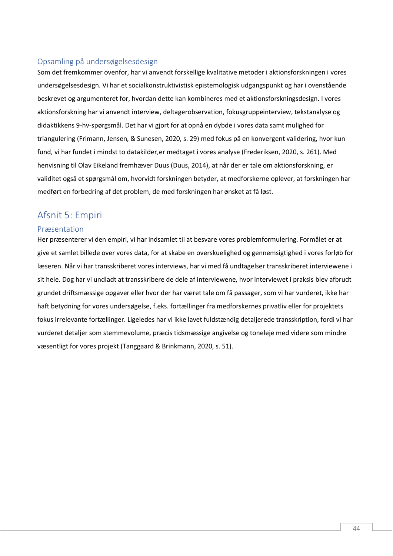# <span id="page-44-0"></span>Opsamling på undersøgelsesdesign

Som det fremkommer ovenfor, har vi anvendt forskellige kvalitative metoder i aktionsforskningen i vores undersøgelsesdesign. Vi har et socialkonstruktivistisk epistemologisk udgangspunkt og har i ovenstående beskrevet og argumenteret for, hvordan dette kan kombineres med et aktionsforskningsdesign. I vores aktionsforskning har vi anvendt interview, deltagerobservation, fokusgruppeinterview, tekstanalyse og didaktikkens 9-hv-spørgsmål. Det har vi gjort for at opnå en dybde i vores data samt mulighed for triangulering (Frimann, Jensen, & Sunesen, 2020, s. 29) med fokus på en konvergent validering, hvor kun fund, vi har fundet i mindst to datakilder,er medtaget i vores analyse (Frederiksen, 2020, s. 261). Med henvisning til Olav Eikeland fremhæver Duus (Duus, 2014), at når der er tale om aktionsforskning, er validitet også et spørgsmål om, hvorvidt forskningen betyder, at medforskerne oplever, at forskningen har medført en forbedring af det problem, de med forskningen har ønsket at få løst.

# <span id="page-44-1"></span>Afsnit 5: Empiri

# <span id="page-44-2"></span>Præsentation

Her præsenterer vi den empiri, vi har indsamlet til at besvare vores problemformulering. Formålet er at give et samlet billede over vores data, for at skabe en overskuelighed og gennemsigtighed i vores forløb for læseren. Når vi har transskriberet vores interviews, har vi med få undtagelser transskriberet interviewene i sit hele. Dog har vi undladt at transskribere de dele af interviewene, hvor interviewet i praksis blev afbrudt grundet driftsmæssige opgaver eller hvor der har været tale om få passager, som vi har vurderet, ikke har haft betydning for vores undersøgelse, f.eks. fortællinger fra medforskernes privatliv eller for projektets fokus irrelevante fortællinger. Ligeledes har vi ikke lavet fuldstændig detaljerede transskription, fordi vi har vurderet detaljer som stemmevolume, præcis tidsmæssige angivelse og toneleje med videre som mindre væsentligt for vores projekt (Tanggaard & Brinkmann, 2020, s. 51).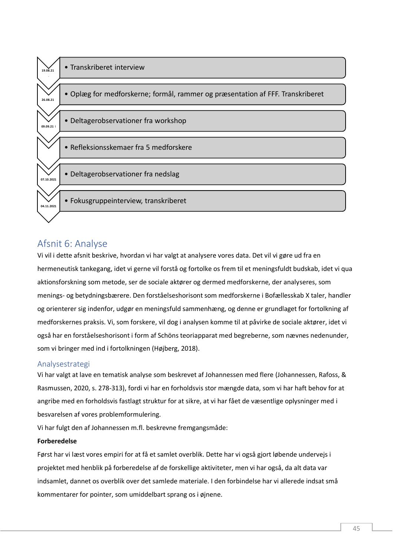

# <span id="page-45-0"></span>Afsnit 6: Analyse

Vi vil i dette afsnit beskrive, hvordan vi har valgt at analysere vores data. Det vil vi gøre ud fra en hermeneutisk tankegang, idet vi gerne vil forstå og fortolke os frem til et meningsfuldt budskab, idet vi qua aktionsforskning som metode, ser de sociale aktører og dermed medforskerne, der analyseres, som menings- og betydningsbærere. Den forståelseshorisont som medforskerne i Bofællesskab X taler, handler og orienterer sig indenfor, udgør en meningsfuld sammenhæng, og denne er grundlaget for fortolkning af medforskernes praksis. Vi, som forskere, vil dog i analysen komme til at påvirke de sociale aktører, idet vi også har en forståelseshorisont i form af Schöns teoriapparat med begreberne, som nævnes nedenunder, som vi bringer med ind i fortolkningen (Højberg, 2018).

# <span id="page-45-1"></span>Analysestrategi

Vi har valgt at lave en tematisk analyse som beskrevet af Johannessen med flere (Johannessen, Rafoss, & Rasmussen, 2020, s. 278-313), fordi vi har en forholdsvis stor mængde data, som vi har haft behov for at angribe med en forholdsvis fastlagt struktur for at sikre, at vi har fået de væsentlige oplysninger med i besvarelsen af vores problemformulering.

Vi har fulgt den af Johannessen m.fl. beskrevne fremgangsmåde:

# **Forberedelse**

Først har vi læst vores empiri for at få et samlet overblik. Dette har vi også gjort løbende undervejs i projektet med henblik på forberedelse af de forskellige aktiviteter, men vi har også, da alt data var indsamlet, dannet os overblik over det samlede materiale. I den forbindelse har vi allerede indsat små kommentarer for pointer, som umiddelbart sprang os i øjnene.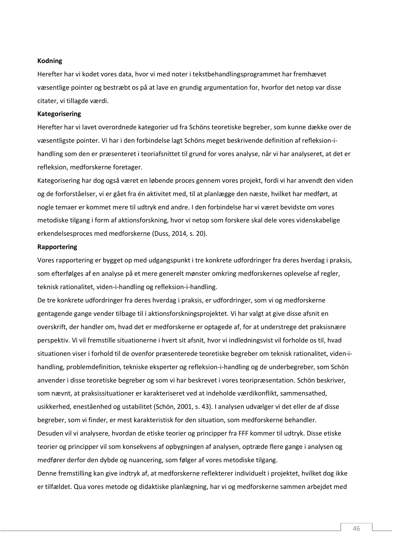## **Kodning**

Herefter har vi kodet vores data, hvor vi med noter i tekstbehandlingsprogrammet har fremhævet væsentlige pointer og bestræbt os på at lave en grundig argumentation for, hvorfor det netop var disse citater, vi tillagde værdi.

#### **Kategorisering**

Herefter har vi lavet overordnede kategorier ud fra Schöns teoretiske begreber, som kunne dække over de væsentligste pointer. Vi har i den forbindelse lagt Schöns meget beskrivende definition af refleksion-ihandling som den er præsenteret i teoriafsnittet til grund for vores analyse, når vi har analyseret, at det er refleksion, medforskerne foretager.

Kategorisering har dog også været en løbende proces gennem vores projekt, fordi vi har anvendt den viden og de forforståelser, vi er gået fra én aktivitet med, til at planlægge den næste, hvilket har medført, at nogle temaer er kommet mere til udtryk end andre. I den forbindelse har vi været bevidste om vores metodiske tilgang i form af aktionsforskning, hvor vi netop som forskere skal dele vores videnskabelige erkendelsesproces med medforskerne (Duss, 2014, s. 20).

#### **Rapportering**

Vores rapportering er bygget op med udgangspunkt i tre konkrete udfordringer fra deres hverdag i praksis, som efterfølges af en analyse på et mere generelt mønster omkring medforskernes oplevelse af regler, teknisk rationalitet, viden-i-handling og refleksion-i-handling.

De tre konkrete udfordringer fra deres hverdag i praksis, er udfordringer, som vi og medforskerne gentagende gange vender tilbage til i aktionsforskningsprojektet. Vi har valgt at give disse afsnit en overskrift, der handler om, hvad det er medforskerne er optagede af, for at understrege det praksisnære perspektiv. Vi vil fremstille situationerne i hvert sit afsnit, hvor vi indledningsvist vil forholde os til, hvad situationen viser i forhold til de ovenfor præsenterede teoretiske begreber om teknisk rationalitet, viden-ihandling, problemdefinition, tekniske eksperter og refleksion-i-handling og de underbegreber, som Schön anvender i disse teoretiske begreber og som vi har beskrevet i vores teoripræsentation. Schön beskriver, som nævnt, at praksissituationer er karakteriseret ved at indeholde værdikonflikt, sammensathed, usikkerhed, eneståenhed og ustabilitet (Schön, 2001, s. 43). I analysen udvælger vi det eller de af disse begreber, som vi finder, er mest karakteristisk for den situation, som medforskerne behandler. Desuden vil vi analysere, hvordan de etiske teorier og principper fra FFF kommer til udtryk. Disse etiske teorier og principper vil som konsekvens af opbygningen af analysen, optræde flere gange i analysen og medfører derfor den dybde og nuancering, som følger af vores metodiske tilgang.

Denne fremstilling kan give indtryk af, at medforskerne reflekterer individuelt i projektet, hvilket dog ikke er tilfældet. Qua vores metode og didaktiske planlægning, har vi og medforskerne sammen arbejdet med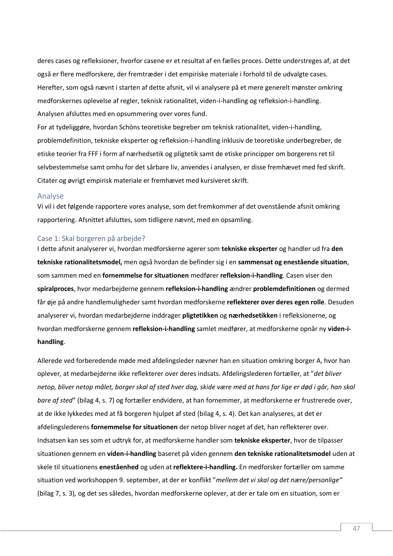deres cases og refleksioner, hvorfor casene er et resultat af en fælles proces. Dette understreges af, at det også er flere medforskere, der fremtræder i det empiriske materiale i forhold til de udvalgte cases. Herefter, som også nævnt i starten af dette afsnit, vil vi analysere på et mere generelt mønster omkring medforskernes oplevelse af regler, teknisk rationalitet, viden-i-handling og refleksion-i-handling. Analysen afsluttes med en opsummering over vores fund.

For at tydeliggøre, hvordan Schöns teoretiske begreber om teknisk rationalitet, viden-i-handling, problemdefinition, tekniske eksperter og refleksion-i-handling inklusiv de teoretiske underbegreber, de etiske teorier fra FFF i form af nærhedsetik og pligtetik samt de etiske principper om borgerens ret til selvbestemmelse samt omhu for det sårbare liv, anvendes i analysen, er disse fremhævet med fed skrift. Citater og øvrigt empirisk materiale er fremhævet med kursiveret skrift.

## <span id="page-47-0"></span>Analyse

Vi vil i det følgende rapportere vores analyse, som det fremkommer af det ovenstående afsnit omkring rapportering. Afsnittet afsluttes, som tidligere nævnt, med en opsamling.

## <span id="page-47-1"></span>Case 1: Skal borgeren på arbejde?

I dette afsnit analyserer vi, hvordan medforskerne agerer som **tekniske eksperter** og handler ud fra **den tekniske rationalitetsmodel,** men også hvordan de befinder sig i en **sammensat og enestående situation**, som sammen med en **fornemmelse for situationen** medfører **refleksion-i-handling**. Casen viser den **spiralproces**, hvor medarbejderne gennem **refleksion-i-handling** ændrer **problemdefinitionen** og dermed får øje på andre handlemuligheder samt hvordan medforskerne **reflekterer over deres egen rolle**. Desuden analyserer vi, hvordan medarbejderne inddrager **pligtetikken** og **nærhedsetikken** i refleksionerne, og hvordan medforskerne gennem **refleksion-i-handling** samlet medfører, at medforskerne opnår ny **viden-ihandling**.

Allerede ved forberedende møde med afdelingsleder nævner han en situation omkring borger A, hvor han oplever, at medarbejderne ikke reflekterer over deres indsats. Afdelingslederen fortæller, at "*det bliver netop, bliver netop målet, borger skal af sted hver dag, skide være med at hans far lige er død i går, han skal bare af sted*" (bilag 4, s. 7) og fortæller endvidere, at han fornemmer, at medforskerne er frustrerede over, at de ikke lykkedes med at få borgeren hjulpet af sted (bilag 4, s. 4). Det kan analyseres, at det er afdelingslederens **fornemmelse for situationen** der netop bliver noget af det, han reflekterer over. Indsatsen kan ses som et udtryk for, at medforskerne handler som **tekniske eksperter**, hvor de tilpasser situationen gennem en **viden-i-handling** baseret på viden gennem **den tekniske rationalitetsmodel** uden at skele til situationens **eneståenhed** og uden at **reflektere-i-handling.** En medforsker fortæller om samme situation ved workshoppen 9. september, at der er konflikt "*mellem det vi skal og det nære/personlige"*  (bilag 7, s. 3)*,* og det ses således, hvordan medforskerne oplever, at der er tale om en situation, som er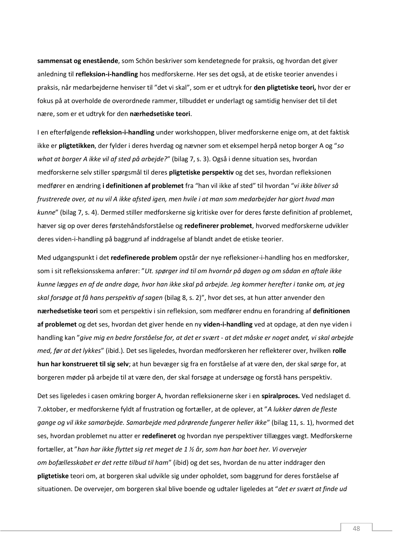**sammensat og enestående**, som Schön beskriver som kendetegnede for praksis, og hvordan det giver anledning til **refleksion-i-handling** hos medforskerne. Her ses det også, at de etiske teorier anvendes i praksis, når medarbejderne henviser til "det vi skal", som er et udtryk for **den pligtetiske teori,** hvor der er fokus på at overholde de overordnede rammer, tilbuddet er underlagt og samtidig henviser det til det nære, som er et udtryk for den **nærhedsetiske teori**.

I en efterfølgende **refleksion-i-handling** under workshoppen, bliver medforskerne enige om, at det faktisk ikke er **pligtetikken**, der fylder i deres hverdag og nævner som et eksempel herpå netop borger A og "*so what at borger A ikke vil af sted på arbejde?*" (bilag 7, s. 3). Også i denne situation ses, hvordan medforskerne selv stiller spørgsmål til deres **pligtetiske perspektiv** og det ses, hvordan refleksionen medfører en ændring **i definitionen af problemet** fra "han vil ikke af sted" til hvordan "*vi ikke bliver så frustrerede over, at nu vil A ikke afsted igen, men hvile i at man som medarbejder har gjort hvad man kunne*" (bilag 7, s. 4). Dermed stiller medforskerne sig kritiske over for deres første definition af problemet, hæver sig op over deres førstehåndsforståelse og **redefinerer problemet**, hvorved medforskerne udvikler deres viden-i-handling på baggrund af inddragelse af blandt andet de etiske teorier.

Med udgangspunkt i det **redefinerede problem** opstår der nye refleksioner-i-handling hos en medforsker, som i sit refleksionsskema anfører: "*Ut. spørger ind til om hvornår på dagen og om sådan en aftale ikke kunne lægges en af de andre dage, hvor han ikke skal på arbejde. Jeg kommer herefter i tanke om, at jeg skal forsøge at få hans perspektiv af sagen* (bilag 8, s. 2)", hvor det ses, at hun atter anvender den **nærhedsetiske teori** som et perspektiv i sin refleksion, som medfører endnu en forandring af **definitionen af problemet** og det ses, hvordan det giver hende en ny **viden-i-handling** ved at opdage, at den nye viden i handling kan "*give mig en bedre forståelse for, at det er svært - at det måske er noget andet, vi skal arbejde med, før at det lykkes*" (ibid.). Det ses ligeledes, hvordan medforskeren her reflekterer over, hvilken **rolle hun har konstrueret til sig selv**; at hun bevæger sig fra en forståelse af at være den, der skal sørge for, at borgeren møder på arbejde til at være den, der skal forsøge at undersøge og forstå hans perspektiv.

Det ses ligeledes i casen omkring borger A, hvordan refleksionerne sker i en **spiralproces.** Ved nedslaget d. 7.oktober, er medforskerne fyldt af frustration og fortæller, at de oplever, at "*A lukker døren de fleste gange og vil ikke samarbejde. Samarbejde med pårørende fungerer heller ikke*" (bilag 11, s. 1), hvormed det ses, hvordan problemet nu atter er **redefineret** og hvordan nye perspektiver tillægges vægt. Medforskerne fortæller, at "*han har ikke flyttet sig ret meget de 1 ½ år, som han har boet her. Vi overvejer om bofællesskabet er det rette tilbud til ham*" (ibid) og det ses, hvordan de nu atter inddrager den **pligtetiske** teori om, at borgeren skal udvikle sig under opholdet, som baggrund for deres forståelse af situationen. De overvejer, om borgeren skal blive boende og udtaler ligeledes at "*det er svært at finde ud*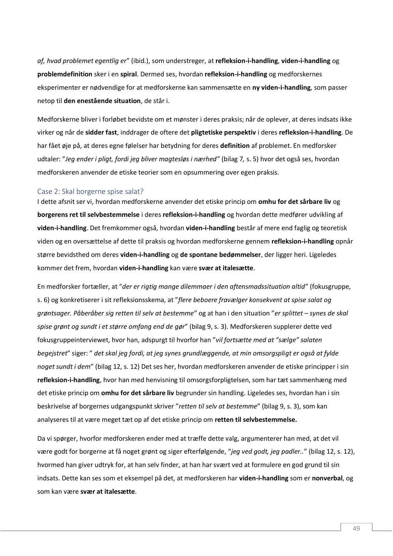*af, hvad problemet egentlig er*" (ibid.), som understreger, at **refleksion-i-handling**, **viden-i-handling** og **problemdefinition** sker i en **spiral**. Dermed ses, hvordan **refleksion-i-handling** og medforskernes eksperimenter er nødvendige for at medforskerne kan sammensætte en **ny viden-i-handling**, som passer netop til **den enestående situation**, de står i.

Medforskerne bliver i forløbet bevidste om et mønster i deres praksis; når de oplever, at deres indsats ikke virker og når de **sidder fast**, inddrager de oftere det **pligtetiske perspektiv** i deres **refleksion-i-handling**. De har fået øje på, at deres egne følelser har betydning for deres **definition** af problemet. En medforsker udtaler: "*Jeg ender i pligt, fordi jeg bliver magtesløs i nærhed"* (bilag 7*,* s. 5) hvor det også ses, hvordan medforskeren anvender de etiske teorier som en opsummering over egen praksis.

## <span id="page-49-0"></span>Case 2: Skal borgerne spise salat?

I dette afsnit ser vi, hvordan medforskerne anvender det etiske princip om **omhu for det sårbare liv** og **borgerens ret til selvbestemmelse** i deres **refleksion-i-handling** og hvordan dette medfører udvikling af **viden-i-handling**. Det fremkommer også, hvordan **viden-i-handling** består af mere end faglig og teoretisk viden og en oversættelse af dette til praksis og hvordan medforskerne gennem **refleksion-i-handling** opnår større bevidsthed om deres **viden-i-handling** og **de spontane bedømmelser**, der ligger heri. Ligeledes kommer det frem, hvordan **viden-i-handling** kan være **svær at italesætte**.

En medforsker fortæller, at "*der er rigtig mange dilemmaer i den aftensmadssituation altid*" (fokusgruppe, s. 6) og konkretiserer i sit refleksionsskema, at "*flere beboere fravælger konsekvent at spise salat og grøntsager. Påberåber sig retten til selv at bestemme*" og at han i den situation "*er splittet – synes de skal spise grønt og sundt i et større omfang end de gør*" (bilag 9, s. 3). Medforskeren supplerer dette ved fokusgruppeinterviewet, hvor han, adspurgt til hvorfor han "*vil fortsætte med at "sælge" salaten begejstret*" siger: " *det skal jeg fordi, at jeg synes grundlæggende, at min omsorgspligt er også at fylde noget sundt i dem*" (bilag 12, s. 12) Det ses her, hvordan medforskeren anvender de etiske principper i sin **refleksion-i-handling**, hvor han med henvisning til omsorgsforpligtelsen, som har tæt sammenhæng med det etiske princip om **omhu for det sårbare liv** begrunder sin handling. Ligeledes ses, hvordan han i sin beskrivelse af borgernes udgangspunkt skriver "*retten til selv at bestemme*" (bilag 9, s. 3), som kan analyseres til at være meget tæt op af det etiske princip om **retten til selvbestemmelse.** 

Da vi spørger, hvorfor medforskeren ender med at træffe dette valg, argumenterer han med, at det vil være godt for borgerne at få noget grønt og siger efterfølgende, "*jeg ved godt, jeg padler..*" (bilag 12, s. 12), hvormed han giver udtryk for, at han selv finder, at han har svært ved at formulere en god grund til sin indsats. Dette kan ses som et eksempel på det, at medforskeren har **viden-i-handling** som er **nonverbal**, og som kan være **svær at italesætte**.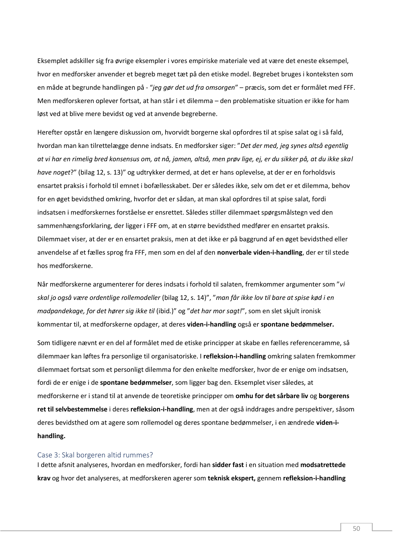Eksemplet adskiller sig fra øvrige eksempler i vores empiriske materiale ved at være det eneste eksempel, hvor en medforsker anvender et begreb meget tæt på den etiske model. Begrebet bruges i konteksten som en måde at begrunde handlingen på - "*jeg gør det ud fra omsorgen*" – præcis, som det er formålet med FFF. Men medforskeren oplever fortsat, at han står i et dilemma – den problematiske situation er ikke for ham løst ved at blive mere bevidst og ved at anvende begreberne.

Herefter opstår en længere diskussion om, hvorvidt borgerne skal opfordres til at spise salat og i så fald, hvordan man kan tilrettelægge denne indsats. En medforsker siger: "*Det der med, jeg synes altså egentlig at vi har en rimelig bred konsensus om, at nå, jamen, altså, men prøv lige, ej, er du sikker på, at du ikke skal have noget*?" (bilag 12, s. 13)" og udtrykker dermed, at det er hans oplevelse, at der er en forholdsvis ensartet praksis i forhold til emnet i bofællesskabet. Der er således ikke, selv om det er et dilemma, behov for en øget bevidsthed omkring, hvorfor det er sådan, at man skal opfordres til at spise salat, fordi indsatsen i medforskernes forståelse er ensrettet. Således stiller dilemmaet spørgsmålstegn ved den sammenhængsforklaring, der ligger i FFF om, at en større bevidsthed medfører en ensartet praksis. Dilemmaet viser, at der er en ensartet praksis, men at det ikke er på baggrund af en øget bevidsthed eller anvendelse af et fælles sprog fra FFF, men som en del af den **nonverbale viden-i-handling**, der er til stede hos medforskerne.

Når medforskerne argumenterer for deres indsats i forhold til salaten, fremkommer argumenter som "*vi skal jo også være ordentlige rollemodeller* (bilag 12, s. 14)", "*man får ikke lov til bare at spise kød i en madpandekage, for det hører sig ikke til* (ibid.)" og "*det har mor sagt!*", som en slet skjult ironisk kommentar til, at medforskerne opdager, at deres **viden-i-handling** også er **spontane bedømmelser.**

Som tidligere nævnt er en del af formålet med de etiske principper at skabe en fælles referenceramme, så dilemmaer kan løftes fra personlige til organisatoriske. I **refleksion-i-handling** omkring salaten fremkommer dilemmaet fortsat som et personligt dilemma for den enkelte medforsker, hvor de er enige om indsatsen, fordi de er enige i de **spontane bedømmelser**, som ligger bag den. Eksemplet viser således, at medforskerne er i stand til at anvende de teoretiske principper om **omhu for det sårbare liv** og **borgerens ret til selvbestemmelse** i deres **refleksion-i-handling**, men at der også inddrages andre perspektiver, såsom deres bevidsthed om at agere som rollemodel og deres spontane bedømmelser, i en ændrede **viden-ihandling.**

#### <span id="page-50-0"></span>Case 3: Skal borgeren altid rummes?

I dette afsnit analyseres, hvordan en medforsker, fordi han **sidder fast** i en situation med **modsatrettede krav** og hvor det analyseres, at medforskeren agerer som **teknisk ekspert,** gennem **refleksion-i-handling**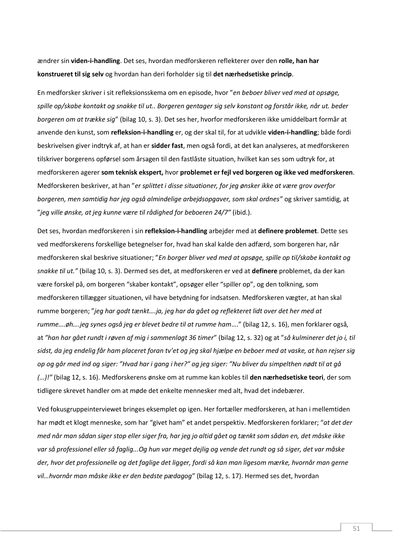ændrer sin **viden-i-handling**. Det ses, hvordan medforskeren reflekterer over den **rolle, han har konstrueret til sig selv** og hvordan han deri forholder sig til **det nærhedsetiske princip**.

En medforsker skriver i sit refleksionsskema om en episode, hvor "*en beboer bliver ved med at opsøge, spille op/skabe kontakt og snakke til ut.. Borgeren gentager sig selv konstant og forstår ikke, når ut. beder borgeren om at trække sig*" (bilag 10, s. 3). Det ses her, hvorfor medforskeren ikke umiddelbart formår at anvende den kunst, som **refleksion-i-handling** er, og der skal til, for at udvikle **viden-i-handling**; både fordi beskrivelsen giver indtryk af, at han er **sidder fast**, men også fordi, at det kan analyseres, at medforskeren tilskriver borgerens opførsel som årsagen til den fastlåste situation, hvilket kan ses som udtryk for, at medforskeren agerer **som teknisk ekspert,** hvor **problemet er fejl ved borgeren og ikke ved medforskeren**. Medforskeren beskriver, at han "*er splittet i disse situationer, for jeg ønsker ikke at være grov overfor borgeren, men samtidig har jeg også almindelige arbejdsopgaver, som skal ordnes"* og skriver samtidig, at "*jeg ville ønske, at jeg kunne være til rådighed for beboeren 24/7"* (ibid.).

Det ses, hvordan medforskeren i sin **refleksion-i-handling** arbejder med at **definere problemet**. Dette ses ved medforskerens forskellige betegnelser for, hvad han skal kalde den adfærd, som borgeren har, når medforskeren skal beskrive situationer; "*En borger bliver ved med at opsøge, spille op til/skabe kontakt og snakke til ut."* (bilag 10, s. 3). Dermed ses det, at medforskeren er ved at **definere** problemet, da der kan være forskel på, om borgeren "skaber kontakt", opsøger eller "spiller op", og den tolkning, som medforskeren tillægger situationen, vil have betydning for indsatsen. Medforskeren vægter, at han skal rumme borgeren; "*jeg har godt tænkt….ja, jeg har da gået og reflekteret lidt over det her med at rumme….øh….jeg synes også jeg er blevet bedre til at rumme ham*…." (bilag 12, s. 16), men forklarer også, at *"han har gået rundt i røven af mig i sammenlagt 36 timer*" (bilag 12, s. 32) og at "*så kulminerer det jo i, til sidst, da jeg endelig får ham placeret foran tv'et og jeg skal hjælpe en beboer med at vaske, at han rejser sig op og går med ind og siger: "Hvad har i gang i her?" og jeg siger: "Nu bliver du simpelthen nødt til at gå (…)!"* (bilag 12, s. 16). Medforskerens ønske om at rumme kan kobles til **den nærhedsetiske teori**, der som tidligere skrevet handler om at møde det enkelte mennesker med alt, hvad det indebærer.

Ved fokusgruppeinterviewet bringes eksemplet op igen. Her fortæller medforskeren, at han i mellemtiden har mødt et klogt menneske, som har "givet ham" et andet perspektiv. Medforskeren forklarer; "*at det der med når man sådan siger stop eller siger fra, har jeg jo altid gået og tænkt som sådan en, det måske ikke var så professionel eller så faglig...Og hun var meget dejlig og vende det rundt og så siger, det var måske der, hvor det professionelle og det faglige det ligger, fordi så kan man ligesom mærke, hvornår man gerne vil…hvornår man måske ikke er den bedste pædagog*" (bilag 12, s. 17). Hermed ses det, hvordan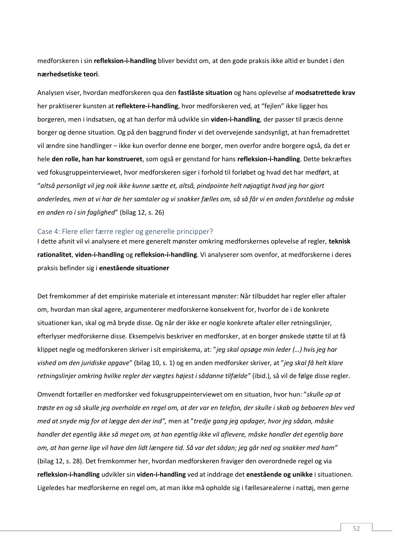medforskeren i sin **refleksion-i-handling** bliver bevidst om, at den gode praksis ikke altid er bundet i den **nærhedsetiske teori**.

Analysen viser, hvordan medforskeren qua den **fastlåste situation** og hans oplevelse af **modsatrettede krav** her praktiserer kunsten at **reflektere-i-handling**, hvor medforskeren ved, at "fejlen" ikke ligger hos borgeren, men i indsatsen, og at han derfor må udvikle sin **viden-i-handling**, der passer til præcis denne borger og denne situation. Og på den baggrund finder vi det overvejende sandsynligt, at han fremadrettet vil ændre sine handlinger – ikke kun overfor denne ene borger, men overfor andre borgere også, da det er hele **den rolle, han har konstrueret**, som også er genstand for hans **refleksion-i-handling**. Dette bekræftes ved fokusgruppeinterviewet, hvor medforskeren siger i forhold til forløbet og hvad det har medført, at "*altså personligt vil jeg nok ikke kunne sætte et, altså, pindpointe helt nøjagtigt hvad jeg har gjort anderledes, men at vi har de her samtaler og vi snakker fælles om, så så får vi en anden forståelse og måske en anden ro i sin faglighed*" (bilag 12, s. 26)

#### <span id="page-52-0"></span>Case 4: Flere eller færre regler og generelle principper?

I dette afsnit vil vi analysere et mere generelt mønster omkring medforskernes oplevelse af regler, **teknisk rationalitet**, **viden-i-handling** og **refleksion-i-handling**. Vi analyserer som ovenfor, at medforskerne i deres praksis befinder sig i **enestående situationer**

Det fremkommer af det empiriske materiale et interessant mønster: Når tilbuddet har regler eller aftaler om, hvordan man skal agere, argumenterer medforskerne konsekvent for, hvorfor de i de konkrete situationer kan, skal og må bryde disse. Og når der ikke er nogle konkrete aftaler eller retningslinjer, efterlyser medforskerne disse. Eksempelvis beskriver en medforsker, at en borger ønskede støtte til at få klippet negle og medforskeren skriver i sit empiriskema, at: "*jeg skal opsøge min leder (…) hvis jeg har vished om den juridiske opgave*" (bilag 10, s. 1) og en anden medforsker skriver, at "*jeg skal få helt klare retningslinjer omkring hvilke regler der vægtes højest i sådanne tilfælde"* (ibid.), så vil de følge disse regler.

Omvendt fortæller en medforsker ved fokusgruppeinterviewet om en situation, hvor hun: "*skulle op at trøste en og så skulle jeg overholde en regel om, at der var en telefon, der skulle i skab og beboeren blev ved med at snyde mig for at lægge den der ind",* men at "*tredje gang jeg opdager, hvor jeg sådan, måske handler det egentlig ikke så meget om, at han egentlig ikke vil aflevere, måske handler det egentlig bare om, at han gerne lige vil have den lidt længere tid. Så var det sådan; jeg går ned og snakker med ham"*  (bilag 12, s. 28). Det fremkommer her, hvordan medforskeren fraviger den overordnede regel og via **refleksion-i-handling** udvikler sin **viden-i-handling** ved at inddrage det **enestående og unikke** i situationen. Ligeledes har medforskerne en regel om, at man ikke må opholde sig i fællesarealerne i nattøj, men gerne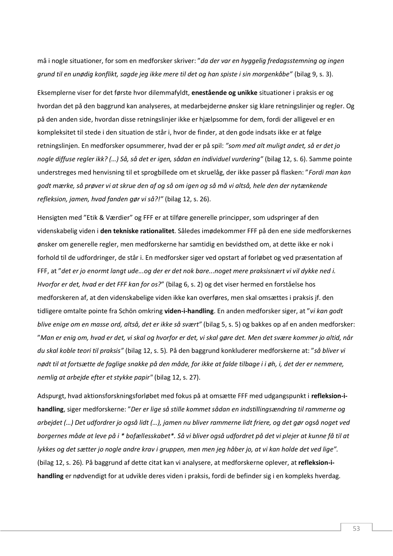må i nogle situationer, for som en medforsker skriver: "*da der var en hyggelig fredagsstemning og ingen grund til en unødig konflikt, sagde jeg ikke mere til det og han spiste i sin morgenkåbe"* (bilag 9, s. 3).

Eksemplerne viser for det første hvor dilemmafyldt, **enestående og unikke** situationer i praksis er og hvordan det på den baggrund kan analyseres, at medarbejderne ønsker sig klare retningslinjer og regler. Og på den anden side, hvordan disse retningslinjer ikke er hjælpsomme for dem, fordi der alligevel er en kompleksitet til stede i den situation de står i, hvor de finder, at den gode indsats ikke er at følge retningslinjen. En medforsker opsummerer, hvad der er på spil: *"som med alt muligt andet, så er det jo nogle diffuse regler ikk? (…) Så, så det er igen, sådan en individuel vurdering"* (bilag 12, s. 6). Samme pointe understreges med henvisning til et sprogbillede om et skruelåg, der ikke passer på flasken: "*Fordi man kan godt mærke, så prøver vi at skrue den af og så om igen og så må vi altså, hele den der nytænkende refleksion, jamen, hvad fanden gør vi så?!"* (bilag 12, s. 26).

Hensigten med "Etik & Værdier" og FFF er at tilføre generelle principper, som udspringer af den videnskabelig viden i **den tekniske rationalitet**. Således imødekommer FFF på den ene side medforskernes ønsker om generelle regler, men medforskerne har samtidig en bevidsthed om, at dette ikke er nok i forhold til de udfordringer, de står i. En medforsker siger ved opstart af forløbet og ved præsentation af FFF, at "*det er jo enormt langt ude...og der er det nok bare...noget mere praksisnært vi vil dykke ned i. Hvorfor er det, hvad er det FFF kan for os?*" (bilag 6, s. 2) og det viser hermed en forståelse hos medforskeren af, at den videnskabelige viden ikke kan overføres, men skal omsættes i praksis jf. den tidligere omtalte pointe fra Schön omkring **viden-i-handling**. En anden medforsker siger, at "*vi kan godt blive enige om en masse ord, altså, det er ikke så svært"* (bilag 5, s. 5) og bakkes op af en anden medforsker: "*Man er enig om, hvad er det, vi skal og hvorfor er det, vi skal gøre det. Men det svære kommer jo altid, når du skal koble teori til praksis"* (bilag 12, s. 5)*.* På den baggrund konkluderer medforskerne at: "*så bliver vi nødt til at fortsætte de faglige snakke på den måde, for ikke at falde tilbage i i øh, i, det der er nemmere, nemlig at arbejde efter et stykke papir"* (bilag 12, s. 27).

Adspurgt, hvad aktionsforskningsforløbet med fokus på at omsætte FFF med udgangspunkt i **refleksion-ihandling**, siger medforskerne: "*Der er lige så stille kommet sådan en indstillingsændring til rammerne og arbejdet (…) Det udfordrer jo også lidt (…), jamen nu bliver rammerne lidt friere, og det gør også noget ved borgernes måde at leve på i \* bofællesskabet\*. Så vi bliver også udfordret på det vi plejer at kunne få til at lykkes og det sætter jo nogle andre krav i gruppen, men men jeg håber jo, at vi kan holde det ved lige".*  (bilag 12, s. 26)*.* På baggrund af dette citat kan vi analysere, at medforskerne oplever, at **refleksion-ihandling** er nødvendigt for at udvikle deres viden i praksis, fordi de befinder sig i en kompleks hverdag.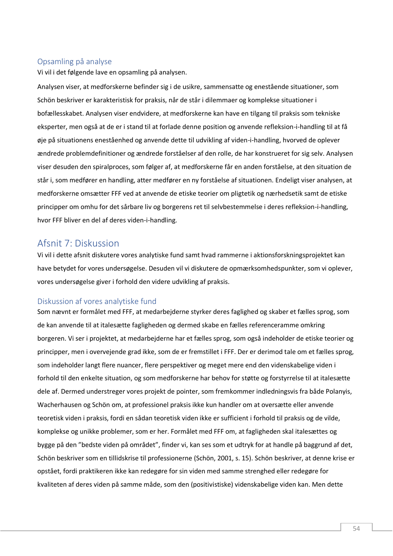# <span id="page-54-0"></span>Opsamling på analyse

Vi vil i det følgende lave en opsamling på analysen.

Analysen viser, at medforskerne befinder sig i de usikre, sammensatte og enestående situationer, som Schön beskriver er karakteristisk for praksis, når de står i dilemmaer og komplekse situationer i bofællesskabet. Analysen viser endvidere, at medforskerne kan have en tilgang til praksis som tekniske eksperter, men også at de er i stand til at forlade denne position og anvende refleksion-i-handling til at få øje på situationens eneståenhed og anvende dette til udvikling af viden-i-handling, hvorved de oplever ændrede problemdefinitioner og ændrede forståelser af den rolle, de har konstrueret for sig selv. Analysen viser desuden den spiralproces, som følger af, at medforskerne får en anden forståelse, at den situation de står i, som medfører en handling, atter medfører en ny forståelse af situationen. Endeligt viser analysen, at medforskerne omsætter FFF ved at anvende de etiske teorier om pligtetik og nærhedsetik samt de etiske principper om omhu for det sårbare liv og borgerens ret til selvbestemmelse i deres refleksion-i-handling, hvor FFF bliver en del af deres viden-i-handling.

# <span id="page-54-1"></span>Afsnit 7: Diskussion

Vi vil i dette afsnit diskutere vores analytiske fund samt hvad rammerne i aktionsforskningsprojektet kan have betydet for vores undersøgelse. Desuden vil vi diskutere de opmærksomhedspunkter, som vi oplever, vores undersøgelse giver i forhold den videre udvikling af praksis.

# <span id="page-54-2"></span>Diskussion af vores analytiske fund

Som nævnt er formålet med FFF, at medarbejderne styrker deres faglighed og skaber et fælles sprog, som de kan anvende til at italesætte fagligheden og dermed skabe en fælles referenceramme omkring borgeren. Vi ser i projektet, at medarbejderne har et fælles sprog, som også indeholder de etiske teorier og principper, men i overvejende grad ikke, som de er fremstillet i FFF. Der er derimod tale om et fælles sprog, som indeholder langt flere nuancer, flere perspektiver og meget mere end den videnskabelige viden i forhold til den enkelte situation, og som medforskerne har behov for støtte og forstyrrelse til at italesætte dele af. Dermed understreger vores projekt de pointer, som fremkommer indledningsvis fra både Polanyis, Wacherhausen og Schön om, at professionel praksis ikke kun handler om at oversætte eller anvende teoretisk viden i praksis, fordi en sådan teoretisk viden ikke er sufficient i forhold til praksis og de vilde, komplekse og unikke problemer, som er her. Formålet med FFF om, at fagligheden skal italesættes og bygge på den "bedste viden på området", finder vi, kan ses som et udtryk for at handle på baggrund af det, Schön beskriver som en tillidskrise til professionerne (Schön, 2001, s. 15). Schön beskriver, at denne krise er opstået, fordi praktikeren ikke kan redegøre for sin viden med samme strenghed eller redegøre for kvaliteten af deres viden på samme måde, som den (positivistiske) videnskabelige viden kan. Men dette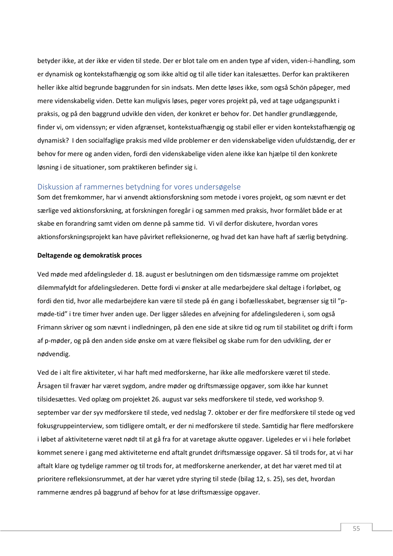betyder ikke, at der ikke er viden til stede. Der er blot tale om en anden type af viden, viden-i-handling, som er dynamisk og kontekstafhængig og som ikke altid og til alle tider kan italesættes. Derfor kan praktikeren heller ikke altid begrunde baggrunden for sin indsats. Men dette løses ikke, som også Schön påpeger, med mere videnskabelig viden. Dette kan muligvis løses, peger vores projekt på, ved at tage udgangspunkt i praksis, og på den baggrund udvikle den viden, der konkret er behov for. Det handler grundlæggende, finder vi, om videnssyn; er viden afgrænset, kontekstuafhængig og stabil eller er viden kontekstafhængig og dynamisk? I den socialfaglige praksis med vilde problemer er den videnskabelige viden ufuldstændig, der er behov for mere og anden viden, fordi den videnskabelige viden alene ikke kan hjælpe til den konkrete løsning i de situationer, som praktikeren befinder sig i.

# <span id="page-55-0"></span>Diskussion af rammernes betydning for vores undersøgelse

Som det fremkommer, har vi anvendt aktionsforskning som metode i vores projekt, og som nævnt er det særlige ved aktionsforskning, at forskningen foregår i og sammen med praksis, hvor formålet både er at skabe en forandring samt viden om denne på samme tid. Vi vil derfor diskutere, hvordan vores aktionsforskningsprojekt kan have påvirket refleksionerne, og hvad det kan have haft af særlig betydning.

#### **Deltagende og demokratisk proces**

Ved møde med afdelingsleder d. 18. august er beslutningen om den tidsmæssige ramme om projektet dilemmafyldt for afdelingslederen. Dette fordi vi ønsker at alle medarbejdere skal deltage i forløbet, og fordi den tid, hvor alle medarbejdere kan være til stede på én gang i bofællesskabet, begrænser sig til "pmøde-tid" i tre timer hver anden uge. Der ligger således en afvejning for afdelingslederen i, som også Frimann skriver og som nævnt i indledningen, på den ene side at sikre tid og rum til stabilitet og drift i form af p-møder, og på den anden side ønske om at være fleksibel og skabe rum for den udvikling, der er nødvendig.

Ved de i alt fire aktiviteter, vi har haft med medforskerne, har ikke alle medforskere været til stede. Årsagen til fravær har været sygdom, andre møder og driftsmæssige opgaver, som ikke har kunnet tilsidesættes. Ved oplæg om projektet 26. august var seks medforskere til stede, ved workshop 9. september var der syv medforskere til stede, ved nedslag 7. oktober er der fire medforskere til stede og ved fokusgruppeinterview, som tidligere omtalt, er der ni medforskere til stede. Samtidig har flere medforskere i løbet af aktiviteterne været nødt til at gå fra for at varetage akutte opgaver. Ligeledes er vi i hele forløbet kommet senere i gang med aktiviteterne end aftalt grundet driftsmæssige opgaver. Så til trods for, at vi har aftalt klare og tydelige rammer og til trods for, at medforskerne anerkender, at det har været med til at prioritere refleksionsrummet, at der har været ydre styring til stede (bilag 12, s. 25), ses det, hvordan rammerne ændres på baggrund af behov for at løse driftsmæssige opgaver.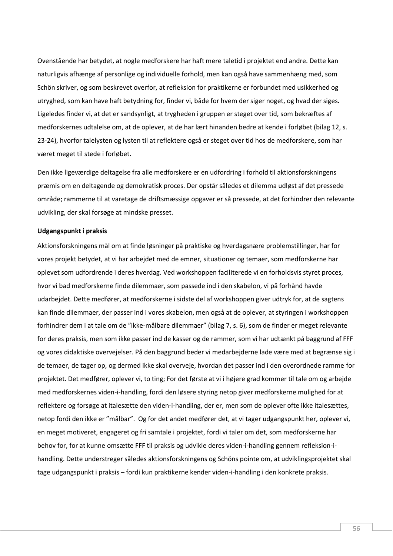Ovenstående har betydet, at nogle medforskere har haft mere taletid i projektet end andre. Dette kan naturligvis afhænge af personlige og individuelle forhold, men kan også have sammenhæng med, som Schön skriver, og som beskrevet overfor, at refleksion for praktikerne er forbundet med usikkerhed og utryghed, som kan have haft betydning for, finder vi, både for hvem der siger noget, og hvad der siges. Ligeledes finder vi, at det er sandsynligt, at trygheden i gruppen er steget over tid, som bekræftes af medforskernes udtalelse om, at de oplever, at de har lært hinanden bedre at kende i forløbet (bilag 12, s. 23-24), hvorfor talelysten og lysten til at reflektere også er steget over tid hos de medforskere, som har været meget til stede i forløbet.

Den ikke ligeværdige deltagelse fra alle medforskere er en udfordring i forhold til aktionsforskningens præmis om en deltagende og demokratisk proces. Der opstår således et dilemma udløst af det pressede område; rammerne til at varetage de driftsmæssige opgaver er så pressede, at det forhindrer den relevante udvikling, der skal forsøge at mindske presset.

#### **Udgangspunkt i praksis**

Aktionsforskningens mål om at finde løsninger på praktiske og hverdagsnære problemstillinger, har for vores projekt betydet, at vi har arbejdet med de emner, situationer og temaer, som medforskerne har oplevet som udfordrende i deres hverdag. Ved workshoppen faciliterede vi en forholdsvis styret proces, hvor vi bad medforskerne finde dilemmaer, som passede ind i den skabelon, vi på forhånd havde udarbejdet. Dette medfører, at medforskerne i sidste del af workshoppen giver udtryk for, at de sagtens kan finde dilemmaer, der passer ind i vores skabelon, men også at de oplever, at styringen i workshoppen forhindrer dem i at tale om de "ikke-målbare dilemmaer" (bilag 7, s. 6), som de finder er meget relevante for deres praksis, men som ikke passer ind de kasser og de rammer, som vi har udtænkt på baggrund af FFF og vores didaktiske overvejelser. På den baggrund beder vi medarbejderne lade være med at begrænse sig i de temaer, de tager op, og dermed ikke skal overveje, hvordan det passer ind i den overordnede ramme for projektet. Det medfører, oplever vi, to ting; For det første at vi i højere grad kommer til tale om og arbejde med medforskernes viden-i-handling, fordi den løsere styring netop giver medforskerne mulighed for at reflektere og forsøge at italesætte den viden-i-handling, der er, men som de oplever ofte ikke italesættes, netop fordi den ikke er "målbar". Og for det andet medfører det, at vi tager udgangspunkt her, oplever vi, en meget motiveret, engageret og fri samtale i projektet, fordi vi taler om det, som medforskerne har behov for, for at kunne omsætte FFF til praksis og udvikle deres viden-i-handling gennem refleksion-ihandling. Dette understreger således aktionsforskningens og Schöns pointe om, at udviklingsprojektet skal tage udgangspunkt i praksis – fordi kun praktikerne kender viden-i-handling i den konkrete praksis.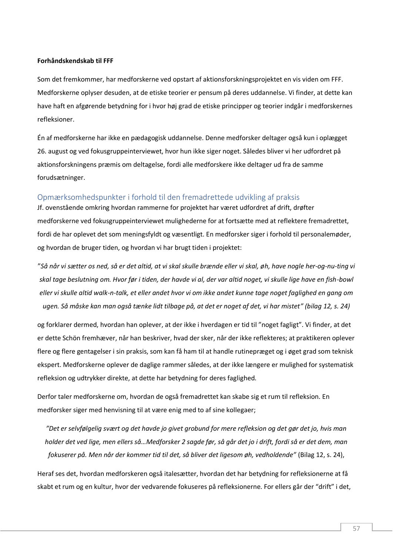#### **Forhåndskendskab til FFF**

Som det fremkommer, har medforskerne ved opstart af aktionsforskningsprojektet en vis viden om FFF. Medforskerne oplyser desuden, at de etiske teorier er pensum på deres uddannelse. Vi finder, at dette kan have haft en afgørende betydning for i hvor høj grad de etiske principper og teorier indgår i medforskernes refleksioner.

Én af medforskerne har ikke en pædagogisk uddannelse. Denne medforsker deltager også kun i oplægget 26. august og ved fokusgruppeinterviewet, hvor hun ikke siger noget. Således bliver vi her udfordret på aktionsforskningens præmis om deltagelse, fordi alle medforskere ikke deltager ud fra de samme forudsætninger.

# <span id="page-57-0"></span>Opmærksomhedspunkter i forhold til den fremadrettede udvikling af praksis

Jf. ovenstående omkring hvordan rammerne for projektet har været udfordret af drift, drøfter medforskerne ved fokusgruppeinterviewet mulighederne for at fortsætte med at reflektere fremadrettet, fordi de har oplevet det som meningsfyldt og væsentligt. En medforsker siger i forhold til personalemøder, og hvordan de bruger tiden, og hvordan vi har brugt tiden i projektet:

"*Så når vi sætter os ned, så er det altid, at vi skal skulle brænde eller vi skal, øh, have nogle her-og-nu-ting vi skal tage beslutning om. Hvor før i tiden, der havde vi al, der var altid noget, vi skulle lige have en fish-bowl eller vi skulle altid walk-n-talk, et eller andet hvor vi om ikke andet kunne tage noget faglighed en gang om ugen. Så måske kan man også tænke lidt tilbage på, at det er noget af det, vi har mistet" (bilag 12, s. 24)*

og forklarer dermed, hvordan han oplever, at der ikke i hverdagen er tid til "noget fagligt". Vi finder, at det er dette Schön fremhæver, når han beskriver, hvad der sker, når der ikke reflekteres; at praktikeren oplever flere og flere gentagelser i sin praksis, som kan få ham til at handle rutinepræget og i øget grad som teknisk ekspert. Medforskerne oplever de daglige rammer således, at der ikke længere er mulighed for systematisk refleksion og udtrykker direkte, at dette har betydning for deres faglighed.

Derfor taler medforskerne om, hvordan de også fremadrettet kan skabe sig et rum til refleksion. En medforsker siger med henvisning til at være enig med to af sine kollegaer;

*"Det er selvfølgelig svært og det havde jo givet grobund for mere refleksion og det gør det jo, hvis man holder det ved lige, men ellers så…Medforsker 2 sagde før, så går det jo i drift, fordi så er det dem, man fokuserer på. Men når der kommer tid til det, så bliver det ligesom øh, vedholdende"* (Bilag 12, s. 24),

Heraf ses det, hvordan medforskeren også italesætter, hvordan det har betydning for refleksionerne at få skabt et rum og en kultur, hvor der vedvarende fokuseres på refleksionerne. For ellers går der "drift" i det,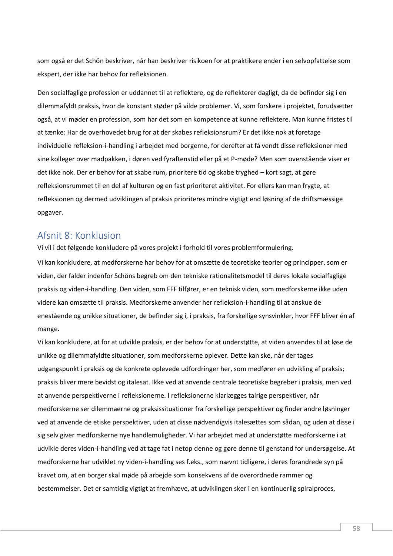som også er det Schön beskriver, når han beskriver risikoen for at praktikere ender i en selvopfattelse som ekspert, der ikke har behov for refleksionen.

Den socialfaglige profession er uddannet til at reflektere, og de reflekterer dagligt, da de befinder sig i en dilemmafyldt praksis, hvor de konstant støder på vilde problemer. Vi, som forskere i projektet, forudsætter også, at vi møder en profession, som har det som en kompetence at kunne reflektere. Man kunne fristes til at tænke: Har de overhovedet brug for at der skabes refleksionsrum? Er det ikke nok at foretage individuelle refleksion-i-handling i arbejdet med borgerne, for derefter at få vendt disse refleksioner med sine kolleger over madpakken, i døren ved fyraftenstid eller på et P-møde? Men som ovenstående viser er det ikke nok. Der er behov for at skabe rum, prioritere tid og skabe tryghed – kort sagt, at gøre refleksionsrummet til en del af kulturen og en fast prioriteret aktivitet. For ellers kan man frygte, at refleksionen og dermed udviklingen af praksis prioriteres mindre vigtigt end løsning af de driftsmæssige opgaver.

# <span id="page-58-0"></span>Afsnit 8: Konklusion

Vi vil i det følgende konkludere på vores projekt i forhold til vores problemformulering.

Vi kan konkludere, at medforskerne har behov for at omsætte de teoretiske teorier og principper, som er viden, der falder indenfor Schöns begreb om den tekniske rationalitetsmodel til deres lokale socialfaglige praksis og viden-i-handling. Den viden, som FFF tilfører, er en teknisk viden, som medforskerne ikke uden videre kan omsætte til praksis. Medforskerne anvender her refleksion-i-handling til at anskue de enestående og unikke situationer, de befinder sig i, i praksis, fra forskellige synsvinkler, hvor FFF bliver én af mange.

Vi kan konkludere, at for at udvikle praksis, er der behov for at understøtte, at viden anvendes til at løse de unikke og dilemmafyldte situationer, som medforskerne oplever. Dette kan ske, når der tages udgangspunkt i praksis og de konkrete oplevede udfordringer her, som medfører en udvikling af praksis; praksis bliver mere bevidst og italesat. Ikke ved at anvende centrale teoretiske begreber i praksis, men ved at anvende perspektiverne i refleksionerne. I refleksionerne klarlægges talrige perspektiver, når medforskerne ser dilemmaerne og praksissituationer fra forskellige perspektiver og finder andre løsninger ved at anvende de etiske perspektiver, uden at disse nødvendigvis italesættes som sådan, og uden at disse i sig selv giver medforskerne nye handlemuligheder. Vi har arbejdet med at understøtte medforskerne i at udvikle deres viden-i-handling ved at tage fat i netop denne og gøre denne til genstand for undersøgelse. At medforskerne har udviklet ny viden-i-handling ses f.eks., som nævnt tidligere, i deres forandrede syn på kravet om, at en borger skal møde på arbejde som konsekvens af de overordnede rammer og bestemmelser. Det er samtidig vigtigt at fremhæve, at udviklingen sker i en kontinuerlig spiralproces,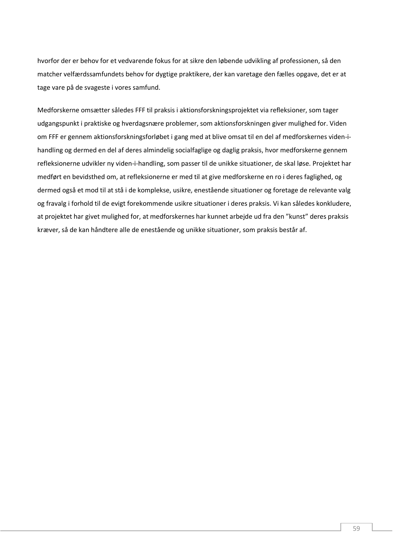hvorfor der er behov for et vedvarende fokus for at sikre den løbende udvikling af professionen, så den matcher velfærdssamfundets behov for dygtige praktikere, der kan varetage den fælles opgave, det er at tage vare på de svageste i vores samfund.

Medforskerne omsætter således FFF til praksis i aktionsforskningsprojektet via refleksioner, som tager udgangspunkt i praktiske og hverdagsnære problemer, som aktionsforskningen giver mulighed for. Viden om FFF er gennem aktionsforskningsforløbet i gang med at blive omsat til en del af medforskernes viden-ihandling og dermed en del af deres almindelig socialfaglige og daglig praksis, hvor medforskerne gennem refleksionerne udvikler ny viden-i-handling, som passer til de unikke situationer, de skal løse. Projektet har medført en bevidsthed om, at refleksionerne er med til at give medforskerne en ro i deres faglighed, og dermed også et mod til at stå i de komplekse, usikre, enestående situationer og foretage de relevante valg og fravalg i forhold til de evigt forekommende usikre situationer i deres praksis. Vi kan således konkludere, at projektet har givet mulighed for, at medforskernes har kunnet arbejde ud fra den "kunst" deres praksis kræver, så de kan håndtere alle de enestående og unikke situationer, som praksis består af.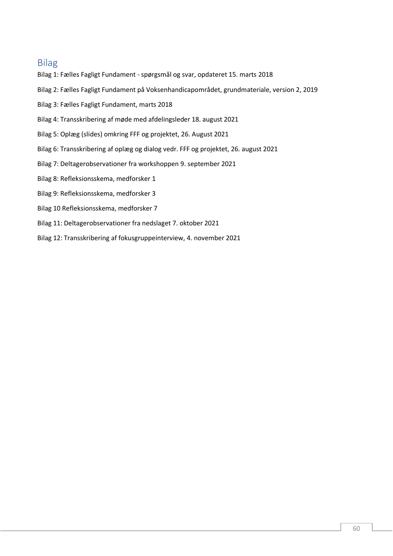# <span id="page-60-0"></span>Bilag

- Bilag 1: Fælles Fagligt Fundament spørgsmål og svar, opdateret 15. marts 2018
- Bilag 2: Fælles Fagligt Fundament på Voksenhandicapområdet, grundmateriale, version 2, 2019
- Bilag 3: Fælles Fagligt Fundament, marts 2018
- Bilag 4: Transskribering af møde med afdelingsleder 18. august 2021
- Bilag 5: Oplæg (slides) omkring FFF og projektet, 26. August 2021
- Bilag 6: Transskribering af oplæg og dialog vedr. FFF og projektet, 26. august 2021
- Bilag 7: Deltagerobservationer fra workshoppen 9. september 2021
- Bilag 8: Refleksionsskema, medforsker 1
- Bilag 9: Refleksionsskema, medforsker 3
- Bilag 10 Refleksionsskema, medforsker 7
- Bilag 11: Deltagerobservationer fra nedslaget 7. oktober 2021
- Bilag 12: Transskribering af fokusgruppeinterview, 4. november 2021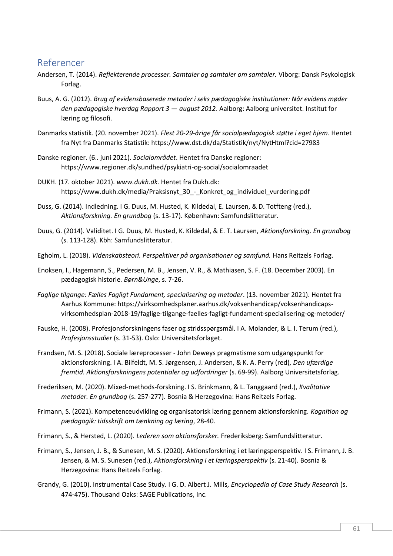# <span id="page-61-0"></span>Referencer

- Andersen, T. (2014). *Reflekterende processer. Samtaler og samtaler om samtaler.* Viborg: Dansk Psykologisk Forlag.
- Buus, A. G. (2012). *Brug af evidensbaserede metoder i seks pædagogiske institutioner: Når evidens møder den pædagogiske hverdag Rapport 3 — august 2012.* Aalborg: Aalborg universitet. Institut for læring og filosofi.
- Danmarks statistik. (20. november 2021). *Flest 20-29-årige får socialpædagogisk støtte i eget hjem.* Hentet fra Nyt fra Danmarks Statistik: https://www.dst.dk/da/Statistik/nyt/NytHtml?cid=27983
- Danske regioner. (6.. juni 2021). *Socialområdet*. Hentet fra Danske regioner: https://www.regioner.dk/sundhed/psykiatri-og-social/socialomraadet
- DUKH. (17. oktober 2021). *www.dukh.dk.* Hentet fra Dukh.dk: https://www.dukh.dk/media/Praksisnyt\_30\_-\_Konkret\_og\_individuel\_vurdering.pdf
- Duss, G. (2014). Indledning. I G. Duus, M. Husted, K. Kildedal, E. Laursen, & D. Totfteng (red.), *Aktionsforskning. En grundbog* (s. 13-17). København: Samfundslitteratur.
- Duus, G. (2014). Validitet. I G. Duus, M. Husted, K. Kildedal, & E. T. Laursen, *Aktionsforskning. En grundbog* (s. 113-128). Kbh: Samfundslitteratur.
- Egholm, L. (2018). *Videnskabsteori. Perspektiver på organisationer og samfund.* Hans Reitzels Forlag.
- Enoksen, I., Hagemann, S., Pedersen, M. B., Jensen, V. R., & Mathiasen, S. F. (18. December 2003). En pædagogisk historie. *Børn&Unge*, s. 7-26.
- *Faglige tilgange: Fælles Fagligt Fundament, specialisering og metoder*. (13. november 2021). Hentet fra Aarhus Kommune: https://virksomhedsplaner.aarhus.dk/voksenhandicap/voksenhandicapsvirksomhedsplan-2018-19/faglige-tilgange-faelles-fagligt-fundament-specialisering-og-metoder/
- Fauske, H. (2008). Profesjonsforskningens faser og stridsspørgsmål. I A. Molander, & L. I. Terum (red.), *Profesjonsstudier* (s. 31-53). Oslo: Universitetsforlaget.
- Frandsen, M. S. (2018). Sociale læreprocesser John Deweys pragmatisme som udgangspunkt for aktionsforskning. I A. Bilfeldt, M. S. Jørgensen, J. Andersen, & K. A. Perry (red), *Den ufærdige fremtid. Aktionsforskningens potentialer og udfordringer* (s. 69-99). Aalborg Universitetsforlag.
- Frederiksen, M. (2020). Mixed-methods-forskning. I S. Brinkmann, & L. Tanggaard (red.), *Kvalitative metoder. En grundbog* (s. 257-277). Bosnia & Herzegovina: Hans Reitzels Forlag.
- Frimann, S. (2021). Kompetenceudvikling og organisatorisk læring gennem aktionsforskning. *Kognition og pædagogik: tidsskrift om tænkning og læring*, 28-40.
- Frimann, S., & Hersted, L. (2020). *Lederen som aktionsforsker.* Frederiksberg: Samfundslitteratur.
- Frimann, S., Jensen, J. B., & Sunesen, M. S. (2020). Aktionsforskning i et læringsperspektiv. I S. Frimann, J. B. Jensen, & M. S. Sunesen (red.), *Aktionsforskning i et læringsperspektiv* (s. 21-40). Bosnia & Herzegovina: Hans Reitzels Forlag.
- Grandy, G. (2010). Instrumental Case Study. I G. D. Albert J. Mills, *Encyclopedia of Case Study Research* (s. 474-475). Thousand Oaks: SAGE Publications, Inc.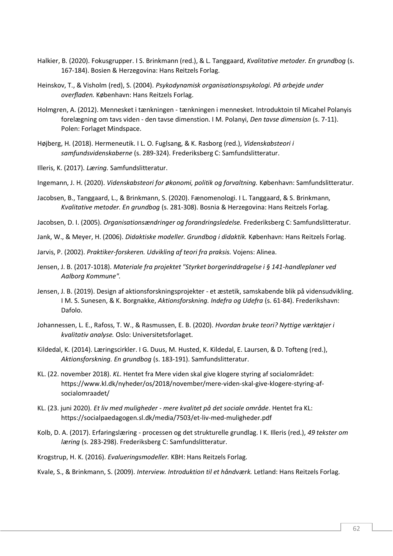- Halkier, B. (2020). Fokusgrupper. I S. Brinkmann (red.), & L. Tanggaard, *Kvalitative metoder. En grundbog* (s. 167-184). Bosien & Herzegovina: Hans Reitzels Forlag.
- Heinskov, T., & Visholm (red), S. (2004). *Psykodynamisk organisationspsykologi. På arbejde under overfladen.* København: Hans Reitzels Forlag.
- Holmgren, A. (2012). Mennesket i tænkningen tænkningen i mennesket. Introduktoin til Micahel Polanyis forelægning om tavs viden - den tavse dimenstion. I M. Polanyi, *Den tavse dimension* (s. 7-11). Polen: Forlaget Mindspace.
- Højberg, H. (2018). Hermeneutik. I L. O. Fuglsang, & K. Rasborg (red.), *Videnskabsteori i samfundsvidenskaberne* (s. 289-324). Frederiksberg C: Samfundslitteratur.
- Illeris, K. (2017). *Læring.* Samfundslitteratur.

Ingemann, J. H. (2020). *Videnskabsteori for økonomi, politik og forvaltning.* København: Samfundslitteratur.

Jacobsen, B., Tanggaard, L., & Brinkmann, S. (2020). Fænomenologi. I L. Tanggaard, & S. Brinkmann, *Kvalitative metoder. En grundbog* (s. 281-308). Bosnia & Herzegovina: Hans Reitzels Forlag.

Jacobsen, D. I. (2005). *Organisationsændringer og forandringsledelse.* Frederiksberg C: Samfundslitteratur.

- Jank, W., & Meyer, H. (2006). *Didaktiske modeller. Grundbog i didaktik.* København: Hans Reitzels Forlag.
- Jarvis, P. (2002). *Praktiker-forskeren. Udvikling af teori fra praksis.* Vojens: Alinea.
- Jensen, J. B. (2017-1018). *Materiale fra projektet "Styrket borgerinddragelse i § 141-handleplaner ved Aalborg Kommune".*
- Jensen, J. B. (2019). Design af aktionsforskningsprojekter et æstetik, samskabende blik på vidensudvikling. I M. S. Sunesen, & K. Borgnakke, *Aktionsforskning. Indefra og Udefra* (s. 61-84). Frederikshavn: Dafolo.
- Johannessen, L. E., Rafoss, T. W., & Rasmussen, E. B. (2020). *Hvordan bruke teori? Nyttige værktøjer i kvalitativ analyse.* Oslo: Universitetsforlaget.
- Kildedal, K. (2014). Læringscirkler. I G. Duus, M. Husted, K. Kildedal, E. Laursen, & D. Tofteng (red.), *Aktionsforskning. En grundbog* (s. 183-191). Samfundslitteratur.
- KL. (22. november 2018). *KL*. Hentet fra Mere viden skal give klogere styring af socialområdet: https://www.kl.dk/nyheder/os/2018/november/mere-viden-skal-give-klogere-styring-afsocialomraadet/
- KL. (23. juni 2020). *Et liv med muligheder - mere kvalitet på det sociale område*. Hentet fra KL: https://socialpaedagogen.sl.dk/media/7503/et-liv-med-muligheder.pdf
- Kolb, D. A. (2017). Erfaringslæring processen og det strukturelle grundlag. I K. Illeris (red.), *49 tekster om læring* (s. 283-298). Frederiksberg C: Samfundslitteratur.
- Krogstrup, H. K. (2016). *Evalueringsmodeller.* KBH: Hans Reitzels Forlag.
- Kvale, S., & Brinkmann, S. (2009). *Interview. Introduktion til et håndværk.* Letland: Hans Reitzels Forlag.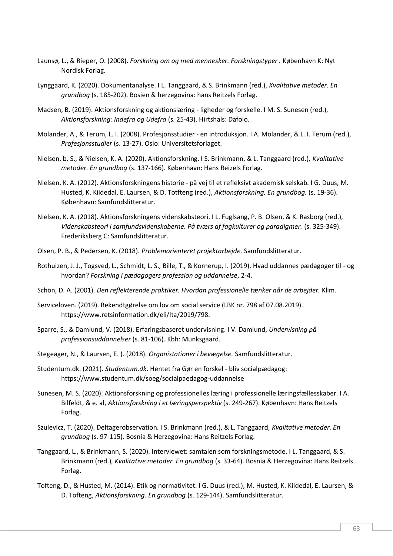- Launsø, L., & Rieper, O. (2008). *Forskning om og med mennesker. Forskningstyper .* København K: Nyt Nordisk Forlag.
- Lynggaard, K. (2020). Dokumentanalyse. I L. Tanggaard, & S. Brinkmann (red.), *Kvalitative metoder. En grundbog* (s. 185-202). Bosien & herzegovina: hans Reitzels Forlag.
- Madsen, B. (2019). Aktionsforskning og aktionslæring ligheder og forskelle. I M. S. Sunesen (red.), *Aktionsforskning: Indefra og Udefra* (s. 25-43). Hirtshals: Dafolo.
- Molander, A., & Terum, L. I. (2008). Profesjonsstudier en introduksjon. I A. Molander, & L. I. Terum (red.), *Profesjonsstudier* (s. 13-27). Oslo: Universitetsforlaget.
- Nielsen, b. S., & Nielsen, K. A. (2020). Aktionsforskning. I S. Brinkmann, & L. Tanggaard (red.), *Kvalitative metoder. En grundbog* (s. 137-166). København: Hans Reizels Forlag.
- Nielsen, K. A. (2012). Aktionsforskningens historie på vej til et refleksivt akademisk selskab. I G. Duus, M. Husted, K. Kildedal, E. Laursen, & D. Totfteng (red.), *Aktionsforskning. En grundbog.* (s. 19-36). København: Samfundslitteratur.
- Nielsen, K. A. (2018). Aktionsforskningens videnskabsteori. I L. Fuglsang, P. B. Olsen, & K. Rasborg (red.), *Videnskabsteori i samfundsvidenskaberne. På tværs af fagkulturer og paradigmer.* (s. 325-349). Frederiksberg C: Samfundslitteratur.
- Olsen, P. B., & Pedersen, K. (2018). *Problemorienteret projektarbejde.* Samfundslitteratur.
- Rothuizen, J. J., Togsved, L., Schmidt, L. S., Bille, T., & Kornerup, I. (2019). Hvad uddannes pædagoger til og hvordan? *Forskning i pædagogers profession og uddannelse*, 2-4.
- Schön, D. A. (2001). *Den reflekterende praktiker. Hvordan professionelle tænker når de arbejder.* Klim.
- Serviceloven. (2019). Bekendtgørelse om lov om social service (LBK nr. 798 af 07.08.2019). https://www.retsinformation.dk/eli/lta/2019/798.
- Sparre, S., & Damlund, V. (2018). Erfaringsbaseret undervisning. I V. Damlund, *Undervisning på professionsuddannelser* (s. 81-106). Kbh: Munksgaard.
- Stegeager, N., & Laursen, E. (. (2018). *Organistationer i bevægelse.* Samfundslitteratur.
- Studentum.dk. (2021). *Studentum.dk*. Hentet fra Gør en forskel bliv socialpædagog: https://www.studentum.dk/soeg/socialpaedagog-uddannelse
- Sunesen, M. S. (2020). Aktionsforskning og professionelles læring i professionelle læringsfællesskaber. I A. Bilfeldt, & e. al, *Aktionsforskning i et læringsperspektiv* (s. 249-267). København: Hans Reitzels Forlag.
- Szulevicz, T. (2020). Deltagerobservation. I S. Brinkmann (red.), & L. Tanggaard, *Kvalitative metoder. En grundbog* (s. 97-115). Bosnia & Herzegovina: Hans Reitzels Forlag.
- Tanggaard, L., & Brinkmann, S. (2020). Interviewet: samtalen som forskningsmetode. I L. Tanggaard, & S. Brinkmann (red.), *Kvalitative metoder. En grundbog* (s. 33-64). Bosnia & Herzegovina: Hans Reitzels Forlag.
- Tofteng, D., & Husted, M. (2014). Etik og normativitet. I G. Duus (red.), M. Husted, K. Kildedal, E. Laursen, & D. Tofteng, *Aktionsforskning. En grundbog* (s. 129-144). Samfundslitteratur.